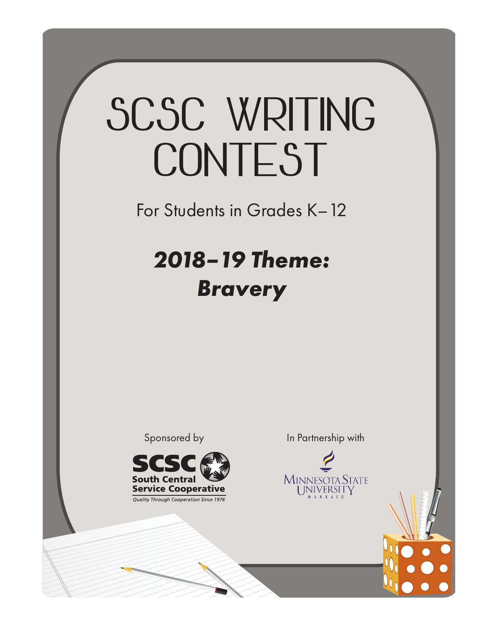# **SCSC WRITING CONTEST**

For Students in Grades K–12

# *2018–19 Theme: Bravery*



Sponsored by **In Partnership with** 

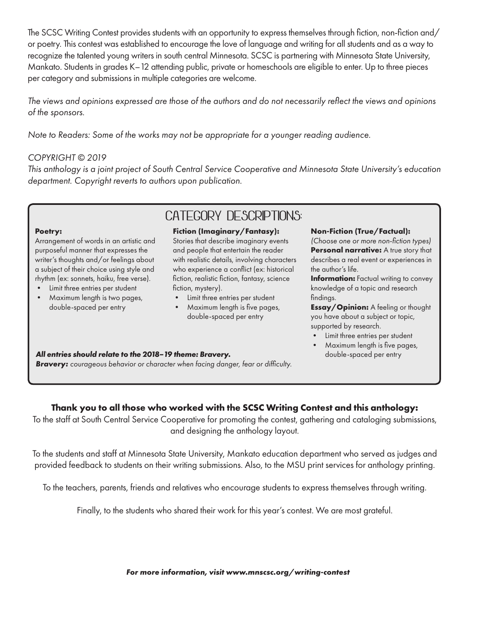The SCSC Writing Contest provides students with an opportunity to express themselves through fiction, non-fiction and/ or poetry. This contest was established to encourage the love of language and writing for all students and as a way to recognize the talented young writers in south central Minnesota. SCSC is partnering with Minnesota State University, Mankato. Students in grades K–12 attending public, private or homeschools are eligible to enter. Up to three pieces per category and submissions in multiple categories are welcome.

*The views and opinions expressed are those of the authors and do not necessarily reflect the views and opinions of the sponsors.*

*Note to Readers: Some of the works may not be appropriate for a younger reading audience.*

#### *COPYRIGHT © 2019*

*This anthology is a joint project of South Central Service Cooperative and Minnesota State University's education department. Copyright reverts to authors upon publication.*

#### **Poetry:**

Arrangement of words in an artistic and purposeful manner that expresses the writer's thoughts and/or feelings about a subject of their choice using style and rhythm (ex: sonnets, haiku, free verse).

- Limit three entries per student
- Maximum length is two pages, double-spaced per entry

# **CATEGORY DESCRIPTIONS:**

**Fiction (Imaginary/Fantasy):**  Stories that describe imaginary events and people that entertain the reader with realistic details, involving characters who experience a conflict (ex: historical fiction, realistic fiction, fantasy, science fiction, mystery).

- Limit three entries per student
- Maximum length is five pages, double-spaced per entry

#### **Non-Fiction (True/Factual):**

*(Choose one or more non-fiction types)* **Personal narrative:** A true story that describes a real event or experiences in the author's life.

**Information:** Factual writing to convey knowledge of a topic and research findings.

**Essay/Opinion:** A feeling or thought you have about a subject or topic, supported by research.

- Limit three entries per student
- Maximum length is five pages, double-spaced per entry

*All entries should relate to the 2018–19 theme: Bravery. Bravery: courageous behavior or character when facing danger, fear or difficulty.*

#### **Thank you to all those who worked with the SCSC Writing Contest and this anthology:**

To the staff at South Central Service Cooperative for promoting the contest, gathering and cataloging submissions, and designing the anthology layout.

To the students and staff at Minnesota State University, Mankato education department who served as judges and provided feedback to students on their writing submissions. Also, to the MSU print services for anthology printing.

To the teachers, parents, friends and relatives who encourage students to express themselves through writing.

Finally, to the students who shared their work for this year's contest. We are most grateful.

*For more information, visit www.mnscsc.org/writing-contest*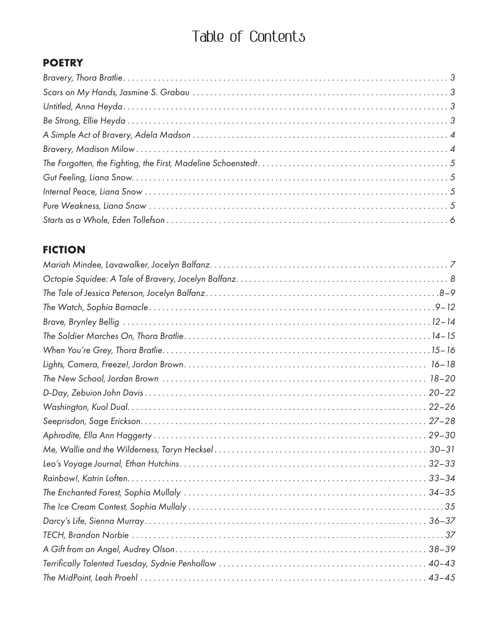# **Table of Contents**

# **POETRY**

# **FICTION**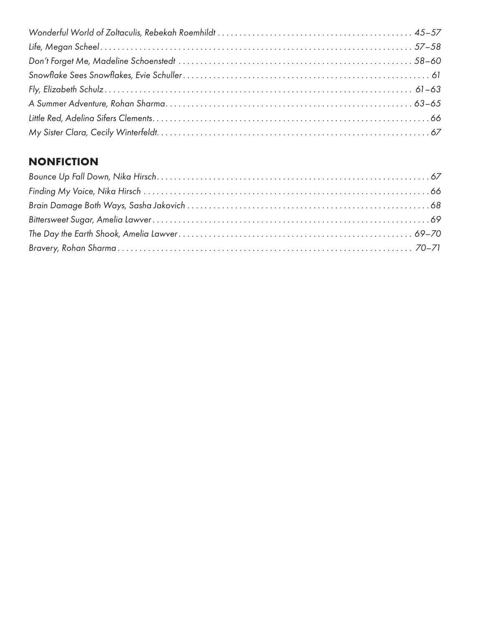## **NONFICTION**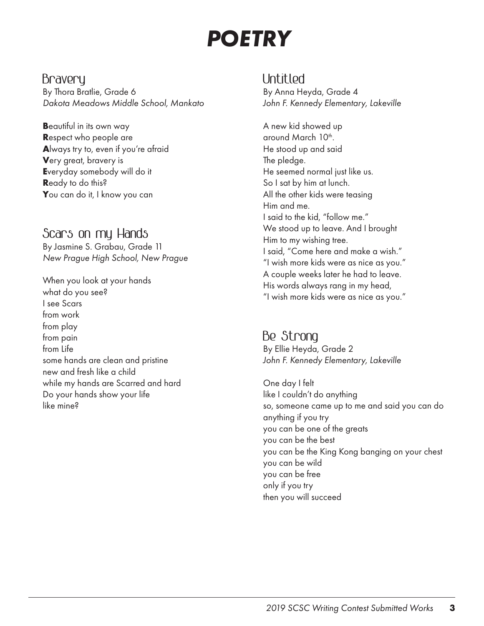# *POETRY*

# **Bravery**

By Thora Bratlie, Grade 6 *Dakota Meadows Middle School, Mankato*

**B**eautiful in its own way **R**espect who people are **A**lways try to, even if you're afraid **V**ery great, bravery is **E**veryday somebody will do it **R**eady to do this? **Y**ou can do it, I know you can

# **Scars on my Hands**

By Jasmine S. Grabau, Grade 11 *New Prague High School, New Prague*

When you look at your hands what do you see? I see Scars from work from play from pain from Life some hands are clean and pristine new and fresh like a child while my hands are Scarred and hard Do your hands show your life like mine?

# **Untitled**

By Anna Heyda, Grade 4 *John F. Kennedy Elementary, Lakeville*

A new kid showed up around March  $10<sup>th</sup>$ . He stood up and said The pledge. He seemed normal just like us. So I sat by him at lunch. All the other kids were teasing Him and me. I said to the kid, "follow me." We stood up to leave. And I brought Him to my wishing tree. I said, "Come here and make a wish." "I wish more kids were as nice as you." A couple weeks later he had to leave. His words always rang in my head, "I wish more kids were as nice as you."

**Be Strong**  By Ellie Heyda, Grade 2 *John F. Kennedy Elementary, Lakeville*

One day I felt like I couldn't do anything so, someone came up to me and said you can do anything if you try you can be one of the greats you can be the best you can be the King Kong banging on your chest you can be wild you can be free only if you try then you will succeed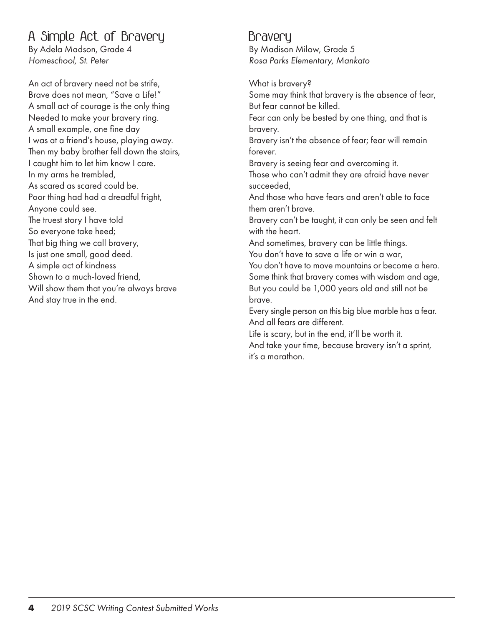# **A Simple Act of Bravery**

By Adela Madson, Grade 4 *Homeschool, St. Peter*

An act of bravery need not be strife, Brave does not mean, "Save a Life!" A small act of courage is the only thing Needed to make your bravery ring. A small example, one fine day I was at a friend's house, playing away. Then my baby brother fell down the stairs, I caught him to let him know I care. In my arms he trembled, As scared as scared could be. Poor thing had had a dreadful fright, Anyone could see. The truest story I have told So everyone take heed; That big thing we call bravery, Is just one small, good deed. A simple act of kindness Shown to a much-loved friend, Will show them that you're always brave And stay true in the end.

#### **Bravery**

By Madison Milow, Grade 5 *Rosa Parks Elementary, Mankato*

What is bravery? Some may think that bravery is the absence of fear, But fear cannot be killed. Fear can only be bested by one thing, and that is bravery. Bravery isn't the absence of fear; fear will remain forever. Bravery is seeing fear and overcoming it. Those who can't admit they are afraid have never succeeded, And those who have fears and aren't able to face them aren't brave. Bravery can't be taught, it can only be seen and felt with the heart. And sometimes, bravery can be little things. You don't have to save a life or win a war, You don't have to move mountains or become a hero. Some think that bravery comes with wisdom and age, But you could be 1,000 years old and still not be brave. Every single person on this big blue marble has a fear.

And all fears are different.

Life is scary, but in the end, it'll be worth it.

And take your time, because bravery isn't a sprint, it's a marathon.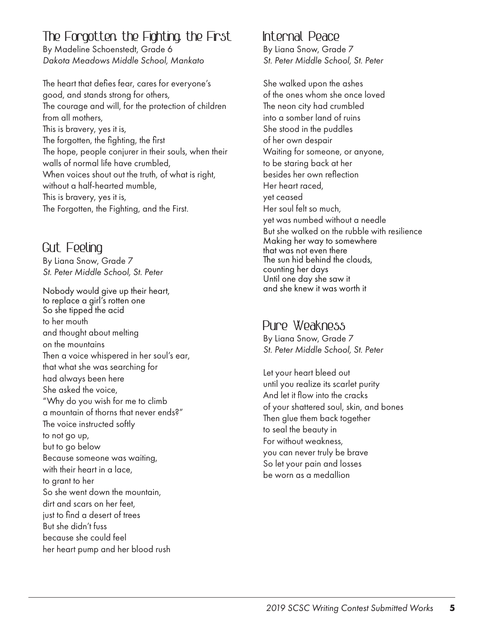# **The Forgotten, the Fighting, the First**

By Madeline Schoenstedt, Grade 6 *Dakota Meadows Middle School, Mankato*

The heart that defies fear, cares for everyone's good, and stands strong for others, The courage and will, for the protection of children from all mothers, This is bravery, yes it is, The forgotten, the fighting, the first The hope, people conjurer in their souls, when their walls of normal life have crumbled, When voices shout out the truth, of what is right, without a half-hearted mumble, This is bravery, yes it is, The Forgotten, the Fighting, and the First.

**Gut Feeling** By Liana Snow, Grade 7 *St. Peter Middle School, St. Peter*

Nobody would give up their heart, to replace a girl's rotten one So she tipped the acid to her mouth and thought about melting on the mountains Then a voice whispered in her soul's ear, that what she was searching for had always been here She asked the voice, "Why do you wish for me to climb a mountain of thorns that never ends?" The voice instructed softly to not go up, but to go below Because someone was waiting, with their heart in a lace, to grant to her So she went down the mountain, dirt and scars on her feet, just to find a desert of trees But she didn't fuss because she could feel her heart pump and her blood rush

# **Internal Peace**

By Liana Snow, Grade 7 *St. Peter Middle School, St. Peter*

She walked upon the ashes of the ones whom she once loved The neon city had crumbled into a somber land of ruins She stood in the puddles of her own despair Waiting for someone, or anyone, to be staring back at her besides her own reflection Her heart raced, yet ceased Her soul felt so much, yet was numbed without a needle But she walked on the rubble with resilience Making her way to somewhere that was not even there The sun hid behind the clouds, counting her days Until one day she saw it and she knew it was worth it

#### **Pure Weakness**

By Liana Snow, Grade 7 *St. Peter Middle School, St. Peter*

Let your heart bleed out until you realize its scarlet purity And let it flow into the cracks of your shattered soul, skin, and bones Then glue them back together to seal the beauty in For without weakness, you can never truly be brave So let your pain and losses be worn as a medallion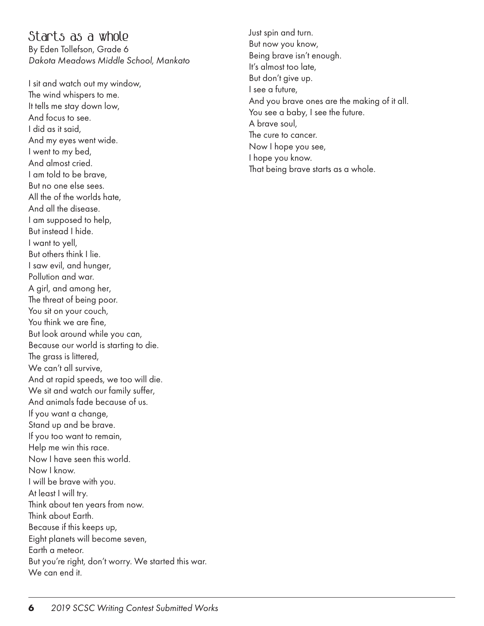#### **Starts as a whole** By Eden Tollefson, Grade 6 *Dakota Meadows Middle School, Mankato*

I sit and watch out my window, The wind whispers to me. It tells me stay down low, And focus to see. I did as it said, And my eyes went wide. I went to my bed, And almost cried. I am told to be brave, But no one else sees. All the of the worlds hate, And all the disease. I am supposed to help, But instead I hide. I want to yell, But others think I lie. I saw evil, and hunger, Pollution and war. A girl, and among her, The threat of being poor. You sit on your couch, You think we are fine, But look around while you can, Because our world is starting to die. The grass is littered, We can't all survive, And at rapid speeds, we too will die. We sit and watch our family suffer, And animals fade because of us. If you want a change, Stand up and be brave. If you too want to remain, Help me win this race. Now I have seen this world. Now I know. I will be brave with you. At least I will try. Think about ten years from now. Think about Earth. Because if this keeps up, Eight planets will become seven, Earth a meteor. But you're right, don't worry. We started this war. We can end it.

Just spin and turn. But now you know, Being brave isn't enough. It's almost too late, But don't give up. I see a future, And you brave ones are the making of it all. You see a baby, I see the future. A brave soul, The cure to cancer. Now I hope you see, I hope you know. That being brave starts as a whole.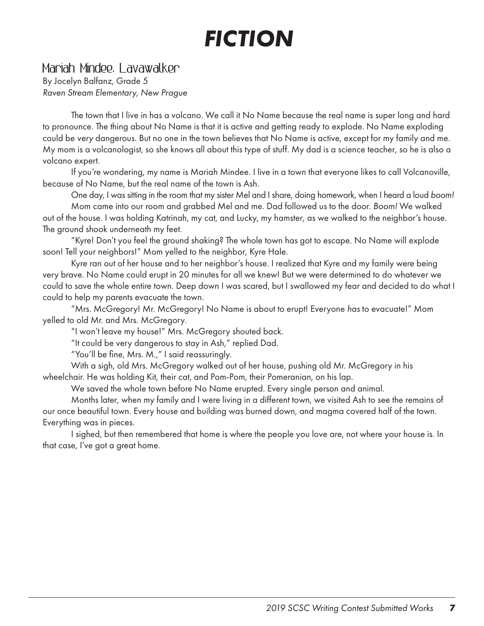# *FICTION*

**Mariah Mindee, Lavawalker**

By Jocelyn Balfanz, Grade 5 *Raven Stream Elementary, New Prague*

The town that I live in has a volcano. We call it No Name because the real name is super long and hard to pronounce. The thing about No Name is that it is active and getting ready to explode. No Name exploding could be *very* dangerous. But no one in the town believes that No Name is active, except for my family and me. My mom is a volcanologist, so she knows all about this type of stuff. My dad is a science teacher, so he is also a volcano expert.

If you're wondering, my name is Mariah Mindee. I live in a town that everyone likes to call Volcanoville, because of No Name, but the real name of the town is Ash.

One day, I was sitting in the room that my sister Mel and I share, doing homework, when I heard a loud *boom!* 

Mom came into our room and grabbed Mel and me. Dad followed us to the door. *Boom!* We walked out of the house. I was holding Katrinah, my cat, and Lucky, my hamster, as we walked to the neighbor's house. The ground shook underneath my feet.

"Kyre! Don't you feel the ground shaking? The whole town has got to escape. No Name will explode soon! Tell your neighbors!" Mom yelled to the neighbor, Kyre Hale.

Kyre ran out of her house and to her neighbor's house. I realized that Kyre and my family were being very brave. No Name could erupt in 20 minutes for all we knew! But we were determined to do whatever we could to save the whole entire town. Deep down I was scared, but I swallowed my fear and decided to do what I could to help my parents evacuate the town.

"Mrs. McGregory! Mr. McGregory! No Name is about to erupt! Everyone *has* to evacuate!" Mom yelled to old Mr. and Mrs. McGregory.

"I won't leave my house!" Mrs. McGregory shouted back.

"It could be very dangerous to stay in Ash," replied Dad.

"You'll be fine, Mrs. M.," I said reassuringly.

With a sigh, old Mrs. McGregory walked out of her house, pushing old Mr. McGregory in his wheelchair. He was holding Kit, their cat, and Pom-Pom, their Pomeranian, on his lap.

We saved the whole town before No Name erupted. Every single person and animal.

Months later, when my family and I were living in a different town, we visited Ash to see the remains of our once beautiful town. Every house and building was burned down, and magma covered half of the town. Everything was in pieces.

I sighed, but then remembered that home is where the people you love are, not where your house is. In that case, I've got a great home.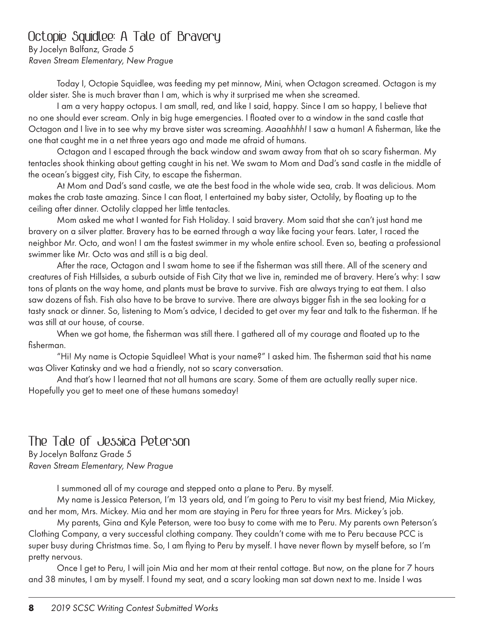# **Octopie Squidlee: A Tale of Bravery**

By Jocelyn Balfanz, Grade 5 *Raven Stream Elementary, New Prague*

Today I, Octopie Squidlee, was feeding my pet minnow, Mini, when Octagon screamed. Octagon is my older sister. She is much braver than I am, which is why it surprised me when she screamed.

I am a very happy octopus. I am small, red, and like I said, happy. Since I am so happy, I believe that no one should ever scream. Only in big huge emergencies. I floated over to a window in the sand castle that Octagon and I live in to see why my brave sister was screaming. *Aaaahhhh!* I saw a human! A fisherman, like the one that caught me in a net three years ago and made me afraid of humans.

Octagon and I escaped through the back window and swam away from that oh so scary fisherman. My tentacles shook thinking about getting caught in his net. We swam to Mom and Dad's sand castle in the middle of the ocean's biggest city, Fish City, to escape the fisherman.

At Mom and Dad's sand castle, we ate the best food in the whole wide sea, crab. It was delicious. Mom makes the crab taste amazing. Since I can float, I entertained my baby sister, Octolily, by floating up to the ceiling after dinner. Octolily clapped her little tentacles.

Mom asked me what I wanted for Fish Holiday. I said bravery. Mom said that she can't just hand me bravery on a silver platter. Bravery has to be earned through a way like facing your fears. Later, I raced the neighbor Mr. Octo, and won! I am the fastest swimmer in my whole entire school. Even so, beating a professional swimmer like Mr. Octo was and still is a big deal.

After the race, Octagon and I swam home to see if the fisherman was still there. All of the scenery and creatures of Fish Hillsides, a suburb outside of Fish City that we live in, reminded me of bravery. Here's why: I saw tons of plants on the way home, and plants must be brave to survive. Fish are always trying to eat them. I also saw dozens of fish. Fish also have to be brave to survive. There are always bigger fish in the sea looking for a tasty snack or dinner. So, listening to Mom's advice, I decided to get over my fear and talk to the fisherman. If he was still at our house, of course.

When we got home, the fisherman was still there. I gathered all of my courage and floated up to the fisherman.

"Hi! My name is Octopie Squidlee! What is your name?" I asked him. The fisherman said that his name was Oliver Katinsky and we had a friendly, not so scary conversation.

And that's how I learned that not all humans are scary. Some of them are actually really super nice. Hopefully you get to meet one of these humans someday!

# **The Tale of Jessica Peterson**

By Jocelyn Balfanz Grade 5 *Raven Stream Elementary, New Prague*

I summoned all of my courage and stepped onto a plane to Peru. By myself.

My name is Jessica Peterson, I'm 13 years old, and I'm going to Peru to visit my best friend, Mia Mickey, and her mom, Mrs. Mickey. Mia and her mom are staying in Peru for three years for Mrs. Mickey's job.

My parents, Gina and Kyle Peterson, were too busy to come with me to Peru. My parents own Peterson's Clothing Company, a very successful clothing company. They couldn't come with me to Peru because PCC is super busy during Christmas time. So, I am flying to Peru by myself. I have never flown by myself before, so I'm pretty nervous.

Once I get to Peru, I will join Mia and her mom at their rental cottage. But now, on the plane for 7 hours and 38 minutes, I am by myself. I found my seat, and a scary looking man sat down next to me. Inside I was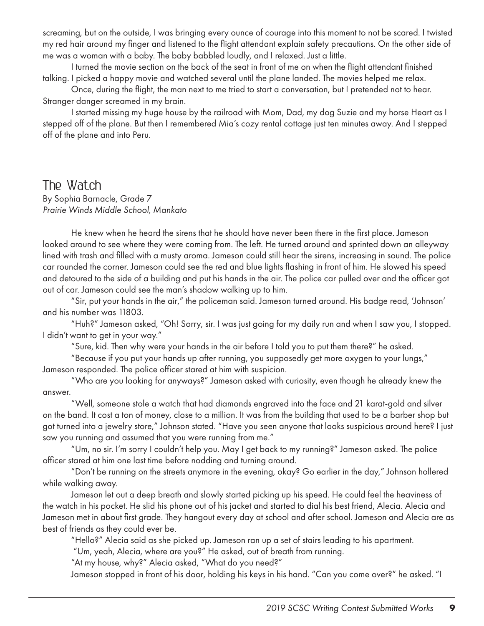screaming, but on the outside, I was bringing every ounce of courage into this moment to not be scared. I twisted my red hair around my finger and listened to the flight attendant explain safety precautions. On the other side of me was a woman with a baby. The baby babbled loudly, and I relaxed. Just a little.

I turned the movie section on the back of the seat in front of me on when the flight attendant finished talking. I picked a happy movie and watched several until the plane landed. The movies helped me relax.

Once, during the flight, the man next to me tried to start a conversation, but I pretended not to hear. Stranger danger screamed in my brain.

I started missing my huge house by the railroad with Mom, Dad, my dog Suzie and my horse Heart as I stepped off of the plane. But then I remembered Mia's cozy rental cottage just ten minutes away. And I stepped off of the plane and into Peru.

#### **The Watch** By Sophia Barnacle, Grade 7

*Prairie Winds Middle School, Mankato*

He knew when he heard the sirens that he should have never been there in the first place. Jameson looked around to see where they were coming from. The left. He turned around and sprinted down an alleyway lined with trash and filled with a musty aroma. Jameson could still hear the sirens, increasing in sound. The police car rounded the corner. Jameson could see the red and blue lights flashing in front of him. He slowed his speed and detoured to the side of a building and put his hands in the air. The police car pulled over and the officer got out of car. Jameson could see the man's shadow walking up to him.

"Sir, put your hands in the air," the policeman said. Jameson turned around. His badge read, 'Johnson' and his number was 11803.

"Huh?" Jameson asked, "Oh! Sorry, sir. I was just going for my daily run and when I saw you, I stopped. I didn't want to get in your way."

"Sure, kid. Then why were your hands in the air before I told you to put them there?" he asked.

"Because if you put your hands up after running, you supposedly get more oxygen to your lungs," Jameson responded. The police officer stared at him with suspicion.

"Who are you looking for anyways?" Jameson asked with curiosity, even though he already knew the answer.

"Well, someone stole a watch that had diamonds engraved into the face and 21 karat-gold and silver on the band. It cost a ton of money, close to a million. It was from the building that used to be a barber shop but got turned into a jewelry store," Johnson stated. "Have you seen anyone that looks suspicious around here? I just saw you running and assumed that you were running from me."

"Um, no sir. I'm sorry I couldn't help you. May I get back to my running?" Jameson asked. The police officer stared at him one last time before nodding and turning around.

"Don't be running on the streets anymore in the evening, okay? Go earlier in the day," Johnson hollered while walking away.

Jameson let out a deep breath and slowly started picking up his speed. He could feel the heaviness of the watch in his pocket. He slid his phone out of his jacket and started to dial his best friend, Alecia. Alecia and Jameson met in about first grade. They hangout every day at school and after school. Jameson and Alecia are as best of friends as they could ever be.

"Hello?" Alecia said as she picked up. Jameson ran up a set of stairs leading to his apartment.

"Um, yeah, Alecia, where are you?" He asked, out of breath from running.

"At my house, why?" Alecia asked, "What do you need?"

Jameson stopped in front of his door, holding his keys in his hand. "Can you come over?" he asked. "I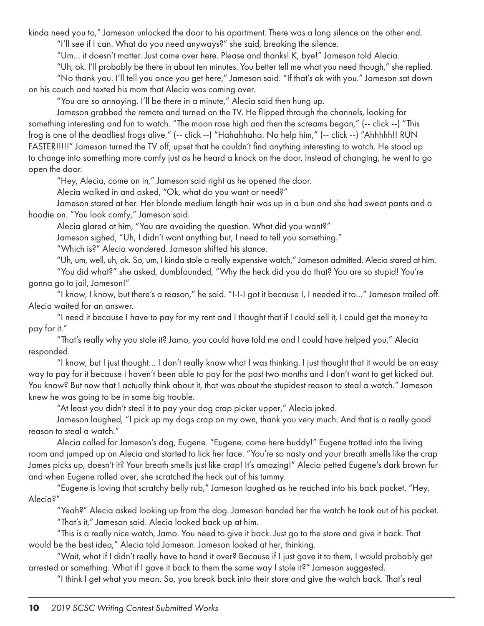kinda need you to," Jameson unlocked the door to his apartment. There was a long silence on the other end.

"I'll see if I can. What do you need anyways?" she said, breaking the silence.

"Um… it doesn't matter. Just come over here. Please and thanks! K, bye!" Jameson told Alecia.

"Uh, ok. I'll probably be there in about ten minutes. You better tell me what you need though," she replied.

"No thank you. I'll tell you once you get here," Jameson said. "If that's ok with you." Jameson sat down on his couch and texted his mom that Alecia was coming over.

"You are so annoying. I'll be there in a minute," Alecia said then hung up.

Jameson grabbed the remote and turned on the TV. He flipped through the channels, looking for something interesting and fun to watch. "The moon rose high and then the screams began," (-- click --) "This frog is one of the deadliest frogs alive," (-- click --) "Hahahhaha. No help him," (-- click --) "Ahhhhh!! RUN FASTER!!!!!" Jameson turned the TV off, upset that he couldn't find anything interesting to watch. He stood up to change into something more comfy just as he heard a knock on the door. Instead of changing, he went to go open the door.

"Hey, Alecia, come on in," Jameson said right as he opened the door.

Alecia walked in and asked, "Ok, what do you want or need?"

Jameson stared at her. Her blonde medium length hair was up in a bun and she had sweat pants and a hoodie on. "You look comfy," Jameson said.

Alecia glared at him, "You are avoiding the question. What did you want?"

Jameson sighed, "Uh, I didn't want anything but, I need to tell you something."

"Which is?" Alecia wondered. Jameson shifted his stance.

"Uh, um, well, uh, ok. So, um, I kinda stole a really expensive watch," Jameson admitted. Alecia stared at him.

"You did what?" she asked, dumbfounded, "Why the heck did you do that? You are so stupid! You're gonna go to jail, Jameson!"

"I know, I know, but there's a reason," he said. "I-I-I got it because I, I needed it to…" Jameson trailed off. Alecia waited for an answer.

"I need it because I have to pay for my rent and I thought that if I could sell it, I could get the money to pay for it."

"That's really why you stole it? Jamo, you could have told me and I could have helped you," Alecia responded.

"I know, but I just thought… I don't really know what I was thinking. I just thought that it would be an easy way to pay for it because I haven't been able to pay for the past two months and I don't want to get kicked out. You know? But now that I actually think about it, that was about the stupidest reason to steal a watch." Jameson knew he was going to be in some big trouble.

"At least you didn't steal it to pay your dog crap picker upper," Alecia joked.

Jameson laughed, "I pick up my dogs crap on my own, thank you very much. And that is a really good reason to steal a watch."

Alecia called for Jameson's dog, Eugene. "Eugene, come here buddy!" Eugene trotted into the living room and jumped up on Alecia and started to lick her face. "You're so nasty and your breath smells like the crap James picks up, doesn't it? Your breath smells just like crap! It's amazing!" Alecia petted Eugene's dark brown fur and when Eugene rolled over, she scratched the heck out of his tummy.

"Eugene is loving that scratchy belly rub," Jameson laughed as he reached into his back pocket. "Hey, Alecia?"

"Yeah?" Alecia asked looking up from the dog. Jameson handed her the watch he took out of his pocket. "That's it," Jameson said. Alecia looked back up at him.

"This is a really nice watch, Jamo. You need to give it back. Just go to the store and give it back. That would be the best idea," Alecia told Jameson. Jameson looked at her, thinking.

"Wait, what if I didn't really have to hand it over? Because if I just gave it to them, I would probably get arrested or something. What if I gave it back to them the same way I stole it?" Jameson suggested.

"I think I get what you mean. So, you break back into their store and give the watch back. That's real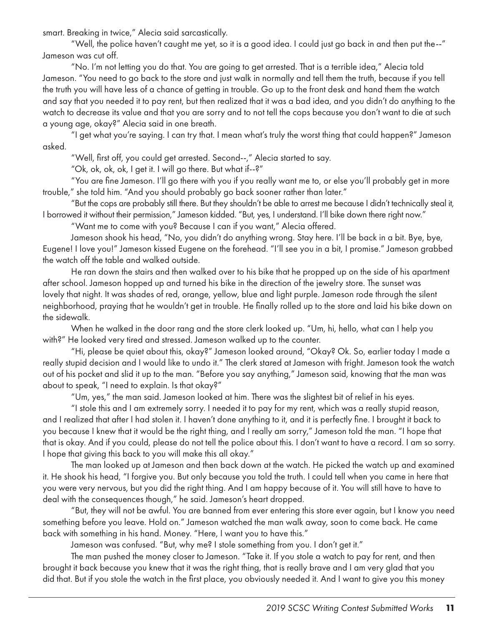smart. Breaking in twice," Alecia said sarcastically.

"Well, the police haven't caught me yet, so it is a good idea. I could just go back in and then put the--" Jameson was cut off.

"No. I'm not letting you do that. You are going to get arrested. That is a terrible idea," Alecia told Jameson. "You need to go back to the store and just walk in normally and tell them the truth, because if you tell the truth you will have less of a chance of getting in trouble. Go up to the front desk and hand them the watch and say that you needed it to pay rent, but then realized that it was a bad idea, and you didn't do anything to the watch to decrease its value and that you are sorry and to not tell the cops because you don't want to die at such a young age, okay?" Alecia said in one breath.

"I get what you're saying. I can try that. I mean what's truly the worst thing that could happen?" Jameson asked.

"Well, first off, you could get arrested. Second--," Alecia started to say.

"Ok, ok, ok, ok, I get it. I will go there. But what if--?"

"You are fine Jameson. I'll go there with you if you really want me to, or else you'll probably get in more trouble," she told him. "And you should probably go back sooner rather than later."

"But the cops are probably still there. But they shouldn't be able to arrest me because I didn't technically steal it, I borrowed it without their permission," Jameson kidded. "But, yes, I understand. I'll bike down there right now."

"Want me to come with you? Because I can if you want," Alecia offered.

Jameson shook his head, "No, you didn't do anything wrong. Stay here. I'll be back in a bit. Bye, bye, Eugene! I love you!" Jameson kissed Eugene on the forehead. "I'll see you in a bit, I promise." Jameson grabbed the watch off the table and walked outside.

He ran down the stairs and then walked over to his bike that he propped up on the side of his apartment after school. Jameson hopped up and turned his bike in the direction of the jewelry store. The sunset was lovely that night. It was shades of red, orange, yellow, blue and light purple. Jameson rode through the silent neighborhood, praying that he wouldn't get in trouble. He finally rolled up to the store and laid his bike down on the sidewalk.

When he walked in the door rang and the store clerk looked up. "Um, hi, hello, what can I help you with?" He looked very tired and stressed. Jameson walked up to the counter.

"Hi, please be quiet about this, okay?" Jameson looked around, "Okay? Ok. So, earlier today I made a really stupid decision and I would like to undo it." The clerk stared at Jameson with fright. Jameson took the watch out of his pocket and slid it up to the man. "Before you say anything," Jameson said, knowing that the man was about to speak, "I need to explain. Is that okay?"

"Um, yes," the man said. Jameson looked at him. There was the slightest bit of relief in his eyes.

"I stole this and I am extremely sorry. I needed it to pay for my rent, which was a really stupid reason, and I realized that after I had stolen it. I haven't done anything to it, and it is perfectly fine. I brought it back to you because I knew that it would be the right thing, and I really am sorry," Jameson told the man. "I hope that that is okay. And if you could, please do not tell the police about this. I don't want to have a record. I am so sorry. I hope that giving this back to you will make this all okay."

The man looked up at Jameson and then back down at the watch. He picked the watch up and examined it. He shook his head, "I forgive you. But only because you told the truth. I could tell when you came in here that you were very nervous, but you did the right thing. And I am happy because of it. You will still have to have to deal with the consequences though," he said. Jameson's heart dropped.

"But, they will not be awful. You are banned from ever entering this store ever again, but I know you need something before you leave. Hold on." Jameson watched the man walk away, soon to come back. He came back with something in his hand. Money. "Here, I want you to have this."

Jameson was confused. "But, why me? I stole something from you. I don't get it."

The man pushed the money closer to Jameson. "Take it. If you stole a watch to pay for rent, and then brought it back because you knew that it was the right thing, that is really brave and I am very glad that you did that. But if you stole the watch in the first place, you obviously needed it. And I want to give you this money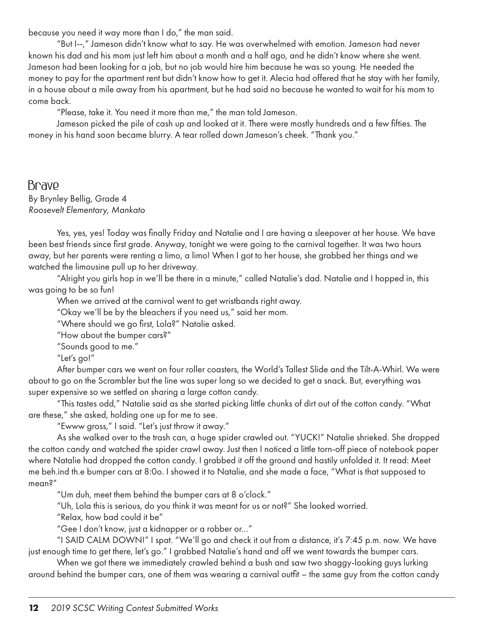because you need it way more than I do," the man said.

"But I--," Jameson didn't know what to say. He was overwhelmed with emotion. Jameson had never known his dad and his mom just left him about a month and a half ago, and he didn't know where she went. Jameson had been looking for a job, but no job would hire him because he was so young. He needed the money to pay for the apartment rent but didn't know how to get it. Alecia had offered that he stay with her family, in a house about a mile away from his apartment, but he had said no because he wanted to wait for his mom to come back.

"Please, take it. You need it more than me," the man told Jameson.

Jameson picked the pile of cash up and looked at it. There were mostly hundreds and a few fifties. The money in his hand soon became blurry. A tear rolled down Jameson's cheek. "Thank you."

#### **Brave** By Brynley Bellig, Grade 4

*Roosevelt Elementary, Mankato*

Yes, yes, yes! Today was finally Friday and Natalie and I are having a sleepover at her house. We have been best friends since first grade. Anyway, tonight we were going to the carnival together. It was two hours away, but her parents were renting a limo, a limo! When I got to her house, she grabbed her things and we watched the limousine pull up to her driveway.

"Alright you girls hop in we'll be there in a minute," called Natalie's dad. Natalie and I hopped in, this was going to be so fun!

When we arrived at the carnival went to get wristbands right away.

"Okay we'll be by the bleachers if you need us," said her mom.

"Where should we go first, Lola?" Natalie asked.

"How about the bumper cars?"

"Sounds good to me."

"Let's go!"

After bumper cars we went on four roller coasters, the World's Tallest Slide and the Tilt-A-Whirl. We were about to go on the Scrambler but the line was super long so we decided to get a snack. But, everything was super expensive so we settled on sharing a large cotton candy.

"This tastes odd," Natalie said as she started picking little chunks of dirt out of the cotton candy. "What are these," she asked, holding one up for me to see.

"Ewww gross," I said. "Let's just throw it away."

As she walked over to the trash can, a huge spider crawled out. "YUCK!" Natalie shrieked. She dropped the cotton candy and watched the spider crawl away. Just then I noticed a little torn-off piece of notebook paper where Natalie had dropped the cotton candy. I grabbed it off the ground and hastily unfolded it. It read: Meet me beh.ind th.e bumper cars at 8:0o. I showed it to Natalie, and she made a face, "What is that supposed to mean?"

"Um duh, meet them behind the bumper cars at 8 o'clock."

"Uh, Lola this is serious, do you think it was meant for us or not?" She looked worried.

"Relax, how bad could it be"

"Gee I don't know, just a kidnapper or a robber or…"

"I SAID CALM DOWN!" I spat. "We'll go and check it out from a distance, it's 7:45 p.m. now. We have just enough time to get there, let's go." I grabbed Natalie's hand and off we went towards the bumper cars.

When we got there we immediately crawled behind a bush and saw two shaggy-looking guys lurking around behind the bumper cars, one of them was wearing a carnival outfit – the same guy from the cotton candy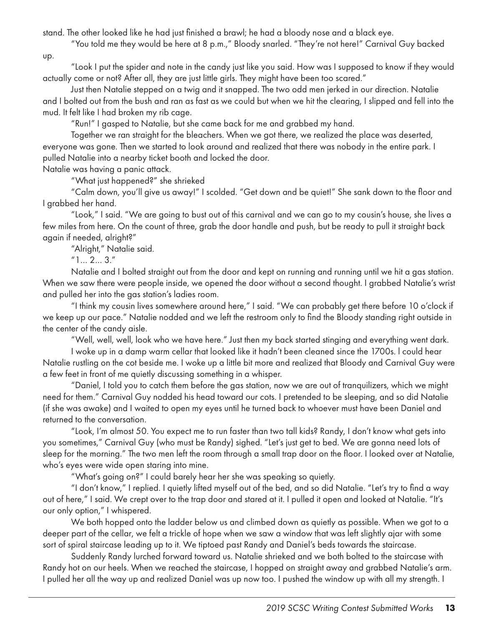stand. The other looked like he had just finished a brawl; he had a bloody nose and a black eye.

"You told me they would be here at 8 p.m.," Bloody snarled. "They're not here!" Carnival Guy backed

up.

"Look I put the spider and note in the candy just like you said. How was I supposed to know if they would actually come or not? After all, they are just little girls. They might have been too scared."

Just then Natalie stepped on a twig and it snapped. The two odd men jerked in our direction. Natalie and I bolted out from the bush and ran as fast as we could but when we hit the clearing, I slipped and fell into the mud. It felt like I had broken my rib cage.

"Run!" I gasped to Natalie, but she came back for me and grabbed my hand.

Together we ran straight for the bleachers. When we got there, we realized the place was deserted, everyone was gone. Then we started to look around and realized that there was nobody in the entire park. I pulled Natalie into a nearby ticket booth and locked the door.

Natalie was having a panic attack.

"What just happened?" she shrieked

"Calm down, you'll give us away!" I scolded. "Get down and be quiet!" She sank down to the floor and I grabbed her hand.

"Look," I said. "We are going to bust out of this carnival and we can go to my cousin's house, she lives a few miles from here. On the count of three, grab the door handle and push, but be ready to pull it straight back again if needed, alright?"

"Alright," Natalie said.

"1… 2… 3."

Natalie and I bolted straight out from the door and kept on running and running until we hit a gas station. When we saw there were people inside, we opened the door without a second thought. I grabbed Natalie's wrist and pulled her into the gas station's ladies room.

"I think my cousin lives somewhere around here," I said. "We can probably get there before 10 o'clock if we keep up our pace." Natalie nodded and we left the restroom only to find the Bloody standing right outside in the center of the candy aisle.

"Well, well, well, look who we have here." Just then my back started stinging and everything went dark.

I woke up in a damp warm cellar that looked like it hadn't been cleaned since the 1700s. l could hear Natalie rustling on the cot beside me. I woke up a little bit more and realized that Bloody and Carnival Guy were a few feet in front of me quietly discussing something in a whisper.

"Daniel, I told you to catch them before the gas station, now we are out of tranquilizers, which we might need for them." Carnival Guy nodded his head toward our cots. I pretended to be sleeping, and so did Natalie (if she was awake) and I waited to open my eyes until he turned back to whoever must have been Daniel and returned to the conversation.

"Look, I'm almost 50. You expect me to run faster than two tall kids? Randy, I don't know what gets into you sometimes," Carnival Guy (who must be Randy) sighed. "Let's just get to bed. We are gonna need lots of sleep for the morning." The two men left the room through a small trap door on the floor. I looked over at Natalie, who's eyes were wide open staring into mine.

"What's going on?" I could barely hear her she was speaking so quietly.

"I don't know," I replied. I quietly lifted myself out of the bed, and so did Natalie. "Let's try to find a way out of here," I said. We crept over to the trap door and stared at it. I pulled it open and looked at Natalie. "It's our only option," I whispered.

We both hopped onto the ladder below us and climbed down as quietly as possible. When we got to a deeper part of the cellar, we felt a trickle of hope when we saw a window that was left slightly ajar with some sort of spiral staircase leading up to it. We tiptoed past Randy and Daniel's beds towards the staircase.

Suddenly Randy lurched forward toward us. Natalie shrieked and we both bolted to the staircase with Randy hot on our heels. When we reached the staircase, I hopped on straight away and grabbed Natalie's arm. I pulled her all the way up and realized Daniel was up now too. I pushed the window up with all my strength. I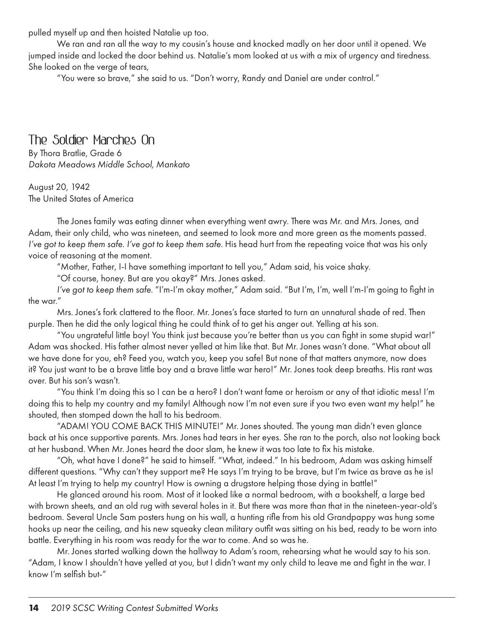pulled myself up and then hoisted Natalie up too.

We ran and ran all the way to my cousin's house and knocked madly on her door until it opened. We jumped inside and locked the door behind us. Natalie's mom looked at us with a mix of urgency and tiredness. She looked on the verge of tears,

"You were so brave," she said to us. "Don't worry, Randy and Daniel are under control."

# **The Soldier Marches On**

By Thora Bratlie, Grade 6 *Dakota Meadows Middle School, Mankato*

August 20, 1942 The United States of America

The Jones family was eating dinner when everything went awry. There was Mr. and Mrs. Jones, and Adam, their only child, who was nineteen, and seemed to look more and more green as the moments passed. *I've got to keep them safe. I've got to keep them safe.* His head hurt from the repeating voice that was his only voice of reasoning at the moment.

"Mother, Father, I-I have something important to tell you," Adam said, his voice shaky.

"Of course, honey. But are you okay?" Mrs. Jones asked.

*I've got to keep them safe.* "I'm-I'm okay mother," Adam said. "But I'm, I'm, well I'm-I'm going to fight in the war."

Mrs. Jones's fork clattered to the floor. Mr. Jones's face started to turn an unnatural shade of red. Then purple. Then he did the only logical thing he could think of to get his anger out. Yelling at his son.

"You ungrateful little boy! You think just because you're better than us you can fight in some stupid war!" Adam was shocked. His father almost never yelled at him like that. But Mr. Jones wasn't done. "What about all we have done for you, eh? Feed you, watch you, keep you safe! But none of that matters anymore, now does it? You just want to be a brave little boy and a brave little war hero!" Mr. Jones took deep breaths. His rant was over. But his son's wasn't.

"You think I'm doing this so I can be a hero? I don't want fame or heroism or any of that idiotic mess! I'm doing this to help my country and my family! Although now I'm not even sure if you two even want my help!" he shouted, then stomped down the hall to his bedroom.

"ADAM! YOU COME BACK THIS MINUTE!" Mr. Jones shouted. The young man didn't even glance back at his once supportive parents. Mrs. Jones had tears in her eyes. She ran to the porch, also not looking back at her husband. When Mr. Jones heard the door slam, he knew it was too late to fix his mistake.

"Oh, what have I done?" he said to himself. "What, indeed." In his bedroom, Adam was asking himself different questions. "Why can't they support me? He says I'm trying to be brave, but I'm twice as brave as he is! At least I'm trying to help my country! How is owning a drugstore helping those dying in battle!"

He glanced around his room. Most of it looked like a normal bedroom, with a bookshelf, a large bed with brown sheets, and an old rug with several holes in it. But there was more than that in the nineteen-year-old's bedroom. Several Uncle Sam posters hung on his wall, a hunting rifle from his old Grandpappy was hung some hooks up near the ceiling, and his new squeaky clean military outfit was sitting on his bed, ready to be worn into battle. Everything in his room was ready for the war to come. And so was he.

Mr. Jones started walking down the hallway to Adam's room, rehearsing what he would say to his son. "Adam, I know I shouldn't have yelled at you, but I didn't want my only child to leave me and fight in the war. I know I'm selfish but-"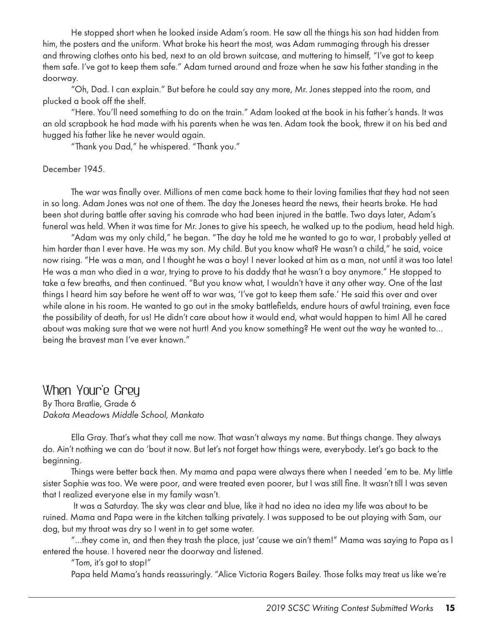He stopped short when he looked inside Adam's room. He saw all the things his son had hidden from him, the posters and the uniform. What broke his heart the most, was Adam rummaging through his dresser and throwing clothes onto his bed, next to an old brown suitcase, and muttering to himself, "I've got to keep them safe. I've got to keep them safe." Adam turned around and froze when he saw his father standing in the doorway.

"Oh, Dad. I can explain." But before he could say any more, Mr. Jones stepped into the room, and plucked a book off the shelf.

"Here. You'll need something to do on the train." Adam looked at the book in his father's hands. It was an old scrapbook he had made with his parents when he was ten. Adam took the book, threw it on his bed and hugged his father like he never would again.

"Thank you Dad," he whispered. "Thank you."

#### December 1945.

The war was finally over. Millions of men came back home to their loving families that they had not seen in so long. Adam Jones was not one of them. The day the Joneses heard the news, their hearts broke. He had been shot during battle after saving his comrade who had been injured in the battle. Two days later, Adam's funeral was held. When it was time for Mr. Jones to give his speech, he walked up to the podium, head held high.

"Adam was my only child," he began. "The day he told me he wanted to go to war, I probably yelled at him harder than I ever have. He was my son. My child. But you know what? He wasn't a child," he said, voice now rising. "He was a man, and I thought he was a boy! I never looked at him as a man, not until it was too late! He was a man who died in a war, trying to prove to his daddy that he wasn't a boy anymore." He stopped to take a few breaths, and then continued. "But you know what, I wouldn't have it any other way. One of the last things I heard him say before he went off to war was, 'I've got to keep them safe.' He said this over and over while alone in his room. He wanted to go out in the smoky battlefields, endure hours of awful training, even face the possibility of death, for us! He didn't care about how it would end, what would happen to him! All he cared about was making sure that we were not hurt! And you know something? He went out the way he wanted to… being the bravest man I've ever known."

#### **When You'r'e Grey**

By Thora Bratlie, Grade 6 *Dakota Meadows Middle School, Mankato*

Ella Gray. That's what they call me now. That wasn't always my name. But things change. They always do. Ain't nothing we can do 'bout it now. But let's not forget how things were, everybody. Let's go back to the beginning.

Things were better back then. My mama and papa were always there when I needed 'em to be. My little sister Sophie was too. We were poor, and were treated even poorer, but I was still fine. It wasn't till I was seven that I realized everyone else in my family wasn't.

 It was a Saturday. The sky was clear and blue, like it had no idea no idea my life was about to be ruined. Mama and Papa were in the kitchen talking privately. I was supposed to be out playing with Sam, our dog, but my throat was dry so I went in to get some water.

"…they come in, and then they trash the place, just 'cause we ain't them!" Mama was saying to Papa as I entered the house. I hovered near the doorway and listened.

"Tom, it's got to stop!"

Papa held Mama's hands reassuringly. "Alice Victoria Rogers Bailey. Those folks may treat us like we're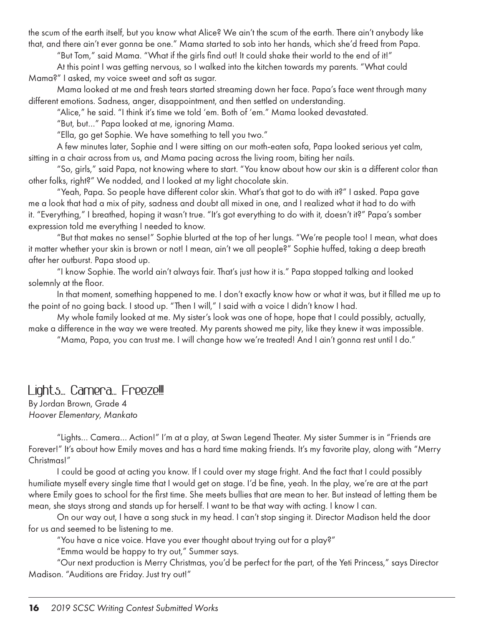the scum of the earth itself, but you know what Alice? We ain't the scum of the earth. There ain't anybody like that, and there ain't ever gonna be one." Mama started to sob into her hands, which she'd freed from Papa.

"But Tom," said Mama. "What if the girls find out! It could shake their world to the end of it!"

At this point I was getting nervous, so I walked into the kitchen towards my parents. "What could Mama?" I asked, my voice sweet and soft as sugar.

Mama looked at me and fresh tears started streaming down her face. Papa's face went through many different emotions. Sadness, anger, disappointment, and then settled on understanding.

"Alice," he said. "I think it's time we told 'em. Both of 'em." Mama looked devastated.

"But, but…" Papa looked at me, ignoring Mama.

"Ella, go get Sophie. We have something to tell you two."

A few minutes later, Sophie and I were sitting on our moth-eaten sofa, Papa looked serious yet calm, sitting in a chair across from us, and Mama pacing across the living room, biting her nails.

"So, girls," said Papa, not knowing where to start. "You know about how our skin is a different color than other folks, right?" We nodded, and I looked at my light chocolate skin.

"Yeah, Papa. So people have different color skin. What's that got to do with it?" I asked. Papa gave me a look that had a mix of pity, sadness and doubt all mixed in one, and I realized what it had to do with it. "Everything," I breathed, hoping it wasn't true. "It's got everything to do with it, doesn't it?" Papa's somber expression told me everything I needed to know.

"But that makes no sense!" Sophie blurted at the top of her lungs. "We're people too! I mean, what does it matter whether your skin is brown or not! I mean, ain't we all people?" Sophie huffed, taking a deep breath after her outburst. Papa stood up.

"I know Sophie. The world ain't always fair. That's just how it is." Papa stopped talking and looked solemnly at the floor.

In that moment, something happened to me. I don't exactly know how or what it was, but it filled me up to the point of no going back. I stood up. "Then I will," I said with a voice I didn't know I had.

My whole family looked at me. My sister's look was one of hope, hope that I could possibly, actually, make a difference in the way we were treated. My parents showed me pity, like they knew it was impossible.

"Mama, Papa, you can trust me. I will change how we're treated! And I ain't gonna rest until I do."

### **Lights... Camera... Freeze!!!**

By Jordan Brown, Grade 4 *Hoover Elementary, Mankato*

"Lights… Camera… Action!" I'm at a play, at Swan Legend Theater. My sister Summer is in "Friends are Forever!" It's about how Emily moves and has a hard time making friends. It's my favorite play, along with "Merry Christmas!"

I could be good at acting you know. If I could over my stage fright. And the fact that I could possibly humiliate myself every single time that I would get on stage. I'd be fine, yeah. In the play, we're are at the part where Emily goes to school for the first time. She meets bullies that are mean to her. But instead of letting them be mean, she stays strong and stands up for herself. I want to be that way with acting. I know I can.

On our way out, I have a song stuck in my head. I can't stop singing it. Director Madison held the door for us and seemed to be listening to me.

"You have a nice voice. Have you ever thought about trying out for a play?"

"Emma would be happy to try out," Summer says.

"Our next production is Merry Christmas, you'd be perfect for the part, of the Yeti Princess," says Director Madison. "Auditions are Friday. Just try out!"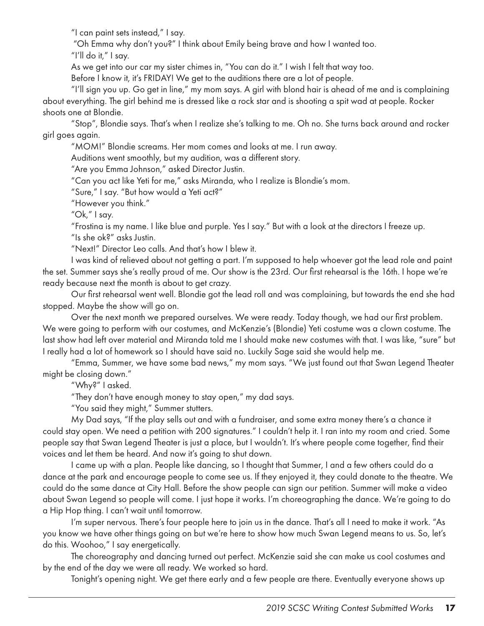"I can paint sets instead," I say.

"Oh Emma why don't you?" I think about Emily being brave and how I wanted too.

"I'll do it," I say.

As we get into our car my sister chimes in, "You can do it." I wish I felt that way too.

Before I know it, it's FRIDAY! We get to the auditions there are a lot of people.

"I'll sign you up. Go get in line," my mom says. A girl with blond hair is ahead of me and is complaining about everything. The girl behind me is dressed like a rock star and is shooting a spit wad at people. Rocker shoots one at Blondie.

"Stop", Blondie says. That's when I realize she's talking to me. Oh no. She turns back around and rocker girl goes again.

"MOM!" Blondie screams. Her mom comes and looks at me. I run away.

Auditions went smoothly, but my audition, was a different story.

"Are you Emma Johnson," asked Director Justin.

"Can you act like Yeti for me," asks Miranda, who I realize is Blondie's mom.

"Sure," I say. "But how would a Yeti act?"

"However you think."

"Ok," I say.

"Frostina is my name. I like blue and purple. Yes I say." But with a look at the directors I freeze up. "Is she ok?" asks Justin.

"Next!" Director Leo calls. And that's how I blew it.

I was kind of relieved about not getting a part. I'm supposed to help whoever got the lead role and paint the set. Summer says she's really proud of me. Our show is the 23rd. Our first rehearsal is the 16th. I hope we're ready because next the month is about to get crazy.

Our first rehearsal went well. Blondie got the lead roll and was complaining, but towards the end she had stopped. Maybe the show will go on.

Over the next month we prepared ourselves. We were ready. Today though, we had our first problem. We were going to perform with our costumes, and McKenzie's (Blondie) Yeti costume was a clown costume. The last show had left over material and Miranda told me I should make new costumes with that. I was like, "sure" but I really had a lot of homework so I should have said no. Luckily Sage said she would help me.

"Emma, Summer, we have some bad news," my mom says. "We just found out that Swan Legend Theater might be closing down."

"Why?" I asked.

"They don't have enough money to stay open," my dad says.

"You said they might," Summer stutters.

My Dad says, "If the play sells out and with a fundraiser, and some extra money there's a chance it could stay open. We need a petition with 200 signatures." I couldn't help it. I ran into my room and cried. Some people say that Swan Legend Theater is just a place, but I wouldn't. It's where people come together, find their voices and let them be heard. And now it's going to shut down.

I came up with a plan. People like dancing, so I thought that Summer, I and a few others could do a dance at the park and encourage people to come see us. If they enjoyed it, they could donate to the theatre. We could do the same dance at City Hall. Before the show people can sign our petition. Summer will make a video about Swan Legend so people will come. I just hope it works. I'm choreographing the dance. We're going to do a Hip Hop thing. I can't wait until tomorrow.

I'm super nervous. There's four people here to join us in the dance. That's all I need to make it work. "As you know we have other things going on but we're here to show how much Swan Legend means to us. So, let's do this. Woohoo," I say energetically.

The choreography and dancing turned out perfect. McKenzie said she can make us cool costumes and by the end of the day we were all ready. We worked so hard.

Tonight's opening night. We get there early and a few people are there. Eventually everyone shows up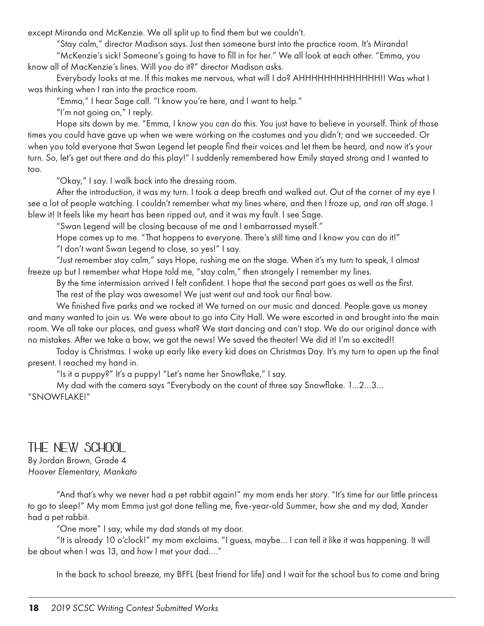except Miranda and McKenzie. We all split up to find them but we couldn't.

"Stay calm," director Madison says. Just then someone burst into the practice room. It's Miranda!

"McKenzie's sick! Someone's going to have to fill in for her." We all look at each other. "Emma, you know all of MacKenzie's lines. Will you do it?" director Madison asks.

Everybody looks at me. If this makes me nervous, what will I do? AHHHHHHHHHHHHH!! Was what I was thinking when I ran into the practice room.

"Emma," I hear Sage call. "I know you're here, and I want to help."

"I'm not going on," I reply.

Hope sits down by me. "Emma, I know you can do this. You just have to believe in yourself. Think of those times you could have gave up when we were working on the costumes and you didn't; and we succeeded. Or when you told everyone that Swan Legend let people find their voices and let them be heard, and now it's your turn. So, let's get out there and do this play!" I suddenly remembered how Emily stayed strong and I wanted to too.

"Okay," I say. I walk back into the dressing room.

After the introduction, it was my turn. I took a deep breath and walked out. Out of the corner of my eye I see a lot of people watching. I couldn't remember what my lines where, and then I froze up, and ran off stage. I blew it! It feels like my heart has been ripped out, and it was my fault. I see Sage.

"Swan Legend will be closing because of me and I embarrassed myself."

Hope comes up to me. "That happens to everyone. There's still time and I know you can do it!" "I don't want Swan Legend to close, so yes!" I say.

"Just remember stay calm," says Hope, rushing me on the stage. When it's my turn to speak, I almost freeze up but I remember what Hope told me, "stay calm," then strangely I remember my lines.

By the time intermission arrived I felt confident. I hope that the second part goes as well as the first. The rest of the play was awesome! We just went out and took our final bow.

We finished five parks and we rocked it! We turned on our music and danced. People gave us money and many wanted to join us. We were about to go into City Hall. We were escorted in and brought into the main room. We all take our places, and guess what? We start dancing and can't stop. We do our original dance with no mistakes. After we take a bow, we got the news! We saved the theater! We did it! I'm so excited!!

Today is Christmas. I woke up early like every kid does on Christmas Day. It's my turn to open up the final present. I reached my hand in.

"Is it a puppy?" It's a puppy! "Let's name her Snowflake," I say.

My dad with the camera says "Everybody on the count of three say Snowflake. 1...2…3… "SNOWFLAKE!"

# **THE NEW SCHOOL**

By Jordan Brown, Grade 4 *Hoover Elementary, Mankato*

"And that's why we never had a pet rabbit again!" my mom ends her story. "It's time for our little princess to go to sleep!" My mom Emma just got done telling me, five-year-old Summer, how she and my dad, Xander had a pet rabbit.

"One more" I say, while my dad stands at my door.

"It is already 10 o'clock!" my mom exclaims. "I guess, maybe… I can tell it like it was happening. It will be about when I was 13, and how I met your dad…."

In the back to school breeze, my BFFL (best friend for life) and I wait for the school bus to come and bring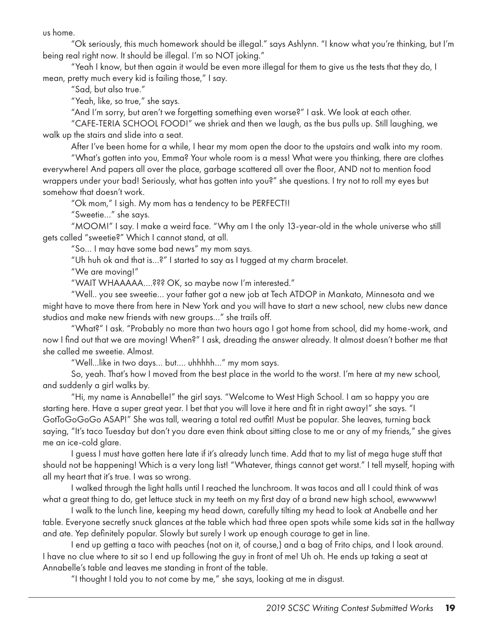us home.

"Ok seriously, this much homework should be illegal." says Ashlynn. "I know what you're thinking, but I'm being real right now. It should be illegal. I'm so NOT joking."

"Yeah I know, but then again it would be even more illegal for them to give us the tests that they do, I mean, pretty much every kid is failing those," I say.

"Sad, but also true."

"Yeah, like, so true," she says.

"And I'm sorry, but aren't we forgetting something even worse?" I ask. We look at each other.

"CAFE-TERIA SCHOOL FOOD!" we shriek and then we laugh, as the bus pulls up. Still laughing, we walk up the stairs and slide into a seat.

After I've been home for a while, I hear my mom open the door to the upstairs and walk into my room.

"What's gotten into you, Emma? Your whole room is a mess! What were you thinking, there are clothes everywhere! And papers all over the place, garbage scattered all over the floor, AND not to mention food wrappers under your bad! Seriously, what has gotten into you?" she questions. I try not to roll my eyes but somehow that doesn't work.

"Ok mom," I sigh. My mom has a tendency to be PERFECT!!

"Sweetie…" she says.

"MOOM!" I say. I make a weird face. "Why am I the only 13-year-old in the whole universe who still gets called "sweetie?" Which I cannot stand, at all.

"So… I may have some bad news" my mom says.

"Uh huh ok and that is…?" I started to say as I tugged at my charm bracelet.

"We are moving!"

"WAIT WHAAAAA….??? OK, so maybe now I'm interested."

"Well.. you see sweetie… your father got a new job at Tech ATDOP in Mankato, Minnesota and we might have to move there from here in New York and you will have to start a new school, new clubs new dance studios and make new friends with new groups…" she trails off.

"What?" I ask. "Probably no more than two hours ago I got home from school, did my home-work, and now I find out that we are moving! When?" I ask, dreading the answer already. It almost doesn't bother me that she called me sweetie. Almost.

"Well...like in two days… but…. uhhhhh…" my mom says.

So, yeah. That's how I moved from the best place in the world to the worst. I'm here at my new school, and suddenly a girl walks by.

"Hi, my name is Annabelle!" the girl says. "Welcome to West High School. I am so happy you are starting here. Have a super great year. I bet that you will love it here and fit in right away!" she says. "I GotToGoGoGo ASAP!" She was tall, wearing a total red outfit! Must be popular. She leaves, turning back saying, "It's taco Tuesday but don't you dare even think about sitting close to me or any of my friends," she gives me an ice-cold glare.

I guess I must have gotten here late if it's already lunch time. Add that to my list of mega huge stuff that should not be happening! Which is a very long list! "Whatever, things cannot get worst." I tell myself, hoping with all my heart that it's true. I was so wrong.

I walked through the light halls until I reached the lunchroom. It was tacos and all I could think of was what a great thing to do, get lettuce stuck in my teeth on my first day of a brand new high school, ewwwww!

I walk to the lunch line, keeping my head down, carefully tilting my head to look at Anabelle and her table. Everyone secretly snuck glances at the table which had three open spots while some kids sat in the hallway and ate. Yep definitely popular. Slowly but surely I work up enough courage to get in line.

I end up getting a taco with peaches (not on it, of course,) and a bag of Frito chips, and I look around. I have no clue where to sit so I end up following the guy in front of me! Uh oh. He ends up taking a seat at Annabelle's table and leaves me standing in front of the table.

"I thought I told you to not come by me," she says, looking at me in disgust.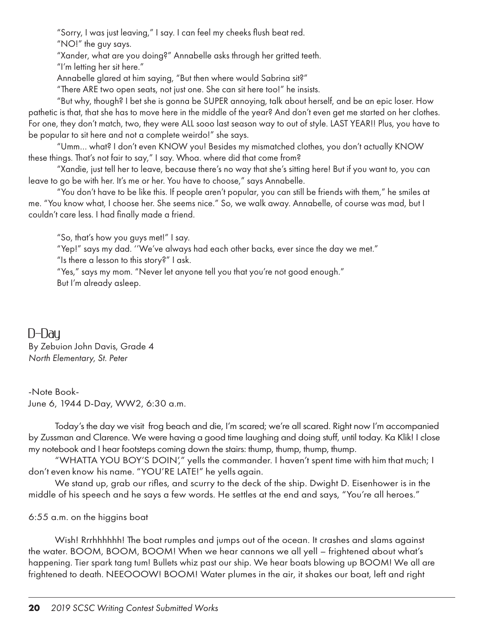"Sorry, I was just leaving," I say. I can feel my cheeks flush beat red.

"NO!" the guy says.

"Xander, what are you doing?" Annabelle asks through her gritted teeth.

"I'm letting her sit here."

Annabelle glared at him saying, "But then where would Sabrina sit?"

"There ARE two open seats, not just one. She can sit here too!" he insists.

"But why, though? I bet she is gonna be SUPER annoying, talk about herself, and be an epic loser. How pathetic is that, that she has to move here in the middle of the year? And don't even get me started on her clothes. For one, they don't match, two, they were ALL sooo last season way to out of style. LAST YEAR!! Plus, you have to be popular to sit here and not a complete weirdo!" she says.

"Umm… what? I don't even KNOW you! Besides my mismatched clothes, you don't actually KNOW these things. That's not fair to say," I say. Whoa. where did that come from?

"Xandie, just tell her to leave, because there's no way that she's sitting here! But if you want to, you can leave to go be with her. It's me or her. You have to choose," says Annabelle.

"You don't have to be like this. If people aren't popular, you can still be friends with them," he smiles at me. "You know what, I choose her. She seems nice." So, we walk away. Annabelle, of course was mad, but I couldn't care less. I had finally made a friend.

"So, that's how you guys met!" I say.

"Yep!" says my dad. ''We've always had each other backs, ever since the day we met."

"Is there a lesson to this story?" I ask.

"Yes," says my mom. "Never let anyone tell you that you're not good enough."

But I'm already asleep.

**D-Day** By Zebuion John Davis, Grade 4 *North Elementary, St. Peter*

-Note Book-June 6, 1944 D-Day, WW2, 6:30 a.m.

Today's the day we visit frog beach and die, I'm scared; we're all scared. Right now I'm accompanied by Zussman and Clarence. We were having a good time laughing and doing stuff, until today. Ka Klik! I close my notebook and I hear footsteps coming down the stairs: thump, thump, thump, thump.

"WHATTA YOU BOY'S DOIN'," yells the commander. I haven't spent time with him that much; I don't even know his name. "YOU'RE LATE!" he yells again.

We stand up, grab our rifles, and scurry to the deck of the ship. Dwight D. Eisenhower is in the middle of his speech and he says a few words. He settles at the end and says, "You're all heroes."

#### 6:55 a.m. on the higgins boat

Wish! Rrrhhhhhh! The boat rumples and jumps out of the ocean. It crashes and slams against the water. BOOM, BOOM, BOOM! When we hear cannons we all yell – frightened about what's happening. Tier spark tang tum! Bullets whiz past our ship. We hear boats blowing up BOOM! We all are frightened to death. NEEOOOW! BOOM! Water plumes in the air, it shakes our boat, left and right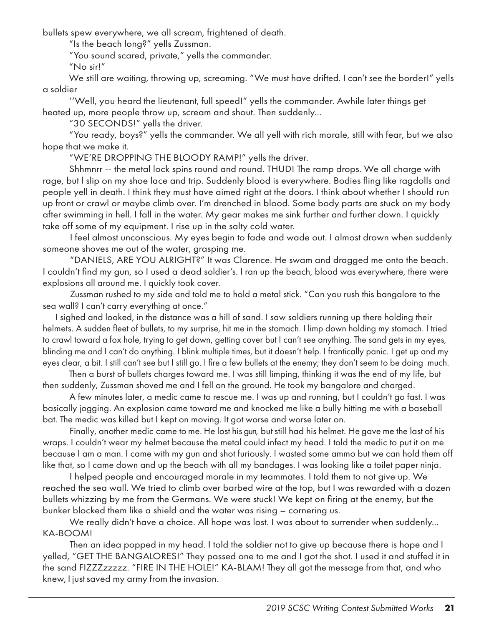bullets spew everywhere, we all scream, frightened of death.

"Is the beach long?" yells Zussman.

"You sound scared, private," yells the commander.

"No sir!"

We still are waiting, throwing up, screaming. "We must have drifted. I can't see the border!" yells a soldier

''Well, you heard the lieutenant, full speed!" yells the commander. Awhile later things get heated up, more people throw up, scream and shout. Then suddenly...

"30 SECONDS!" yells the driver.

"You ready, boys?" yells the commander. We all yell with rich morale, still with fear, but we also hope that we make it.

"WE'RE DROPPING THE BLOODY RAMP!" yells the driver.

Shhmnrr -- the metal lock spins round and round. THUD! The ramp drops. We all charge with rage, but l slip on my shoe lace and trip. Suddenly blood is everywhere. Bodies fling like ragdolls and people yell in death. I think they must have aimed right at the doors. I think about whether I should run up front or crawl or maybe climb over. I'm drenched in blood. Some body parts are stuck on my body after swimming in hell. I fall in the water. My gear makes me sink further and further down. I quickly take off some of my equipment. I rise up in the salty cold water.

I feel almost unconscious. My eyes begin to fade and wade out. I almost drown when suddenly someone shoves me out of the water, grasping me.

"DANIELS, ARE YOU ALRIGHT?" It was Clarence. He swam and dragged me onto the beach. I couldn't find my gun, so I used a dead soldier's. I ran up the beach, blood was everywhere, there were explosions all around me. I quickly took cover.

Zussman rushed to my side and told me to hold a metal stick. "Can you rush this bangalore to the sea wall? I can't carry everything at once."

I sighed and looked, in the distance was a hill of sand. I saw soldiers running up there holding their helmets. A sudden fleet of bullets, to my surprise, hit me in the stomach. I limp down holding my stomach. I tried to crawl toward a fox hole, trying to get down, getting cover but I can't see anything. The sand gets in my eyes, blinding me and I can't do anything. I blink multiple times, but it doesn't help. I frantically panic. I get up and my eyes clear, a bit. I still can't see but I still go. I fire a few bullets at the enemy; they don't seem to be doing much.

Then a burst of bullets charges toward me. I was still limping, thinking it was the end of my life, but then suddenly, Zussman shoved me and I fell on the ground. He took my bangalore and charged.

A few minutes later, a medic came to rescue me. I was up and running, but I couldn't go fast. I was basically jogging. An explosion came toward me and knocked me like a bully hitting me with a baseball bat. The medic was killed but I kept on moving. It got worse and worse later on.

Finally, another medic came to me. He lost his gun, but still had his helmet. He gave me the last of his wraps. I couldn't wear my helmet because the metal could infect my head. I told the medic to put it on me because I am a man. I came with my gun and shot furiously. I wasted some ammo but we can hold them off like that, so I came down and up the beach with all my bandages. I was looking like a toilet paper ninja.

I helped people and encouraged morale in my teammates. I told them to not give up. We reached the sea wall. We tried to climb over barbed wire at the top, but I was rewarded with a dozen bullets whizzing by me from the Germans. We were stuck! We kept on firing at the enemy, but the bunker blocked them like a shield and the water was rising – cornering us.

We really didn't have a choice. All hope was lost. I was about to surrender when suddenly... KA-BOOM!

Then an idea popped in my head. I told the soldier not to give up because there is hope and I yelled, "GET THE BANGALORES!" They passed one to me and I got the shot. I used it and stuffed it in the sand FIZZZzzzzz. "FIRE IN THE HOLE!" KA-BLAM! They all got the message from that, and who knew, I just saved my army from the invasion.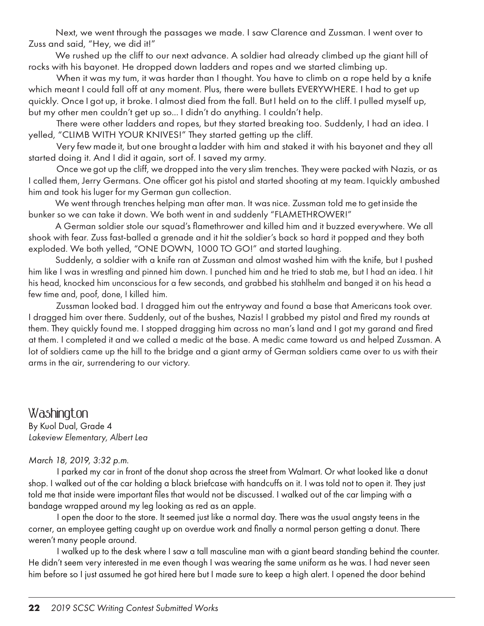Next, we went through the passages we made. I saw Clarence and Zussman. I went over to Zuss and said, "Hey, we did it!"

We rushed up the cliff to our next advance. A soldier had already climbed up the giant hill of rocks with his bayonet. He dropped down ladders and ropes and we started climbing up.

When it was my tum, it was harder than I thought. You have to climb on a rope held by a knife which meant I could fall off at any moment. Plus, there were bullets EVERYWHERE. I had to get up quickly. Once I got up, it broke. I almost died from the fall. But I held on to the cliff. I pulled myself up, but my other men couldn't get up so... I didn't do anything. I couldn't help.

There were other ladders and ropes, but they started breaking too. Suddenly, I had an idea. I yelled, "CLIMB WITH YOUR KNIVES!" They started getting up the cliff.

Very few made it, but one brought a ladder with him and staked it with his bayonet and they all started doing it. And I did it again, sort of. I saved my army.

Once we got up the cliff, we dropped into the very slim trenches. They were packed with Nazis, or as I called them, Jerry Germans. One officer got his pistol and started shooting at my team. I quickly ambushed him and took his luger for my German gun collection.

We went through trenches helping man after man. It was nice. Zussman told me to get inside the bunker so we can take it down. We both went in and suddenly "FLAMETHROWER!"

A German soldier stole our squad's flamethrower and killed him and it buzzed everywhere. We all shook with fear. Zuss fast-balled a grenade and it hit the soldier's back so hard it popped and they both exploded. We both yelled, "ONE DOWN, 1000 TO GO!" and started laughing.

Suddenly, a soldier with a knife ran at Zussman and almost washed him with the knife, but I pushed him like I was in wrestling and pinned him down. I punched him and he tried to stab me, but I had an idea. I hit his head, knocked him unconscious for a few seconds, and grabbed his stahlhelm and banged it on his head a few time and, poof, done, I killed him.

Zussman looked bad. I dragged him out the entryway and found a base that Americans took over. I dragged him over there. Suddenly, out of the bushes, Nazis! I grabbed my pistol and fired my rounds at them. They quickly found me. I stopped dragging him across no man's land and I got my garand and fired at them. I completed it and we called a medic at the base. A medic came toward us and helped Zussman. A lot of soldiers came up the hill to the bridge and a giant army of German soldiers came over to us with their arms in the air, surrendering to our victory.

**Washington** By Kuol Dual, Grade 4 *Lakeview Elementary, Albert Lea*

#### *March 18, 2019, 3:32 p.m.*

I parked my car in front of the donut shop across the street from Walmart. Or what looked like a donut shop. I walked out of the car holding a black briefcase with handcuffs on it. I was told not to open it. They just told me that inside were important files that would not be discussed. I walked out of the car limping with a bandage wrapped around my leg looking as red as an apple.

I open the door to the store. It seemed just like a normal day. There was the usual angsty teens in the corner, an employee getting caught up on overdue work and finally a normal person getting a donut. There weren't many people around.

I walked up to the desk where I saw a tall masculine man with a giant beard standing behind the counter. He didn't seem very interested in me even though I was wearing the same uniform as he was. I had never seen him before so I just assumed he got hired here but I made sure to keep a high alert. I opened the door behind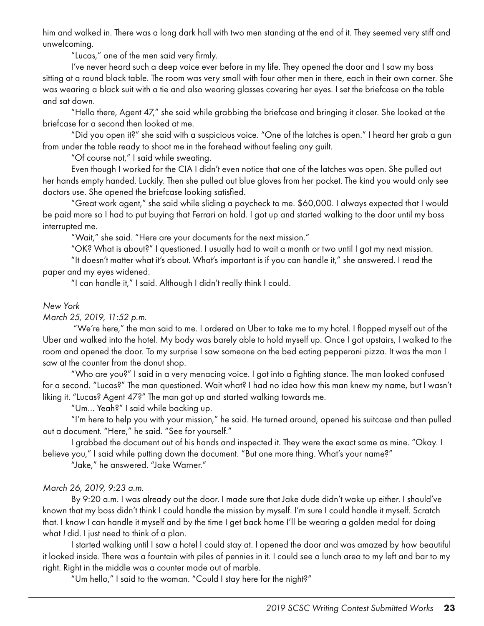him and walked in. There was a long dark hall with two men standing at the end of it. They seemed very stiff and unwelcoming.

"Lucas," one of the men said very firmly.

I've never heard such a deep voice ever before in my life. They opened the door and I saw my boss sitting at a round black table. The room was very small with four other men in there, each in their own corner. She was wearing a black suit with a tie and also wearing glasses covering her eyes. I set the briefcase on the table and sat down.

"Hello there, Agent 47," she said while grabbing the briefcase and bringing it closer. She looked at the briefcase for a second then looked at me.

"Did you open it?" she said with a suspicious voice. "One of the latches is open." I heard her grab a gun from under the table ready to shoot me in the forehead without feeling any guilt.

"Of course not," I said while sweating.

Even though I worked for the CIA I didn't even notice that one of the latches was open. She pulled out her hands empty handed. Luckily. Then she pulled out blue gloves from her pocket. The kind you would only see doctors use. She opened the briefcase looking satisfied.

"Great work agent," she said while sliding a paycheck to me. \$60,000. I always expected that I would be paid more so I had to put buying that Ferrari on hold. I got up and started walking to the door until my boss interrupted me.

"Wait," she said. "Here are your documents for the next mission."

"OK? What is about?" I questioned. I usually had to wait a month or two until I got my next mission.

"It doesn't matter what it's about. What's important is if you can handle it," she answered. I read the paper and my eyes widened.

"I can handle it," I said. Although I didn't really think I could.

*New York*

*March 25, 2019, 11:52 p.m.*

 "We're here," the man said to me. I ordered an Uber to take me to my hotel. I flopped myself out of the Uber and walked into the hotel. My body was barely able to hold myself up. Once I got upstairs, I walked to the room and opened the door. To my surprise I saw someone on the bed eating pepperoni pizza. It was the man I saw at the counter from the donut shop.

"Who are you?" I said in a very menacing voice. I got into a fighting stance. The man looked confused for a second. "Lucas?" The man questioned. Wait what? I had no idea how this man knew my name, but I wasn't liking it. "Lucas? Agent 47?" The man got up and started walking towards me.

"Um… Yeah?" I said while backing up.

"I'm here to help you with your mission," he said. He turned around, opened his suitcase and then pulled out a document. "Here," he said. "See for yourself."

I grabbed the document out of his hands and inspected it. They were the exact same as mine. "Okay. I believe you," I said while putting down the document. "But one more thing. What's your name?"

"Jake," he answered. "Jake Warner."

#### *March 26, 2019, 9:23 a.m.*

By 9:20 a.m. I was already out the door. I made sure that Jake dude didn't wake up either. I should've known that my boss didn't think I could handle the mission by myself. I'm sure I could handle it myself. Scratch that. I *know* I can handle it myself and by the time I get back home I'll be wearing a golden medal for doing what *I* did. I just need to think of a plan.

I started walking until I saw a hotel I could stay at. I opened the door and was amazed by how beautiful it looked inside. There was a fountain with piles of pennies in it. I could see a lunch area to my left and bar to my right. Right in the middle was a counter made out of marble.

"Um hello," I said to the woman. "Could I stay here for the night?"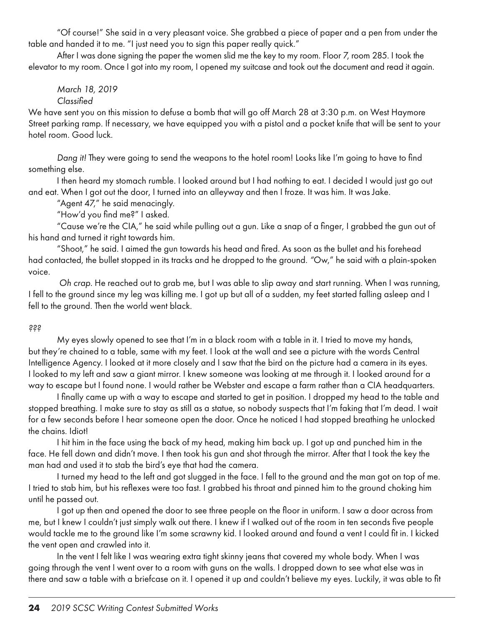"Of course!" She said in a very pleasant voice. She grabbed a piece of paper and a pen from under the table and handed it to me. "I just need you to sign this paper really quick."

After I was done signing the paper the women slid me the key to my room. Floor 7, room 285. I took the elevator to my room. Once I got into my room, I opened my suitcase and took out the document and read it again.

#### *March 18, 2019 Classified*

We have sent you on this mission to defuse a bomb that will go off March 28 at 3:30 p.m. on West Haymore Street parking ramp. If necessary, we have equipped you with a pistol and a pocket knife that will be sent to your hotel room. Good luck.

*Dang it!* They were going to send the weapons to the hotel room! Looks like I'm going to have to find something else.

I then heard my stomach rumble. I looked around but I had nothing to eat. I decided I would just go out and eat. When I got out the door, I turned into an alleyway and then I froze. It was him. It was Jake.

"Agent 47," he said menacingly.

"How'd you find me?" I asked.

"Cause we're the CIA," he said while pulling out a gun. Like a snap of a finger, I grabbed the gun out of his hand and turned it right towards him.

"Shoot," he said. I aimed the gun towards his head and fired. As soon as the bullet and his forehead had contacted, the bullet stopped in its tracks and he dropped to the ground. *"*Ow," he said with a plain-spoken voice.

 *Oh crap.* He reached out to grab me, but I was able to slip away and start running. When I was running, I fell to the ground since my leg was killing me. I got up but all of a sudden, my feet started falling asleep and I fell to the ground. Then the world went black.

#### *???*

My eyes slowly opened to see that I'm in a black room with a table in it. I tried to move my hands, but they're chained to a table, same with my feet. I look at the wall and see a picture with the words Central Intelligence Agency. I looked at it more closely and I saw that the bird on the picture had a camera in its eyes. I looked to my left and saw a giant mirror. I knew someone was looking at me through it. I looked around for a way to escape but I found none. I would rather be Webster and escape a farm rather than a CIA headquarters.

I finally came up with a way to escape and started to get in position. I dropped my head to the table and stopped breathing. I make sure to stay as still as a statue, so nobody suspects that I'm faking that I'm dead. I wait for a few seconds before I hear someone open the door. Once he noticed I had stopped breathing he unlocked the chains. Idiot!

I hit him in the face using the back of my head, making him back up. I got up and punched him in the face. He fell down and didn't move. I then took his gun and shot through the mirror. After that I took the key the man had and used it to stab the bird's eye that had the camera.

I turned my head to the left and got slugged in the face. I fell to the ground and the man got on top of me. I tried to stab him, but his reflexes were too fast. I grabbed his throat and pinned him to the ground choking him until he passed out.

I got up then and opened the door to see three people on the floor in uniform. I saw a door across from me, but I knew I couldn't just simply walk out there. I knew if I walked out of the room in ten seconds five people would tackle me to the ground like I'm some scrawny kid. I looked around and found a vent I could fit in. I kicked the vent open and crawled into it.

In the vent I felt like I was wearing extra tight skinny jeans that covered my whole body. When I was going through the vent I went over to a room with guns on the walls. I dropped down to see what else was in there and saw a table with a briefcase on it. I opened it up and couldn't believe my eyes. Luckily, it was able to fit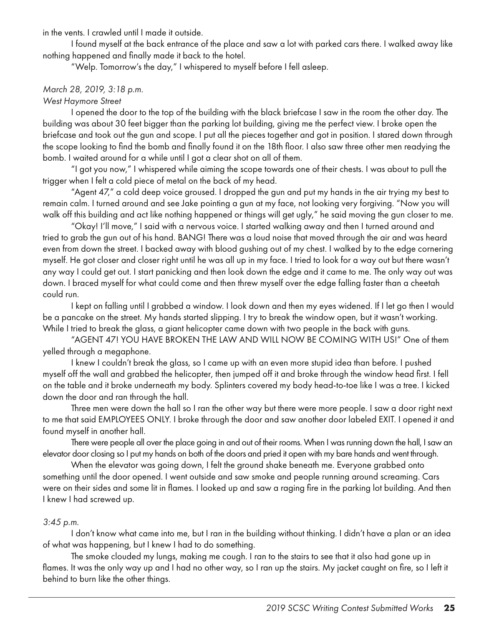in the vents. I crawled until I made it outside.

I found myself at the back entrance of the place and saw a lot with parked cars there. I walked away like nothing happened and finally made it back to the hotel.

"Welp. Tomorrow's the day," I whispered to myself before I fell asleep.

#### *March 28, 2019, 3:18 p.m.*

#### *West Haymore Street*

I opened the door to the top of the building with the black briefcase I saw in the room the other day. The building was about 30 feet bigger than the parking lot building, giving me the perfect view. I broke open the briefcase and took out the gun and scope. I put all the pieces together and got in position. I stared down through the scope looking to find the bomb and finally found it on the 18th floor. I also saw three other men readying the bomb. I waited around for a while until I got a clear shot on all of them.

"I got you now," I whispered while aiming the scope towards one of their chests. I was about to pull the trigger when I felt a cold piece of metal on the back of my head.

"Agent 47," a cold deep voice groused. I dropped the gun and put my hands in the air trying my best to remain calm. I turned around and see Jake pointing a gun at my face, not looking very forgiving. "Now you will walk off this building and act like nothing happened or things will get ugly," he said moving the gun closer to me.

"Okay! I'll move," I said with a nervous voice. I started walking away and then I turned around and tried to grab the gun out of his hand. BANG! There was a loud noise that moved through the air and was heard even from down the street. I backed away with blood gushing out of my chest. I walked by to the edge cornering myself. He got closer and closer right until he was all up in my face. I tried to look for a way out but there wasn't any way I could get out. I start panicking and then look down the edge and it came to me. The only way out was down. I braced myself for what could come and then threw myself over the edge falling faster than a cheetah could run.

I kept on falling until I grabbed a window. I look down and then my eyes widened. If I let go then I would be a pancake on the street. My hands started slipping. I try to break the window open, but it wasn't working. While I tried to break the glass, a giant helicopter came down with two people in the back with guns.

"AGENT 47! YOU HAVE BROKEN THE LAW AND WILL NOW BE COMING WITH US!" One of them yelled through a megaphone.

I knew I couldn't break the glass, so I came up with an even more stupid idea than before. I pushed myself off the wall and grabbed the helicopter, then jumped off it and broke through the window head first. I fell on the table and it broke underneath my body. Splinters covered my body head-to-toe like I was a tree. I kicked down the door and ran through the hall.

Three men were down the hall so I ran the other way but there were more people. I saw a door right next to me that said EMPLOYEES ONLY. I broke through the door and saw another door labeled EXIT. I opened it and found myself in another hall.

There were people all over the place going in and out of their rooms. When I was running down the hall, I saw an elevator door closing so I put my hands on both of the doors and pried it open with my bare hands and went through.

When the elevator was going down, I felt the ground shake beneath me. Everyone grabbed onto something until the door opened. I went outside and saw smoke and people running around screaming. Cars were on their sides and some lit in flames. I looked up and saw a raging fire in the parking lot building. And then I knew I had screwed up.

#### *3:45 p.m.*

I don't know what came into me, but I ran in the building without thinking. I didn't have a plan or an idea of what was happening, but I knew I had to do something.

The smoke clouded my lungs, making me cough. I ran to the stairs to see that it also had gone up in flames. It was the only way up and I had no other way, so I ran up the stairs. My jacket caught on fire, so I left it behind to burn like the other things.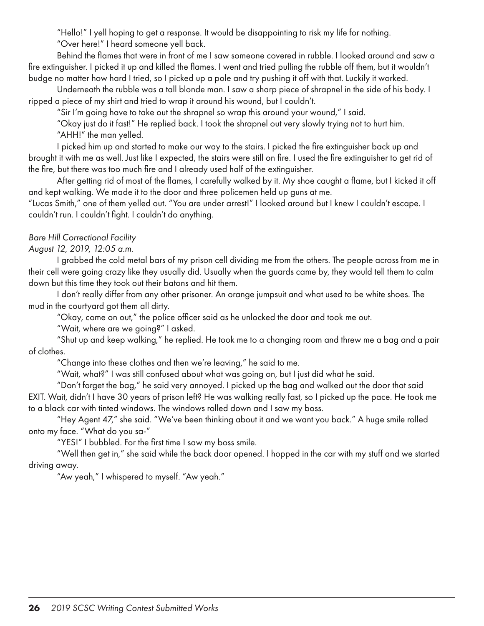"Hello!" I yell hoping to get a response. It would be disappointing to risk my life for nothing.

"Over here!" I heard someone yell back.

Behind the flames that were in front of me I saw someone covered in rubble. I looked around and saw a fire extinguisher. I picked it up and killed the flames. I went and tried pulling the rubble off them, but it wouldn't budge no matter how hard I tried, so I picked up a pole and try pushing it off with that. Luckily it worked.

Underneath the rubble was a tall blonde man. I saw a sharp piece of shrapnel in the side of his body. I ripped a piece of my shirt and tried to wrap it around his wound, but I couldn't.

"Sir I'm going have to take out the shrapnel so wrap this around your wound," I said.

"Okay just do it fast!" He replied back. I took the shrapnel out very slowly trying not to hurt him. "AHH!" the man yelled.

I picked him up and started to make our way to the stairs. I picked the fire extinguisher back up and brought it with me as well. Just like I expected, the stairs were still on fire. I used the fire extinguisher to get rid of the fire, but there was too much fire and I already used half of the extinguisher.

After getting rid of most of the flames, I carefully walked by it. My shoe caught a flame, but I kicked it off and kept walking. We made it to the door and three policemen held up guns at me.

"Lucas Smith," one of them yelled out. "You are under arrest!" I looked around but I knew I couldn't escape. I couldn't run. I couldn't fight. I couldn't do anything.

#### *Bare Hill Correctional Facility*

*August 12, 2019, 12:05 a.m.*

I grabbed the cold metal bars of my prison cell dividing me from the others. The people across from me in their cell were going crazy like they usually did. Usually when the guards came by, they would tell them to calm down but this time they took out their batons and hit them.

I don't really differ from any other prisoner. An orange jumpsuit and what used to be white shoes. The mud in the courtyard got them all dirty.

"Okay, come on out," the police officer said as he unlocked the door and took me out.

"Wait, where are we going?" I asked.

"Shut up and keep walking," he replied. He took me to a changing room and threw me a bag and a pair of clothes.

"Change into these clothes and then we're leaving," he said to me.

"Wait, what?" I was still confused about what was going on, but I just did what he said.

"Don't forget the bag," he said very annoyed. I picked up the bag and walked out the door that said

EXIT. Wait, didn't I have 30 years of prison left? He was walking really fast, so I picked up the pace. He took me to a black car with tinted windows. The windows rolled down and I saw my boss.

"Hey Agent 47," she said. "We've been thinking about it and we want you back." A huge smile rolled onto my face. "What do you sa-"

"YES!" I bubbled. For the first time I saw my boss smile.

"Well then get in," she said while the back door opened. I hopped in the car with my stuff and we started driving away.

"Aw yeah," I whispered to myself. "Aw yeah."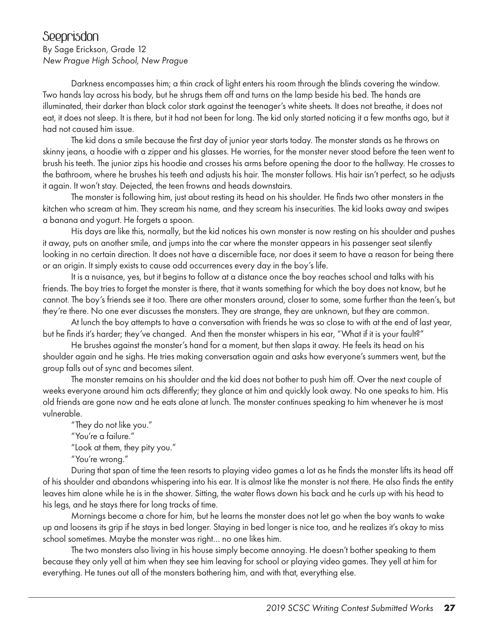#### **Seeprisdon** By Sage Erickson, Grade 12 *New Prague High School, New Prague*

Darkness encompasses him; a thin crack of light enters his room through the blinds covering the window. Two hands lay across his body, but he shrugs them off and turns on the lamp beside his bed. The hands are illuminated, their darker than black color stark against the teenager's white sheets. It does not breathe, it does not eat, it does not sleep. It is there, but it had not been for long. The kid only started noticing it a few months ago, but it had not caused him issue.

The kid dons a smile because the first day of junior year starts today. The monster stands as he throws on skinny jeans, a hoodie with a zipper and his glasses. He worries, for the monster never stood before the teen went to brush his teeth. The junior zips his hoodie and crosses his arms before opening the door to the hallway. He crosses to the bathroom, where he brushes his teeth and adjusts his hair. The monster follows. His hair isn't perfect, so he adjusts it again. It won't stay. Dejected, the teen frowns and heads downstairs.

The monster is following him, just about resting its head on his shoulder. He finds two other monsters in the kitchen who scream at him. They scream his name, and they scream his insecurities. The kid looks away and swipes a banana and yogurt. He forgets a spoon.

His days are like this, normally, but the kid notices his own monster is now resting on his shoulder and pushes it away, puts on another smile, and jumps into the car where the monster appears in his passenger seat silently looking in no certain direction. It does not have a discernible face, nor does it seem to have a reason for being there or an origin. It simply exists to cause odd occurrences every day in the boy's life.

It is a nuisance, yes, but it begins to follow at a distance once the boy reaches school and talks with his friends. The boy tries to forget the monster is there, that it wants something for which the boy does not know, but he cannot. The boy's friends see it too. There are other monsters around, closer to some, some further than the teen's, but they're there. No one ever discusses the monsters. They are strange, they are unknown, but they are common.

At lunch the boy attempts to have a conversation with friends he was so close to with at the end of last year, but he finds it's harder; they've changed. And then the monster whispers in his ear, "What if it is your fault?"

He brushes against the monster's hand for a moment, but then slaps it away. He feels its head on his shoulder again and he sighs. He tries making conversation again and asks how everyone's summers went, but the group falls out of sync and becomes silent.

The monster remains on his shoulder and the kid does not bother to push him off. Over the next couple of weeks everyone around him acts differently; they glance at him and quickly look away. No one speaks to him. His old friends are gone now and he eats alone at lunch. The monster continues speaking to him whenever he is most vulnerable.

"They do not like you."

"You're a failure."

"Look at them, they pity you."

"You're wrong."

During that span of time the teen resorts to playing video games a lot as he finds the monster lifts its head off of his shoulder and abandons whispering into his ear. It is almost like the monster is not there. He also finds the entity leaves him alone while he is in the shower. Sitting, the water flows down his back and he curls up with his head to his legs, and he stays there for long tracks of time.

Mornings become a chore for him, but he learns the monster does not let go when the boy wants to wake up and loosens its grip if he stays in bed longer. Staying in bed longer is nice too, and he realizes it's okay to miss school sometimes. Maybe the monster was right… no one likes him.

The two monsters also living in his house simply become annoying. He doesn't bother speaking to them because they only yell at him when they see him leaving for school or playing video games. They yell at him for everything. He tunes out all of the monsters bothering him, and with that, everything else.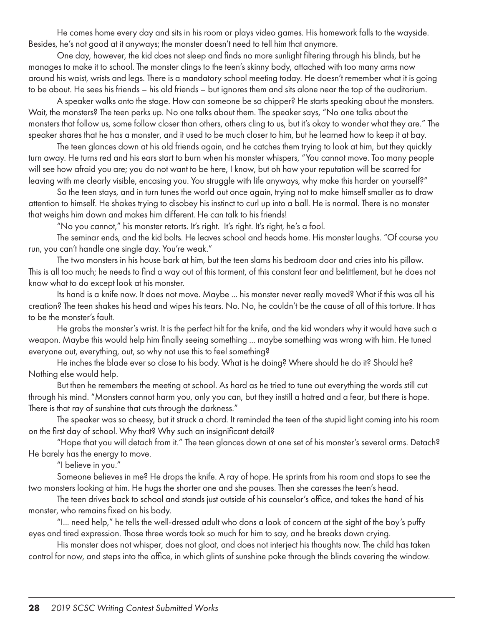He comes home every day and sits in his room or plays video games. His homework falls to the wayside. Besides, he's not good at it anyways; the monster doesn't need to tell him that anymore.

One day, however, the kid does not sleep and finds no more sunlight filtering through his blinds, but he manages to make it to school. The monster clings to the teen's skinny body, attached with too many arms now around his waist, wrists and legs. There is a mandatory school meeting today. He doesn't remember what it is going to be about. He sees his friends – his old friends – but ignores them and sits alone near the top of the auditorium.

A speaker walks onto the stage. How can someone be so chipper? He starts speaking about the monsters. Wait, the monsters? The teen perks up. No one talks about them. The speaker says, "No one talks about the monsters that follow us, some follow closer than others, others cling to us, but it's okay to wonder what they are." The speaker shares that he has a monster, and it used to be much closer to him, but he learned how to keep it at bay.

The teen glances down at his old friends again, and he catches them trying to look at him, but they quickly turn away. He turns red and his ears start to burn when his monster whispers, "You cannot move. Too many people will see how afraid you are; you do not want to be here, I know, but oh how your reputation will be scarred for leaving with me clearly visible, encasing you. You struggle with life anyways, why make this harder on yourself?"

So the teen stays, and in turn tunes the world out once again, trying not to make himself smaller as to draw attention to himself. He shakes trying to disobey his instinct to curl up into a ball. He is normal. There is no monster that weighs him down and makes him different. He can talk to his friends!

"No you cannot," his monster retorts. It's right. It's right. It's right, he's a fool.

The seminar ends, and the kid bolts. He leaves school and heads home. His monster laughs. "Of course you run, you can't handle one single day. You're weak."

The two monsters in his house bark at him, but the teen slams his bedroom door and cries into his pillow. This is all too much; he needs to find a way out of this torment, of this constant fear and belittlement, but he does not know what to do except look at his monster.

Its hand is a knife now. It does not move. Maybe ... his monster never really moved? What if this was all his creation? The teen shakes his head and wipes his tears. No. No, he couldn't be the cause of all of this torture. It has to be the monster's fault.

He grabs the monster's wrist. It is the perfect hilt for the knife, and the kid wonders why it would have such a weapon. Maybe this would help him finally seeing something ... maybe something was wrong with him. He tuned everyone out, everything, out, so why not use this to feel something?

He inches the blade ever so close to his body. What is he doing? Where should he do it? Should he? Nothing else would help.

But then he remembers the meeting at school. As hard as he tried to tune out everything the words still cut through his mind. "Monsters cannot harm you, only you can, but they instill a hatred and a fear, but there is hope. There is that ray of sunshine that cuts through the darkness."

The speaker was so cheesy, but it struck a chord. It reminded the teen of the stupid light coming into his room on the first day of school. Why that? Why such an insignificant detail?

"Hope that you will detach from it." The teen glances down at one set of his monster's several arms. Detach? He barely has the energy to move.

"I believe in you."

Someone believes in me? He drops the knife. A ray of hope. He sprints from his room and stops to see the two monsters looking at him. He hugs the shorter one and she pauses. Then she caresses the teen's head.

The teen drives back to school and stands just outside of his counselor's office, and takes the hand of his monster, who remains fixed on his body.

"I... need help," he tells the well-dressed adult who dons a look of concern at the sight of the boy's puffy eyes and tired expression. Those three words took so much for him to say, and he breaks down crying.

His monster does not whisper, does not gloat, and does not interject his thoughts now. The child has taken control for now, and steps into the office, in which glints of sunshine poke through the blinds covering the window.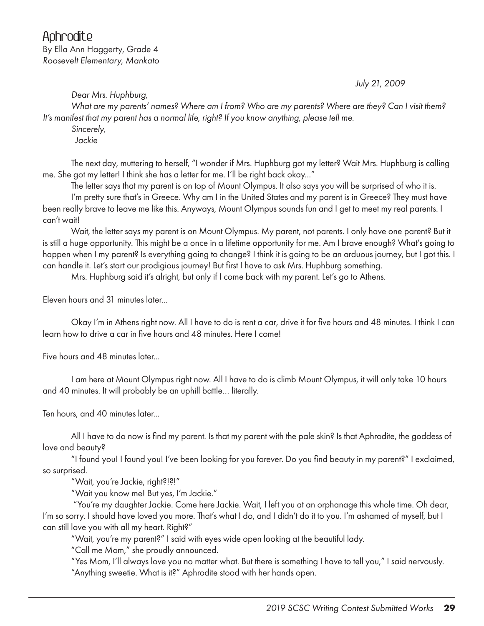*July 21, 2009*

*Dear Mrs. Huphburg,*

*What are my parents' names? Where am I from? Who are my parents? Where are they? Can I visit them?*  It's manifest that my parent has a normal life, right? If you know anything, please tell me.

*Sincerely, Jackie*

The next day, muttering to herself, "I wonder if Mrs. Huphburg got my letter? Wait Mrs. Huphburg is calling me. She got my letter! I think she has a letter for me. I'll be right back okay..."

The letter says that my parent is on top of Mount Olympus. It also says you will be surprised of who it is.

I'm pretty sure that's in Greece. Why am I in the United States and my parent is in Greece? They must have been really brave to leave me like this. Anyways, Mount Olympus sounds fun and I get to meet my real parents. I can't wait!

Wait, the letter says my parent is on Mount Olympus. My parent, not parents. I only have one parent? But it is still a huge opportunity. This might be a once in a lifetime opportunity for me. Am I brave enough? What's going to happen when I my parent? Is everything going to change? I think it is going to be an arduous journey, but I got this. I can handle it. Let's start our prodigious journey! But first I have to ask Mrs. Huphburg something.

Mrs. Huphburg said it's alright, but only if I come back with my parent. Let's go to Athens.

Eleven hours and 31 minutes later...

Okay I'm in Athens right now. All I have to do is rent a car, drive it for five hours and 48 minutes. I think I can learn how to drive a car in five hours and 48 minutes. Here I come!

Five hours and 48 minutes later...

I am here at Mount Olympus right now. All I have to do is climb Mount Olympus, it will only take 10 hours and 40 minutes. It will probably be an uphill battle… literally.

Ten hours, and 40 minutes later...

All I have to do now is find my parent. Is that my parent with the pale skin? Is that Aphrodite, the goddess of love and beauty?

"I found you! I found you! I've been looking for you forever. Do you find beauty in my parent?" I exclaimed, so surprised.

"Wait, you're Jackie, right?!?!"

"Wait you know me! But yes, I'm Jackie."

 "You're my daughter Jackie. Come here Jackie. Wait, I left you at an orphanage this whole time. Oh dear, I'm so sorry. I should have loved you more. That's what I do, and I didn't do it to you. I'm ashamed of myself, but I can still love you with all my heart. Right?"

"Wait, you're my parent?" I said with eyes wide open looking at the beautiful lady.

"Call me Mom," she proudly announced.

"Yes Mom, I'll always love you no matter what. But there is something I have to tell you," I said nervously. "Anything sweetie. What is it?" Aphrodite stood with her hands open.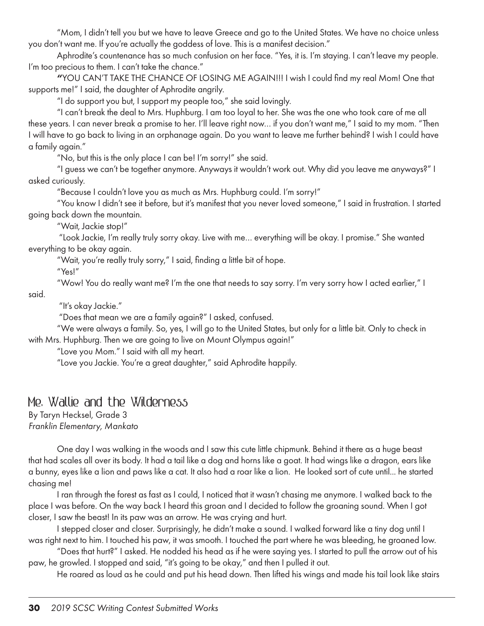"Mom, I didn't tell you but we have to leave Greece and go to the United States. We have no choice unless you don't want me. If you're actually the goddess of love. This is a manifest decision."

Aphrodite's countenance has so much confusion on her face. "Yes, it is. I'm staying. I can't leave my people. I'm too precious to them. I can't take the chance."

**"**YOU CAN'T TAKE THE CHANCE OF LOSING ME AGAIN!!! I wish I could find my real Mom! One that supports me!" I said, the daughter of Aphrodite angrily.

"I do support you but, I support my people too," she said lovingly.

"I can't break the deal to Mrs. Huphburg. I am too loyal to her. She was the one who took care of me all these years. I can never break a promise to her. I'll leave right now… if you don't want me," I said to my mom. "Then I will have to go back to living in an orphanage again. Do you want to leave me further behind? I wish I could have a family again."

"No, but this is the only place I can be! I'm sorry!" she said.

"I guess we can't be together anymore. Anyways it wouldn't work out. Why did you leave me anyways?" I asked curiously.

"Because I couldn't love you as much as Mrs. Huphburg could. I'm sorry!"

"You know I didn't see it before, but it's manifest that you never loved someone," I said in frustration. I started going back down the mountain.

"Wait, Jackie stop!"

 "Look Jackie, I'm really truly sorry okay. Live with me… everything will be okay. I promise." She wanted everything to be okay again.

"Wait, you're really truly sorry," I said, finding a little bit of hope.

"Yes!"

"Wow! You do really want me? I'm the one that needs to say sorry. I'm very sorry how I acted earlier," I

said.

"It's okay Jackie."

"Does that mean we are a family again?" I asked, confused.

"We were always a family. So, yes, I will go to the United States, but only for a little bit. Only to check in with Mrs. Huphburg. Then we are going to live on Mount Olympus again!"

"Love you Mom." I said with all my heart.

"Love you Jackie. You're a great daughter," said Aphrodite happily.

## **Me, Wallie and the Wilderness**

By Taryn Hecksel, Grade 3 *Franklin Elementary, Mankato*

One day I was walking in the woods and I saw this cute little chipmunk. Behind it there as a huge beast that had scales all over its body. It had a tail like a dog and horns like a goat. It had wings like a dragon, ears like a bunny, eyes like a lion and paws like a cat. It also had a roar like a lion. He looked sort of cute until... he started chasing me!

I ran through the forest as fast as I could, I noticed that it wasn't chasing me anymore. I walked back to the place I was before. On the way back I heard this groan and I decided to follow the groaning sound. When I got closer, I saw the beast! In its paw was an arrow. He was crying and hurt.

I stepped closer and closer. Surprisingly, he didn't make a sound. I walked forward like a tiny dog until I was right next to him. I touched his paw, it was smooth. I touched the part where he was bleeding, he groaned low.

"Does that hurt?" I asked. He nodded his head as if he were saying yes. I started to pull the arrow out of his paw, he growled. I stopped and said, "it's going to be okay," and then I pulled it out.

He roared as loud as he could and put his head down. Then lifted his wings and made his tail look like stairs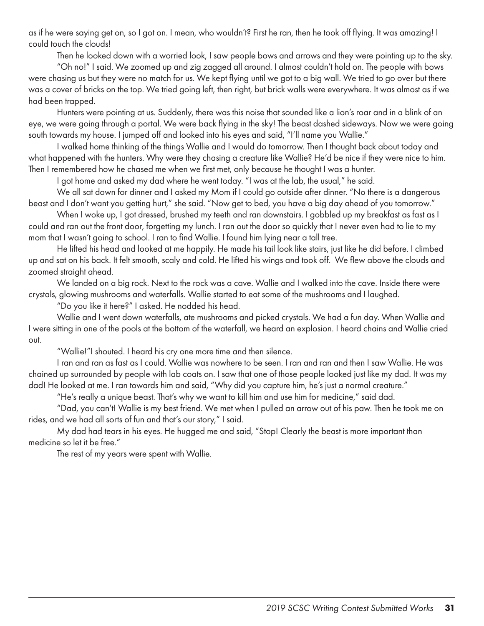as if he were saying get on, so I got on. I mean, who wouldn't? First he ran, then he took off flying. It was amazing! I could touch the clouds!

Then he looked down with a worried look, I saw people bows and arrows and they were pointing up to the sky.

"Oh no!" I said. We zoomed up and zig zagged all around. I almost couldn't hold on. The people with bows were chasing us but they were no match for us. We kept flying until we got to a big wall. We tried to go over but there was a cover of bricks on the top. We tried going left, then right, but brick walls were everywhere. It was almost as if we had been trapped.

Hunters were pointing at us. Suddenly, there was this noise that sounded like a lion's roar and in a blink of an eye, we were going through a portal. We were back flying in the sky! The beast dashed sideways. Now we were going south towards my house. I jumped off and looked into his eyes and said, "I'll name you Wallie."

I walked home thinking of the things Wallie and I would do tomorrow. Then I thought back about today and what happened with the hunters. Why were they chasing a creature like Wallie? He'd be nice if they were nice to him. Then I remembered how he chased me when we first met, only because he thought I was a hunter.

I got home and asked my dad where he went today. "I was at the lab, the usual," he said.

We all sat down for dinner and I asked my Mom if I could go outside after dinner. "No there is a dangerous beast and I don't want you getting hurt," she said. "Now get to bed, you have a big day ahead of you tomorrow."

When I woke up, I got dressed, brushed my teeth and ran downstairs. I gobbled up my breakfast as fast as I could and ran out the front door, forgetting my lunch. I ran out the door so quickly that I never even had to lie to my mom that I wasn't going to school. I ran to find Wallie. I found him lying near a tall tree.

He lifted his head and looked at me happily. He made his tail look like stairs, just like he did before. I climbed up and sat on his back. It felt smooth, scaly and cold. He lifted his wings and took off. We flew above the clouds and zoomed straight ahead.

We landed on a big rock. Next to the rock was a cave. Wallie and I walked into the cave. Inside there were crystals, glowing mushrooms and waterfalls. Wallie started to eat some of the mushrooms and I laughed.

"Do you like it here?" I asked. He nodded his head.

Wallie and I went down waterfalls, ate mushrooms and picked crystals. We had a fun day. When Wallie and I were sitting in one of the pools at the bottom of the waterfall, we heard an explosion. I heard chains and Wallie cried out.

"Wallie!"I shouted. I heard his cry one more time and then silence.

I ran and ran as fast as I could. Wallie was nowhere to be seen. I ran and ran and then I saw Wallie. He was chained up surrounded by people with lab coats on. I saw that one of those people looked just like my dad. It was my dad! He looked at me. I ran towards him and said, "Why did you capture him, he's just a normal creature."

"He's really a unique beast. That's why we want to kill him and use him for medicine," said dad.

"Dad, you can't! Wallie is my best friend. We met when I pulled an arrow out of his paw. Then he took me on rides, and we had all sorts of fun and that's our story," I said.

My dad had tears in his eyes. He hugged me and said, "Stop! Clearly the beast is more important than medicine so let it be free."

The rest of my years were spent with Wallie.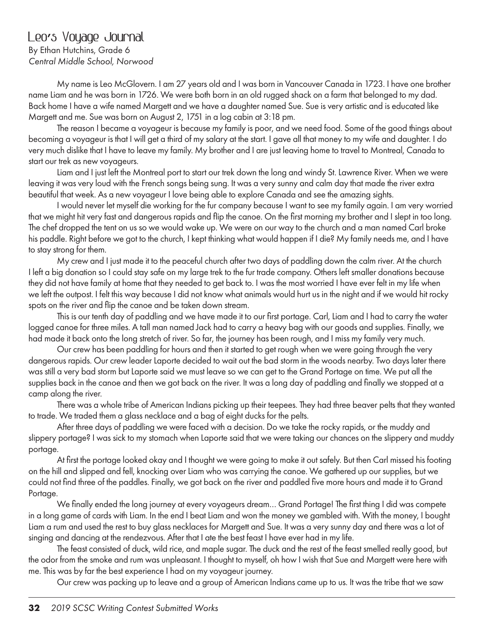# **Leo's Voyage Journal**

By Ethan Hutchins, Grade 6 *Central Middle School, Norwood*

My name is Leo McGlovern. I am 27 years old and I was born in Vancouver Canada in 1723. I have one brother name Liam and he was born in 1726. We were both born in an old rugged shack on a farm that belonged to my dad. Back home I have a wife named Margett and we have a daughter named Sue. Sue is very artistic and is educated like Margett and me. Sue was born on August 2, 1751 in a log cabin at 3:18 pm.

The reason I became a voyageur is because my family is poor, and we need food. Some of the good things about becoming a voyageur is that I will get a third of my salary at the start. I gave all that money to my wife and daughter. I do very much dislike that I have to leave my family. My brother and I are just leaving home to travel to Montreal, Canada to start our trek as new voyageurs.

Liam and I just left the Montreal port to start our trek down the long and windy St. Lawrence River. When we were leaving it was very loud with the French songs being sung. It was a very sunny and calm day that made the river extra beautiful that week. As a new voyageur I love being able to explore Canada and see the amazing sights.

I would never let myself die working for the fur company because I want to see my family again. I am very worried that we might hit very fast and dangerous rapids and flip the canoe. On the first morning my brother and I slept in too long. The chef dropped the tent on us so we would wake up. We were on our way to the church and a man named Carl broke his paddle. Right before we got to the church, I kept thinking what would happen if I die? My family needs me, and I have to stay strong for them.

My crew and I just made it to the peaceful church after two days of paddling down the calm river. At the church I left a big donation so I could stay safe on my large trek to the fur trade company. Others left smaller donations because they did not have family at home that they needed to get back to. I was the most worried I have ever felt in my life when we left the outpost. I felt this way because I did not know what animals would hurt us in the night and if we would hit rocky spots on the river and flip the canoe and be taken down stream.

This is our tenth day of paddling and we have made it to our first portage. Carl, Liam and I had to carry the water logged canoe for three miles. A tall man named Jack had to carry a heavy bag with our goods and supplies. Finally, we had made it back onto the long stretch of river. So far, the journey has been rough, and I miss my family very much.

Our crew has been paddling for hours and then it started to get rough when we were going through the very dangerous rapids. Our crew leader Laporte decided to wait out the bad storm in the woods nearby. Two days later there was still a very bad storm but Laporte said we must leave so we can get to the Grand Portage on time. We put all the supplies back in the canoe and then we got back on the river. It was a long day of paddling and finally we stopped at a camp along the river.

There was a whole tribe of American Indians picking up their teepees. They had three beaver pelts that they wanted to trade. We traded them a glass necklace and a bag of eight ducks for the pelts.

After three days of paddling we were faced with a decision. Do we take the rocky rapids, or the muddy and slippery portage? I was sick to my stomach when Laporte said that we were taking our chances on the slippery and muddy portage.

At first the portage looked okay and I thought we were going to make it out safely. But then Carl missed his footing on the hill and slipped and fell, knocking over Liam who was carrying the canoe. We gathered up our supplies, but we could not find three of the paddles. Finally, we got back on the river and paddled five more hours and made it to Grand Portage.

We finally ended the long journey at every voyageurs dream… Grand Portage! The first thing I did was compete in a long game of cards with Liam. In the end I beat Liam and won the money we gambled with. With the money, I bought Liam a rum and used the rest to buy glass necklaces for Margett and Sue. It was a very sunny day and there was a lot of singing and dancing at the rendezvous. After that I ate the best feast I have ever had in my life.

The feast consisted of duck, wild rice, and maple sugar. The duck and the rest of the feast smelled really good, but the odor from the smoke and rum was unpleasant. I thought to myself, oh how I wish that Sue and Margett were here with me. This was by far the best experience I had on my voyageur journey.

Our crew was packing up to leave and a group of American Indians came up to us. It was the tribe that we saw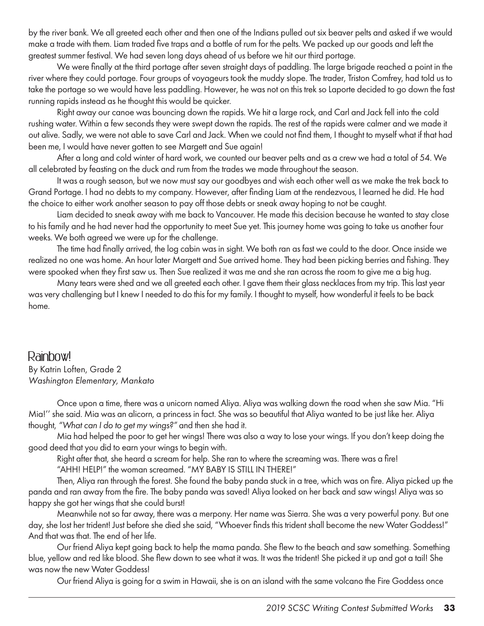by the river bank. We all greeted each other and then one of the Indians pulled out six beaver pelts and asked if we would make a trade with them. Liam traded five traps and a bottle of rum for the pelts. We packed up our goods and left the greatest summer festival. We had seven long days ahead of us before we hit our third portage.

We were finally at the third portage after seven straight days of paddling. The large brigade reached a point in the river where they could portage. Four groups of voyageurs took the muddy slope. The trader, Triston Comfrey, had told us to take the portage so we would have less paddling. However, he was not on this trek so Laporte decided to go down the fast running rapids instead as he thought this would be quicker.

Right away our canoe was bouncing down the rapids. We hit a large rock, and Carl and Jack fell into the cold rushing water. Within a few seconds they were swept down the rapids. The rest of the rapids were calmer and we made it out alive. Sadly, we were not able to save Carl and Jack. When we could not find them, I thought to myself what if that had been me, I would have never gotten to see Margett and Sue again!

After a long and cold winter of hard work, we counted our beaver pelts and as a crew we had a total of 54. We all celebrated by feasting on the duck and rum from the trades we made throughout the season.

It was a rough season, but we now must say our goodbyes and wish each other well as we make the trek back to Grand Portage. I had no debts to my company. However, after finding Liam at the rendezvous, I learned he did. He had the choice to either work another season to pay off those debts or sneak away hoping to not be caught.

Liam decided to sneak away with me back to Vancouver. He made this decision because he wanted to stay close to his family and he had never had the opportunity to meet Sue yet. This journey home was going to take us another four weeks. We both agreed we were up for the challenge.

The time had finally arrived, the log cabin was in sight. We both ran as fast we could to the door. Once inside we realized no one was home. An hour later Margett and Sue arrived home. They had been picking berries and fishing. They were spooked when they first saw us. Then Sue realized it was me and she ran across the room to give me a big hug.

Many tears were shed and we all greeted each other. I gave them their glass necklaces from my trip. This last year was very challenging but I knew I needed to do this for my family. I thought to myself, how wonderful it feels to be back home.

#### **Rainbow!**

By Katrin Loften, Grade 2 *Washington Elementary, Mankato*

Once upon a time, there was a unicorn named Aliya. Aliya was walking down the road when she saw Mia. "Hi Mia!'' she said. Mia was an alicorn, a princess in fact. She was so beautiful that Aliya wanted to be just like her. Aliya thought, *"What can I do to get my wings?"* and then she had it.

Mia had helped the poor to get her wings! There was also a way to lose your wings. If you don't keep doing the good deed that you did to earn your wings to begin with.

Right after that, she heard a scream for help. She ran to where the screaming was. There was a fire!

"AHH! HELP!" the woman screamed. "MY BABY IS STILL IN THERE!"

Then, Aliya ran through the forest. She found the baby panda stuck in a tree, which was on fire. Aliya picked up the panda and ran away from the fire. The baby panda was saved! Aliya looked on her back and saw wings! Aliya was so happy she got her wings that she could burst!

Meanwhile not so far away, there was a merpony. Her name was Sierra. She was a very powerful pony. But one day, she lost her trident! Just before she died she said, "Whoever finds this trident shall become the new Water Goddess!" And that was that. The end of her life.

Our friend Aliya kept going back to help the mama panda. She flew to the beach and saw something. Something blue, yellow and red like blood. She flew down to see what it was. It was the trident! She picked it up and got a tail! She was now the new Water Goddess!

Our friend Aliya is going for a swim in Hawaii, she is on an island with the same volcano the Fire Goddess once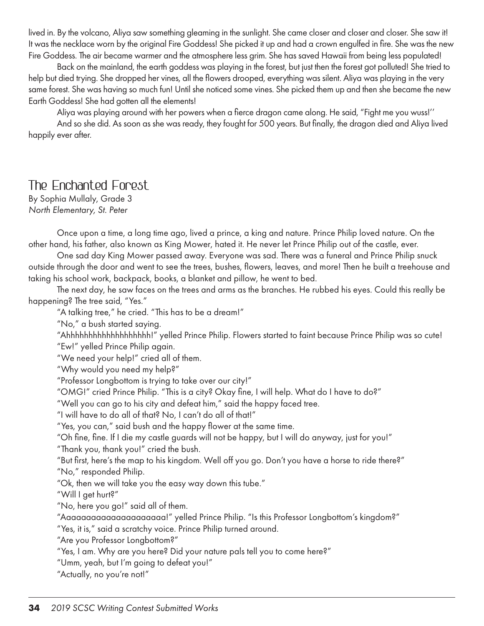lived in. By the volcano, Aliya saw something gleaming in the sunlight. She came closer and closer and closer. She saw it! It was the necklace worn by the original Fire Goddess! She picked it up and had a crown engulfed in fire. She was the new Fire Goddess. The air became warmer and the atmosphere less grim. She has saved Hawaii from being less populated!

Back on the mainland, the earth goddess was playing in the forest, but just then the forest got polluted! She tried to help but died trying. She dropped her vines, all the flowers drooped, everything was silent. Aliya was playing in the very same forest. She was having so much fun! Until she noticed some vines. She picked them up and then she became the new Earth Goddess! She had gotten all the elements!

Aliya was playing around with her powers when a fierce dragon came along. He said, "Fight me you wuss!''

And so she did. As soon as she was ready, they fought for 500 years. But finally, the dragon died and Aliya lived happily ever after.

### **The Enchanted Forest**

By Sophia Mullaly, Grade 3 *North Elementary, St. Peter*

Once upon a time, a long time ago, lived a prince, a king and nature. Prince Philip loved nature. On the other hand, his father, also known as King Mower, hated it. He never let Prince Philip out of the castle, ever.

One sad day King Mower passed away. Everyone was sad. There was a funeral and Prince Philip snuck outside through the door and went to see the trees, bushes, flowers, leaves, and more! Then he built a treehouse and taking his school work, backpack, books, a blanket and pillow, he went to bed.

The next day, he saw faces on the trees and arms as the branches. He rubbed his eyes. Could this really be happening? The tree said, "Yes."

"A talking tree," he cried. "This has to be a dream!"

"No," a bush started saying.

"Ahhhhhhhhhhhhhhhhhhh!" yelled Prince Philip. Flowers started to faint because Prince Philip was so cute! "Ew!" yelled Prince Philip again.

"We need your help!" cried all of them.

"Why would you need my help?"

"Professor Longbottom is trying to take over our city!"

"OMG!" cried Prince Philip. "This is a city? Okay fine, I will help. What do I have to do?"

"Well you can go to his city and defeat him," said the happy faced tree.

"I will have to do all of that? No, I can't do all of that!"

"Yes, you can," said bush and the happy flower at the same time.

"Oh fine, fine. If I die my castle guards will not be happy, but I will do anyway, just for you!"

"Thank you, thank you!" cried the bush.

"But first, here's the map to his kingdom. Well off you go. Don't you have a horse to ride there?" "No," responded Philip.

"Ok, then we will take you the easy way down this tube."

"Will I get hurt?"

"No, here you go!" said all of them.

"Aaaaaaaaaaaaaaaaaaaaa!" yelled Prince Philip. "Is this Professor Longbottom's kingdom?"

"Yes, it is," said a scratchy voice. Prince Philip turned around.

"Are you Professor Longbottom?"

"Yes, I am. Why are you here? Did your nature pals tell you to come here?"

"Umm, yeah, but I'm going to defeat you!"

"Actually, no you're not!"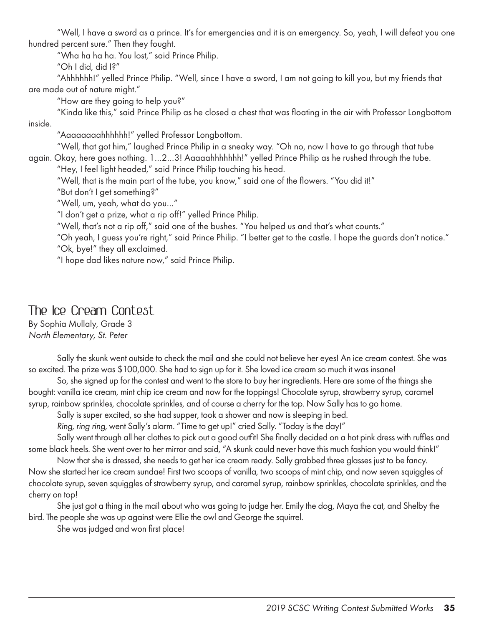"Well, I have a sword as a prince. It's for emergencies and it is an emergency. So, yeah, I will defeat you one hundred percent sure." Then they fought.

"Wha ha ha ha. You lost," said Prince Philip.

"Oh I did, did I?"

"Ahhhhhh!" yelled Prince Philip. "Well, since I have a sword, I am not going to kill you, but my friends that are made out of nature might."

"How are they going to help you?"

"Kinda like this," said Prince Philip as he closed a chest that was floating in the air with Professor Longbottom inside.

"Aaaaaaaahhhhhh!" yelled Professor Longbottom.

"Well, that got him," laughed Prince Philip in a sneaky way. "Oh no, now I have to go through that tube again. Okay, here goes nothing. 1…2…3! Aaaaahhhhhhh!" yelled Prince Philip as he rushed through the tube.

"Hey, I feel light headed," said Prince Philip touching his head.

"Well, that is the main part of the tube, you know," said one of the flowers. "You did it!"

"But don't I get something?"

"Well, um, yeah, what do you…"

"I don't get a prize, what a rip off!" yelled Prince Philip.

"Well, that's not a rip off," said one of the bushes. "You helped us and that's what counts."

"Oh yeah, I guess you're right," said Prince Philip. "I better get to the castle. I hope the guards don't notice." "Ok, bye!" they all exclaimed.

"I hope dad likes nature now," said Prince Philip.

## **The Ice Cream Contest**

By Sophia Mullaly, Grade 3 *North Elementary, St. Peter*

Sally the skunk went outside to check the mail and she could not believe her eyes! An ice cream contest. She was so excited. The prize was \$100,000. She had to sign up for it. She loved ice cream so much it was insane!

So, she signed up for the contest and went to the store to buy her ingredients. Here are some of the things she bought: vanilla ice cream, mint chip ice cream and now for the toppings! Chocolate syrup, strawberry syrup, caramel syrup, rainbow sprinkles, chocolate sprinkles, and of course a cherry for the top. Now Sally has to go home.

Sally is super excited, so she had supper, took a shower and now is sleeping in bed.

*Ring, ring ring,* went Sally's alarm. "Time to get up!" cried Sally. "Today is the day!"

Sally went through all her clothes to pick out a good outfit! She finally decided on a hot pink dress with ruffles and some black heels. She went over to her mirror and said, "A skunk could never have this much fashion you would think!"

Now that she is dressed, she needs to get her ice cream ready. Sally grabbed three glasses just to be fancy. Now she started her ice cream sundae! First two scoops of vanilla, two scoops of mint chip, and now seven squiggles of chocolate syrup, seven squiggles of strawberry syrup, and caramel syrup, rainbow sprinkles, chocolate sprinkles, and the cherry on top!

She just got a thing in the mail about who was going to judge her. Emily the dog, Maya the cat, and Shelby the bird. The people she was up against were Ellie the owl and George the squirrel.

She was judged and won first place!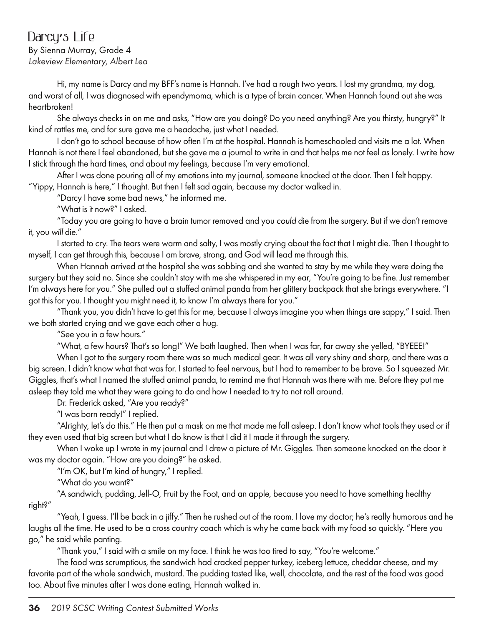## **Darcy's Life**

#### By Sienna Murray, Grade 4 *Lakeview Elementary, Albert Lea*

Hi, my name is Darcy and my BFF's name is Hannah. I've had a rough two years. I lost my grandma, my dog, and worst of all, I was diagnosed with ependymoma, which is a type of brain cancer. When Hannah found out she was heartbroken!

She always checks in on me and asks, "How are you doing? Do you need anything? Are you thirsty, hungry?" It kind of rattles me, and for sure gave me a headache, just what I needed.

I don't go to school because of how often I'm at the hospital. Hannah is homeschooled and visits me a lot. When Hannah is not there I feel abandoned, but she gave me a journal to write in and that helps me not feel as lonely. I write how I stick through the hard times, and about my feelings, because I'm very emotional.

After I was done pouring all of my emotions into my journal, someone knocked at the door. Then I felt happy. "Yippy, Hannah is here," I thought. But then I felt sad again, because my doctor walked in.

"Darcy I have some bad news," he informed me.

"What is it now?" I asked.

"Today you are going to have a brain tumor removed and you *could* die from the surgery. But if we don't remove it, you *will* die."

I started to cry. The tears were warm and salty, I was mostly crying about the fact that I might die. Then I thought to myself, I can get through this, because I am brave, strong, and God will lead me through this.

When Hannah arrived at the hospital she was sobbing and she wanted to stay by me while they were doing the surgery but they said no. Since she couldn't stay with me she whispered in my ear, "You're going to be fine. Just remember I'm always here for you." She pulled out a stuffed animal panda from her glittery backpack that she brings everywhere. "I got this for you. I thought you might need it, to know I'm always there for you."

"Thank you, you didn't have to get this for me, because I always imagine you when things are sappy," I said. Then we both started crying and we gave each other a hug.

"See you in a few hours."

"What, a few hours? That's so long!" We both laughed. Then when I was far, far away she yelled, "BYEEE!"

When I got to the surgery room there was so much medical gear. It was all very shiny and sharp, and there was a big screen. I didn't know what that was for. I started to feel nervous, but I had to remember to be brave. So I squeezed Mr. Giggles, that's what I named the stuffed animal panda, to remind me that Hannah was there with me. Before they put me asleep they told me what they were going to do and how I needed to try to not roll around.

Dr. Frederick asked, "Are you ready?"

"I was born ready!" I replied.

"Alrighty, let's do this." He then put a mask on me that made me fall asleep. I don't know what tools they used or if they even used that big screen but what I do know is that I did it I made it through the surgery.

When I woke up I wrote in my journal and I drew a picture of Mr. Giggles. Then someone knocked on the door it was my doctor again. "How are you doing?" he asked.

"I'm OK, but I'm kind of hungry," I replied.

"What do you want?"

"A sandwich, pudding, Jell-O, Fruit by the Foot, and an apple, because you need to have something healthy right?"

"Yeah, I guess. I'll be back in a jiffy." Then he rushed out of the room. I love my doctor; he's really humorous and he laughs all the time. He used to be a cross country coach which is why he came back with my food so quickly. "Here you go," he said while panting.

"Thank you," I said with a smile on my face. I think he was too tired to say, "You're welcome."

The food was scrumptious, the sandwich had cracked pepper turkey, iceberg lettuce, cheddar cheese, and my favorite part of the whole sandwich, mustard. The pudding tasted like, well, chocolate, and the rest of the food was good too. About five minutes after I was done eating, Hannah walked in.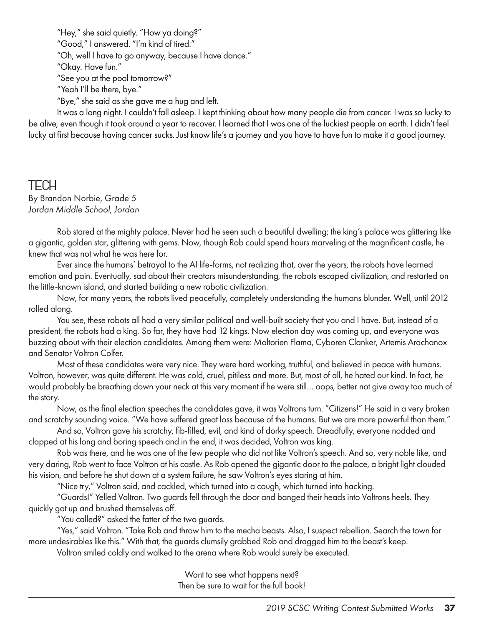"Hey," she said quietly. "How ya doing?"

"Good," I answered. "I'm kind of tired."

"Oh, well I have to go anyway, because I have dance."

"Okay. Have fun."

"See you at the pool tomorrow?"

"Yeah I'll be there, bye."

"Bye," she said as she gave me a hug and left.

It was a long night. I couldn't fall asleep. I kept thinking about how many people die from cancer. I was so lucky to be alive, even though it took around a year to recover. I learned that I was one of the luckiest people on earth. I didn't feel lucky at first because having cancer sucks. Just know life's a journey and you have to have fun to make it a good journey.

## **TECH**

By Brandon Norbie, Grade 5 *Jordan Middle School, Jordan*

Rob stared at the mighty palace. Never had he seen such a beautiful dwelling; the king's palace was glittering like a gigantic, golden star, glittering with gems. Now, though Rob could spend hours marveling at the magnificent castle, he knew that was not what he was here for.

Ever since the humans' betrayal to the AI life-forms, not realizing that, over the years, the robots have learned emotion and pain. Eventually, sad about their creators misunderstanding, the robots escaped civilization, and restarted on the little-known island, and started building a new robotic civilization.

Now, for many years, the robots lived peacefully, completely understanding the humans blunder. Well, until 2012 rolled along.

You see, these robots all had a very similar political and well-built society that you and I have. But, instead of a president, the robots had a king. So far, they have had 12 kings. Now election day was coming up, and everyone was buzzing about with their election candidates. Among them were: Moltorien Flama, Cyboren Clanker, Artemis Arachanox and Senator Voltron Colfer.

Most of these candidates were very nice. They were hard working, truthful, and believed in peace with humans. Voltron, however, was quite different. He was cold, cruel, pitiless and more. But, most of all, he hated our kind. In fact, he would probably be breathing down your neck at this very moment if he were still… oops, better not give away too much of the story.

Now, as the final election speeches the candidates gave, it was Voltrons turn. "Citizens!" He said in a very broken and scratchy sounding voice. "We have suffered great loss because of the humans. But we are more powerful than them."

And so, Voltron gave his scratchy, fib-filled, evil, and kind of dorky speech. Dreadfully, everyone nodded and clapped at his long and boring speech and in the end, it was decided, Voltron was king.

Rob was there, and he was one of the few people who did not like Voltron's speech. And so, very noble like, and very daring, Rob went to face Voltron at his castle. As Rob opened the gigantic door to the palace, a bright light clouded his vision, and before he shut down at a system failure, he saw Voltron's eyes staring at him.

"Nice try," Voltron said, and cackled, which turned into a cough, which turned into hacking.

"Guards!" Yelled Voltron. Two guards fell through the door and banged their heads into Voltrons heels. They quickly got up and brushed themselves off.

"You called?" asked the fatter of the two guards.

"Yes," said Voltron. "Take Rob and throw him to the mecha beasts. Also, I suspect rebellion. Search the town for more undesirables like this." With that, the guards clumsily grabbed Rob and dragged him to the beast's keep.

Voltron smiled coldly and walked to the arena where Rob would surely be executed.

Want to see what happens next? Then be sure to wait for the full book!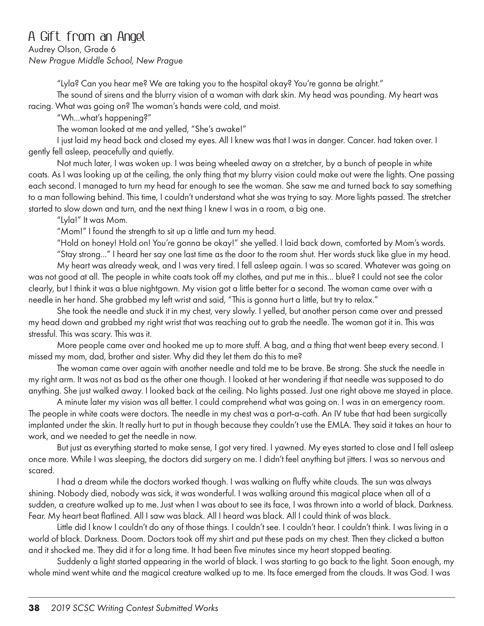## **A Gift from an Angel**

Audrey Olson, Grade 6 *New Prague Middle School, New Prague*

"Lyla? Can you hear me? We are taking you to the hospital okay? You're gonna be alright."

The sound of sirens and the blurry vision of a woman with dark skin. My head was pounding. My heart was racing. What was going on? The woman's hands were cold, and moist.

"Wh...what's happening?"

The woman looked at me and yelled, "She's awake!"

I just laid my head back and closed my eyes. All I knew was that I was in danger. Cancer. had taken over. I gently fell asleep, peacefully and quietly.

Not much later, I was woken up. I was being wheeled away on a stretcher, by a bunch of people in white coats. As I was looking up at the ceiling, the only thing that my blurry vision could make out were the lights. One passing each second. I managed to turn my head far enough to see the woman. She saw me and turned back to say something to a man following behind. This time, I couldn't understand what she was trying to say. More lights passed. The stretcher started to slow down and turn, and the next thing I knew I was in a room, a big one.

"Lyla!" It was Mom.

"Mom!" I found the strength to sit up a little and turn my head.

"Hold on honey! Hold on! You're gonna be okay!" she yelled. I laid back down, comforted by Mom's words. "Stay strong..." I heard her say one last time as the door to the room shut. Her words stuck like glue in my head.

My heart was already weak, and I was very tired. I fell asleep again. I was so scared. Whatever was going on was not good at all. The people in white coats took off my clothes, and put me in this... blue? I could not see the color clearly, but I think it was a blue nightgown. My vision got a little better for a second. The woman came over with a needle in her hand. She grabbed my left wrist and said, "This is gonna hurt a little, but try to relax."

She took the needle and stuck it in my chest, very slowly. I yelled, but another person came over and pressed my head down and grabbed my right wrist that was reaching out to grab the needle. The woman got it in. This was stressful. This was scary. This was it.

More people came over and hooked me up to more stuff. A bag, and a thing that went beep every second. I missed my mom, dad, brother and sister. Why did they let them do this to me?

The woman came over again with another needle and told me to be brave. Be strong. She stuck the needle in my right arm. It was not as bad as the other one though. I looked at her wondering if that needle was supposed to do anything. She just walked away. I looked back at the ceiling. No lights passed. Just one right above me stayed in place.

A minute later my vision was all better. I could comprehend what was going on. I was in an emergency room. The people in white coats were doctors. The needle in my chest was a port-a-cath. An IV tube that had been surgically implanted under the skin. It really hurt to put in though because they couldn't use the EMLA. They said it takes an hour to work, and we needed to get the needle in now.

But just as everything started to make sense, I got very tired. I yawned. My eyes started to close and l fell asleep once more. While I was sleeping, the doctors did surgery on me. I didn't feel anything but jitters. I was so nervous and scared.

I had a dream while the doctors worked though. I was walking on fluffy white clouds. The sun was always shining. Nobody died, nobody was sick, it was wonderful. I was walking around this magical place when all of a sudden, a creature walked up to me. Just when I was about to see its face, I was thrown into a world of black. Darkness. Fear. My heart beat flatlined. All I saw was black. All I heard was black. All I could think of was black.

Little did I know I couldn't do any of those things. I couldn't see. I couldn't hear. I couldn't think. I was living in a world of black. Darkness. Doom. Doctors took off my shirt and put these pads on my chest. Then they clicked a button and it shocked me. They did it for a long time. It had been five minutes since my heart stopped beating.

Suddenly a light started appearing in the world of black. I was starting to go back to the light. Soon enough, my whole mind went white and the magical creature walked up to me. Its face emerged from the clouds. It was God. I was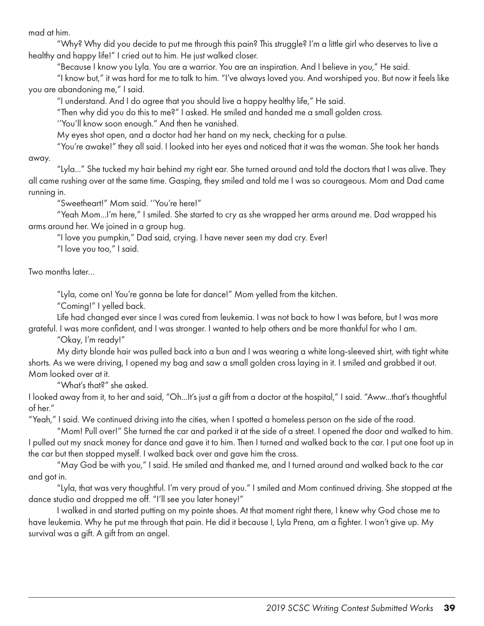mad at him.

"Why? Why did you decide to put me through this pain? This struggle? I'm a little girl who deserves to live a healthy and happy life!" I cried out to him. He just walked closer.

"Because I know you Lyla. You are a warrior. You are an inspiration. And I believe in you," He said.

"I know but," it was hard for me to talk to him. "I've always loved you. And worshiped you. But now it feels like you are abandoning me," I said.

"I understand. And I do agree that you should live a happy healthy life," He said.

"Then why did you do this to me?" I asked. He smiled and handed me a small golden cross.

''You'll know soon enough." And then he vanished.

My eyes shot open, and a doctor had her hand on my neck, checking for a pulse.

"You're awake!" they all said. I looked into her eyes and noticed that it was the woman. She took her hands away.

"Lyla..." She tucked my hair behind my right ear. She turned around and told the doctors that I was alive. They all came rushing over at the same time. Gasping, they smiled and told me I was so courageous. Mom and Dad came running in.

"Sweetheart!" Mom said. ''You're here!"

"Yeah Mom...I'm here," I smiled. She started to cry as she wrapped her arms around me. Dad wrapped his arms around her. We joined in a group hug.

"I love you pumpkin," Dad said, crying. I have never seen my dad cry. Ever!

"I love you too," I said.

Two months later…

"Lyla, come on! You're gonna be late for dance!" Mom yelled from the kitchen.

"Coming!" I yelled back.

Life had changed ever since I was cured from leukemia. I was not back to how I was before, but I was more grateful. I was more confident, and I was stronger. I wanted to help others and be more thankful for who I am.

"Okay, I'm ready!"

My dirty blonde hair was pulled back into a bun and I was wearing a white long-sleeved shirt, with tight white shorts. As we were driving, I opened my bag and saw a small golden cross laying in it. I smiled and grabbed it out. Mom looked over at it.

"What's that?" she asked.

I looked away from it, to her and said, "Oh...It's just a gift from a doctor at the hospital," I said. "Aww...that's thoughtful of her."

"Yeah," I said. We continued driving into the cities, when I spotted a homeless person on the side of the road.

"Mom! Pull over!" She turned the car and parked it at the side of a street. I opened the door and walked to him. I pulled out my snack money for dance and gave it to him. Then I turned and walked back to the car. I put one foot up in the car but then stopped myself. I walked back over and gave him the cross.

"May God be with you," I said. He smiled and thanked me, and I turned around and walked back to the car and got in.

"Lyla, that was very thoughtful. I'm very proud of you." I smiled and Mom continued driving. She stopped at the dance studio and dropped me off. "I'll see you later honey!"

I walked in and started putting on my pointe shoes. At that moment right there, I knew why God chose me to have leukemia. Why he put me through that pain. He did it because I, Lyla Prena, am a fighter. I won't give up. My survival was a gift. A gift from an angel.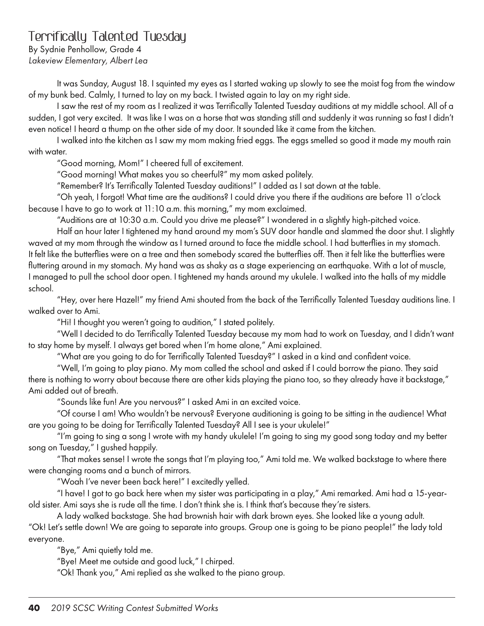## **Terrifically Talented Tuesday**

By Sydnie Penhollow, Grade 4 *Lakeview Elementary, Albert Lea*

It was Sunday, August 18. I squinted my eyes as I started waking up slowly to see the moist fog from the window of my bunk bed. Calmly, I turned to lay on my back. I twisted again to lay on my right side.

I saw the rest of my room as I realized it was Terrifically Talented Tuesday auditions at my middle school. All of a sudden, I got very excited. It was like I was on a horse that was standing still and suddenly it was running so fast I didn't even notice! I heard a thump on the other side of my door. It sounded like it came from the kitchen.

I walked into the kitchen as I saw my mom making fried eggs. The eggs smelled so good it made my mouth rain with water.

"Good morning, Mom!" I cheered full of excitement.

"Good morning! What makes you so cheerful?" my mom asked politely.

"Remember? It's Terrifically Talented Tuesday auditions!" I added as I sat down at the table.

"Oh yeah, I forgot! What time are the auditions? I could drive you there if the auditions are before 11 o'clock because I have to go to work at 11:10 a.m. this morning," my mom exclaimed.

"Auditions are at 10:30 a.m. Could you drive me please?" I wondered in a slightly high-pitched voice.

Half an hour later I tightened my hand around my mom's SUV door handle and slammed the door shut. I slightly waved at my mom through the window as I turned around to face the middle school. I had butterflies in my stomach. It felt like the butterflies were on a tree and then somebody scared the butterflies off. Then it felt like the butterflies were fluttering around in my stomach. My hand was as shaky as a stage experiencing an earthquake. With a lot of muscle, I managed to pull the school door open. I tightened my hands around my ukulele. I walked into the halls of my middle school.

"Hey, over here Hazel!" my friend Ami shouted from the back of the Terrifically Talented Tuesday auditions line. I walked over to Ami.

"Hi! I thought you weren't going to audition," I stated politely.

"Well I decided to do Terrifically Talented Tuesday because my mom had to work on Tuesday, and I didn't want to stay home by myself. I always get bored when I'm home alone," Ami explained.

"What are you going to do for Terrifically Talented Tuesday?" I asked in a kind and confident voice.

"Well, I'm going to play piano. My mom called the school and asked if I could borrow the piano. They said there is nothing to worry about because there are other kids playing the piano too, so they already have it backstage," Ami added out of breath.

"Sounds like fun! Are you nervous?" I asked Ami in an excited voice.

"Of course I am! Who wouldn't be nervous? Everyone auditioning is going to be sitting in the audience! What are you going to be doing for Terrifically Talented Tuesday? All I see is your ukulele!"

"I'm going to sing a song I wrote with my handy ukulele! I'm going to sing my good song today and my better song on Tuesday," I gushed happily.

"That makes sense! I wrote the songs that I'm playing too," Ami told me. We walked backstage to where there were changing rooms and a bunch of mirrors.

"Woah I've never been back here!" I excitedly yelled.

"I have! I got to go back here when my sister was participating in a play," Ami remarked. Ami had a 15-yearold sister. Ami says she is rude all the time. I don't think she is. I think that's because they're sisters.

A lady walked backstage. She had brownish hair with dark brown eyes. She looked like a young adult.

"Ok! Let's settle down! We are going to separate into groups. Group one is going to be piano people!" the lady told everyone.

"Bye," Ami quietly told me.

"Bye! Meet me outside and good luck," I chirped.

"Ok! Thank you," Ami replied as she walked to the piano group.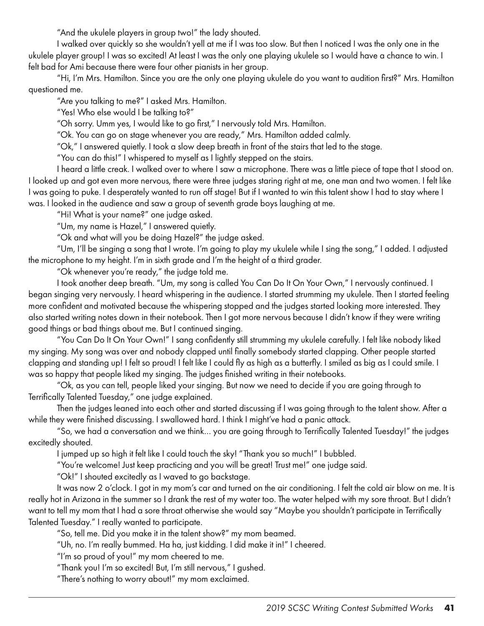"And the ukulele players in group two!" the lady shouted.

I walked over quickly so she wouldn't yell at me if I was too slow. But then I noticed I was the only one in the ukulele player group! I was so excited! At least I was the only one playing ukulele so I would have a chance to win. I felt bad for Ami because there were four other pianists in her group.

"Hi, I'm Mrs. Hamilton. Since you are the only one playing ukulele do you want to audition first?" Mrs. Hamilton questioned me.

"Are you talking to me?" I asked Mrs. Hamilton.

"Yes! Who else would I be talking to?"

"Oh sorry. Umm yes, I would like to go first," I nervously told Mrs. Hamilton.

"Ok. You can go on stage whenever you are ready," Mrs. Hamilton added calmly.

"Ok," I answered quietly. I took a slow deep breath in front of the stairs that led to the stage.

"You can do this!" I whispered to myself as I lightly stepped on the stairs.

I heard a little creak. I walked over to where I saw a microphone. There was a little piece of tape that I stood on. I looked up and got even more nervous, there were three judges staring right at me, one man and two women. I felt like I was going to puke. I desperately wanted to run off stage! But if I wanted to win this talent show I had to stay where I was. I looked in the audience and saw a group of seventh grade boys laughing at me.

"Hi! What is your name?" one judge asked.

"Um, my name is Hazel," I answered quietly.

"Ok and what will you be doing Hazel?" the judge asked.

"Um, I'll be singing a song that I wrote. I'm going to play my ukulele while I sing the song," I added. I adjusted the microphone to my height. I'm in sixth grade and I'm the height of a third grader.

"Ok whenever you're ready," the judge told me.

I took another deep breath. "Um, my song is called You Can Do It On Your Own," I nervously continued. I began singing very nervously. I heard whispering in the audience. I started strumming my ukulele. Then I started feeling more confident and motivated because the whispering stopped and the judges started looking more interested. They also started writing notes down in their notebook. Then I got more nervous because I didn't know if they were writing good things or bad things about me. But I continued singing.

"You Can Do It On Your Own!" I sang confidently still strumming my ukulele carefully. I felt like nobody liked my singing. My song was over and nobody clapped until finally somebody started clapping. Other people started clapping and standing up! I felt so proud! I felt like I could fly as high as a butterfly. I smiled as big as I could smile. I was so happy that people liked my singing. The judges finished writing in their notebooks.

"Ok, as you can tell, people liked your singing. But now we need to decide if you are going through to Terrifically Talented Tuesday," one judge explained.

Then the judges leaned into each other and started discussing if I was going through to the talent show. After a while they were finished discussing. I swallowed hard. I think I might've had a panic attack.

"So, we had a conversation and we think… you are going through to Terrifically Talented Tuesday!" the judges excitedly shouted.

I jumped up so high it felt like I could touch the sky! "Thank you so much!" I bubbled.

"You're welcome! Just keep practicing and you will be great! Trust me!" one judge said.

"Ok!" I shouted excitedly as I waved to go backstage.

It was now 2 o'clock. I got in my mom's car and turned on the air conditioning. I felt the cold air blow on me. It is really hot in Arizona in the summer so I drank the rest of my water too. The water helped with my sore throat. But I didn't want to tell my mom that I had a sore throat otherwise she would say "Maybe you shouldn't participate in Terrifically Talented Tuesday." I really wanted to participate.

"So, tell me. Did you make it in the talent show?" my mom beamed.

"Uh, no. I'm really bummed. Ha ha, just kidding. I did make it in!" I cheered.

"I'm so proud of you!" my mom cheered to me.

"Thank you! I'm so excited! But, I'm still nervous," I gushed.

"There's nothing to worry about!" my mom exclaimed.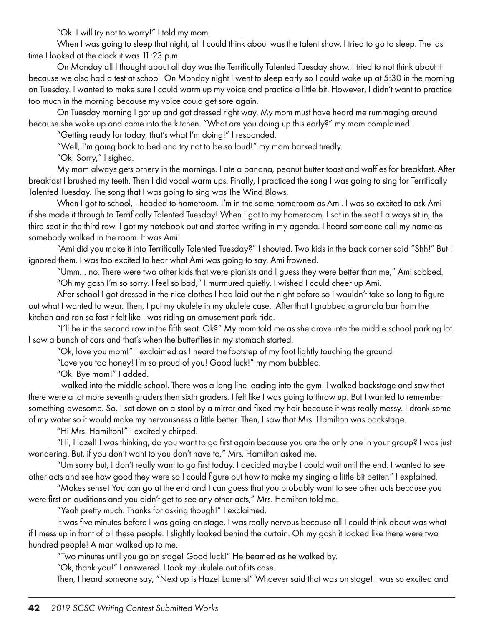"Ok. I will try not to worry!" I told my mom.

When I was going to sleep that night, all I could think about was the talent show. I tried to go to sleep. The last time I looked at the clock it was 11:23 p.m.

On Monday all I thought about all day was the Terrifically Talented Tuesday show. I tried to not think about it because we also had a test at school. On Monday night I went to sleep early so I could wake up at 5:30 in the morning on Tuesday. I wanted to make sure I could warm up my voice and practice a little bit. However, I didn't want to practice too much in the morning because my voice could get sore again.

On Tuesday morning I got up and got dressed right way. My mom must have heard me rummaging around because she woke up and came into the kitchen. "What are you doing up this early?" my mom complained.

"Getting ready for today, that's what I'm doing!" I responded.

"Well, I'm going back to bed and try not to be so loud!" my mom barked tiredly.

"Ok! Sorry," I sighed.

My mom always gets ornery in the mornings. I ate a banana, peanut butter toast and waffles for breakfast. After breakfast I brushed my teeth. Then I did vocal warm ups. Finally, I practiced the song I was going to sing for Terrifically Talented Tuesday. The song that I was going to sing was The Wind Blows.

When I got to school, I headed to homeroom. I'm in the same homeroom as Ami. I was so excited to ask Ami if she made it through to Terrifically Talented Tuesday! When I got to my homeroom, I sat in the seat I always sit in, the third seat in the third row. I got my notebook out and started writing in my agenda. I heard someone call my name as somebody walked in the room. It was Ami!

"Ami did you make it into Terrifically Talented Tuesday?" I shouted. Two kids in the back corner said "Shh!" But I ignored them, I was too excited to hear what Ami was going to say. Ami frowned.

"Umm… no. There were two other kids that were pianists and I guess they were better than me," Ami sobbed. "Oh my gosh I'm so sorry. I feel so bad," I murmured quietly. I wished I could cheer up Ami.

After school I got dressed in the nice clothes I had laid out the night before so I wouldn't take so long to figure out what I wanted to wear. Then, I put my ukulele in my ukulele case. After that I grabbed a granola bar from the kitchen and ran so fast it felt like I was riding an amusement park ride.

"I'll be in the second row in the fifth seat. Ok?" My mom told me as she drove into the middle school parking lot. I saw a bunch of cars and that's when the butterflies in my stomach started.

"Ok, love you mom!" I exclaimed as I heard the footstep of my foot lightly touching the ground.

"Love you too honey! I'm so proud of you! Good luck!" my mom bubbled.

"Ok! Bye mom!" I added.

I walked into the middle school. There was a long line leading into the gym. I walked backstage and saw that there were a lot more seventh graders then sixth graders. I felt like I was going to throw up. But I wanted to remember something awesome. So, I sat down on a stool by a mirror and fixed my hair because it was really messy. I drank some of my water so it would make my nervousness a little better. Then, I saw that Mrs. Hamilton was backstage.

"Hi Mrs. Hamilton!" I excitedly chirped.

"Hi, Hazel! I was thinking, do you want to go first again because you are the only one in your group? I was just wondering. But, if you don't want to you don't have to," Mrs. Hamilton asked me.

"Um sorry but, I don't really want to go first today. I decided maybe I could wait until the end. I wanted to see other acts and see how good they were so I could figure out how to make my singing a little bit better," I explained.

"Makes sense! You can go at the end and I can guess that you probably want to see other acts because you were first on auditions and you didn't get to see any other acts," Mrs. Hamilton told me.

"Yeah pretty much. Thanks for asking though!" I exclaimed.

It was five minutes before I was going on stage. I was really nervous because all I could think about was what if I mess up in front of all these people. I slightly looked behind the curtain. Oh my gosh it looked like there were two hundred people! A man walked up to me.

"Two minutes until you go on stage! Good luck!" He beamed as he walked by.

"Ok, thank you!" I answered. I took my ukulele out of its case.

Then, I heard someone say, "Next up is Hazel Lamers!" Whoever said that was on stage! I was so excited and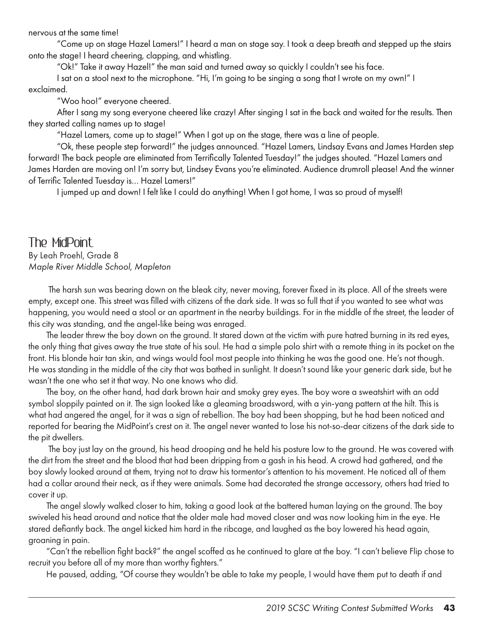nervous at the same time!

"Come up on stage Hazel Lamers!" I heard a man on stage say. I took a deep breath and stepped up the stairs onto the stage! I heard cheering, clapping, and whistling.

"Ok!" Take it away Hazel!" the man said and turned away so quickly I couldn't see his face.

I sat on a stool next to the microphone. "Hi, I'm going to be singing a song that I wrote on my own!" I exclaimed.

"Woo hoo!" everyone cheered.

After I sang my song everyone cheered like crazy! After singing I sat in the back and waited for the results. Then they started calling names up to stage!

"Hazel Lamers, come up to stage!" When I got up on the stage, there was a line of people.

"Ok, these people step forward!" the judges announced. "Hazel Lamers, Lindsay Evans and James Harden step forward! The back people are eliminated from Terrifically Talented Tuesday!" the judges shouted. "Hazel Lamers and James Harden are moving on! I'm sorry but, Lindsey Evans you're eliminated. Audience drumroll please! And the winner of Terrific Talented Tuesday is… Hazel Lamers!"

I jumped up and down! I felt like I could do anything! When I got home, I was so proud of myself!

## **The MidPoint**

By Leah Proehl, Grade 8 *Maple River Middle School, Mapleton*

 The harsh sun was bearing down on the bleak city, never moving, forever fixed in its place. All of the streets were empty, except one. This street was filled with citizens of the dark side. It was so full that if you wanted to see what was happening, you would need a stool or an apartment in the nearby buildings. For in the middle of the street, the leader of this city was standing, and the angel-like being was enraged.

The leader threw the boy down on the ground. It stared down at the victim with pure hatred burning in its red eyes, the only thing that gives away the true state of his soul. He had a simple polo shirt with a remote thing in its pocket on the front. His blonde hair tan skin, and wings would fool most people into thinking he was the good one. He's not though. He was standing in the middle of the city that was bathed in sunlight. It doesn't sound like your generic dark side, but he wasn't the one who set it that way. No one knows who did.

The boy, on the other hand, had dark brown hair and smoky grey eyes. The boy wore a sweatshirt with an odd symbol sloppily painted on it. The sign looked like a gleaming broadsword, with a yin-yang pattern at the hilt. This is what had angered the angel, for it was a sign of rebellion. The boy had been shopping, but he had been noticed and reported for bearing the MidPoint's crest on it. The angel never wanted to lose his not-so-dear citizens of the dark side to the pit dwellers.

 The boy just lay on the ground, his head drooping and he held his posture low to the ground. He was covered with the dirt from the street and the blood that had been dripping from a gash in his head. A crowd had gathered, and the boy slowly looked around at them, trying not to draw his tormentor's attention to his movement. He noticed all of them had a collar around their neck, as if they were animals. Some had decorated the strange accessory, others had tried to cover it up.

The angel slowly walked closer to him, taking a good look at the battered human laying on the ground. The boy swiveled his head around and notice that the older male had moved closer and was now looking him in the eye. He stared defiantly back. The angel kicked him hard in the ribcage, and laughed as the boy lowered his head again, groaning in pain.

"Can't the rebellion fight back?" the angel scoffed as he continued to glare at the boy. "I can't believe Flip chose to recruit you before all of my more than worthy fighters."

He paused, adding, "Of course they wouldn't be able to take my people, I would have them put to death if and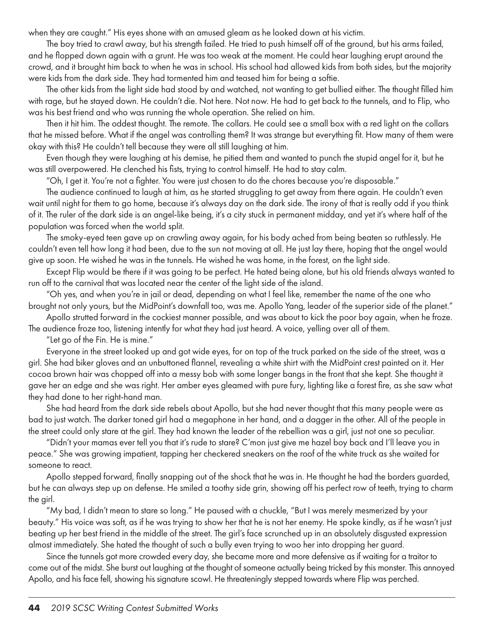when they are caught." His eyes shone with an amused gleam as he looked down at his victim.

The boy tried to crawl away, but his strength failed. He tried to push himself off of the ground, but his arms failed, and he flopped down again with a grunt. He was too weak at the moment. He could hear laughing erupt around the crowd, and it brought him back to when he was in school. His school had allowed kids from both sides, but the majority were kids from the dark side. They had tormented him and teased him for being a softie.

The other kids from the light side had stood by and watched, not wanting to get bullied either. The thought filled him with rage, but he stayed down. He couldn't die. Not here. Not now. He had to get back to the tunnels, and to Flip, who was his best friend and who was running the whole operation. She relied on him.

Then it hit him. The oddest thought. The remote. The collars. He could see a small box with a red light on the collars that he missed before. What if the angel was controlling them? It was strange but everything fit. How many of them were okay with this? He couldn't tell because they were all still laughing at him.

Even though they were laughing at his demise, he pitied them and wanted to punch the stupid angel for it, but he was still overpowered. He clenched his fists, trying to control himself. He had to stay calm.

"Oh, I get it. You're not a fighter. You were just chosen to do the chores because you're disposable."

The audience continued to laugh at him, as he started struggling to get away from there again. He couldn't even wait until night for them to go home, because it's always day on the dark side. The irony of that is really odd if you think of it. The ruler of the dark side is an angel-like being, it's a city stuck in permanent midday, and yet it's where half of the population was forced when the world split.

The smoky-eyed teen gave up on crawling away again, for his body ached from being beaten so ruthlessly. He couldn't even tell how long it had been, due to the sun not moving at all. He just lay there, hoping that the angel would give up soon. He wished he was in the tunnels. He wished he was home, in the forest, on the light side.

Except Flip would be there if it was going to be perfect. He hated being alone, but his old friends always wanted to run off to the carnival that was located near the center of the light side of the island.

"Oh yes, and when you're in jail or dead, depending on what I feel like, remember the name of the one who brought not only yours, but the MidPoint's downfall too, was me. Apollo Yang, leader of the superior side of the planet."

Apollo strutted forward in the cockiest manner possible, and was about to kick the poor boy again, when he froze. The audience froze too, listening intently for what they had just heard. A voice, yelling over all of them.

"Let go of the Fin. He is mine."

Everyone in the street looked up and got wide eyes, for on top of the truck parked on the side of the street, was a girl. She had biker gloves and an unbuttoned flannel, revealing a white shirt with the MidPoint crest painted on it. Her cocoa brown hair was chopped off into a messy bob with some longer bangs in the front that she kept. She thought it gave her an edge and she was right. Her amber eyes gleamed with pure fury, lighting like a forest fire, as she saw what they had done to her right-hand man.

She had heard from the dark side rebels about Apollo, but she had never thought that this many people were as bad to just watch. The darker toned girl had a megaphone in her hand, and a dagger in the other. All of the people in the street could only stare at the girl. They had known the leader of the rebellion was a girl, just not one so peculiar.

"Didn't your mamas ever tell you that it's rude to stare? C'mon just give me hazel boy back and I'll leave you in peace." She was growing impatient, tapping her checkered sneakers on the roof of the white truck as she waited for someone to react.

Apollo stepped forward, finally snapping out of the shock that he was in. He thought he had the borders guarded, but he can always step up on defense. He smiled a toothy side grin, showing off his perfect row of teeth, trying to charm the girl.

"My bad, I didn't mean to stare so long." He paused with a chuckle, "But I was merely mesmerized by your beauty." His voice was soft, as if he was trying to show her that he is not her enemy. He spoke kindly, as if he wasn't just beating up her best friend in the middle of the street. The girl's face scrunched up in an absolutely disgusted expression almost immediately. She hated the thought of such a bully even trying to woo her into dropping her guard.

Since the tunnels got more crowded every day, she became more and more defensive as if waiting for a traitor to come out of the midst. She burst out laughing at the thought of someone actually being tricked by this monster. This annoyed Apollo, and his face fell, showing his signature scowl. He threateningly stepped towards where Flip was perched.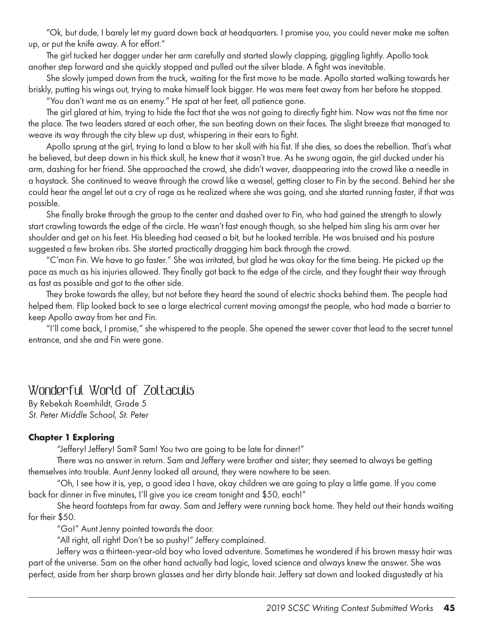"Ok, but dude, I barely let my guard down back at headquarters. I promise you, you could never make me soften up, or put the knife away. A for effort."

The girl tucked her dagger under her arm carefully and started slowly clapping, giggling lightly. Apollo took another step forward and she quickly stopped and pulled out the silver blade. A fight was inevitable.

She slowly jumped down from the truck, waiting for the first move to be made. Apollo started walking towards her briskly, putting his wings out, trying to make himself look bigger. He was mere feet away from her before he stopped. "You don't want me as an enemy." He spat at her feet, all patience gone.

The girl glared at him, trying to hide the fact that she was not going to directly fight him. Now was not the time nor the place. The two leaders stared at each other, the sun beating down on their faces. The slight breeze that managed to weave its way through the city blew up dust, whispering in their ears to fight.

Apollo sprung at the girl, trying to land a blow to her skull with his fist. If she dies, so does the rebellion. That's what he believed, but deep down in his thick skull, he knew that it wasn't true. As he swung again, the girl ducked under his arm, dashing for her friend. She approached the crowd, she didn't waver, disappearing into the crowd like a needle in a haystack. She continued to weave through the crowd like a weasel, getting closer to Fin by the second. Behind her she could hear the angel let out a cry of rage as he realized where she was going, and she started running faster, if that was possible.

She finally broke through the group to the center and dashed over to Fin, who had gained the strength to slowly start crawling towards the edge of the circle. He wasn't fast enough though, so she helped him sling his arm over her shoulder and get on his feet. His bleeding had ceased a bit, but he looked terrible. He was bruised and his posture suggested a few broken ribs. She started practically dragging him back through the crowd.

"C'mon Fin. We have to go faster." She was irritated, but glad he was okay for the time being. He picked up the pace as much as his injuries allowed. They finally got back to the edge of the circle, and they fought their way through as fast as possible and got to the other side.

They broke towards the alley, but not before they heard the sound of electric shocks behind them. The people had helped them. Flip looked back to see a large electrical current moving amongst the people, who had made a barrier to keep Apollo away from her and Fin.

"I'll come back, I promise," she whispered to the people. She opened the sewer cover that lead to the secret tunnel entrance, and she and Fin were gone.

## **Wonderful World of Zoltaculis**

By Rebekah Roemhildt, Grade 5 *St. Peter Middle School, St. Peter*

#### **Chapter 1 Exploring**

"Jeffery! Jeffery! Sam? Sam! You two are going to be late for dinner!"

There was no answer in return. Sam and Jeffery were brother and sister; they seemed to always be getting themselves into trouble. Aunt Jenny looked all around, they were nowhere to be seen.

"Oh, I see how it is, yep, a good idea I have, okay children we are going to play a little game. If you come back for dinner in five minutes, I'll give you ice cream tonight and \$50, each!"

She heard footsteps from far away. Sam and Jeffery were running back home. They held out their hands waiting for their \$50.

"Go!" Aunt Jenny pointed towards the door.

"All right, all right! Don't be so pushy!" Jeffery complained.

Jeffery was a thirteen-year-old boy who loved adventure. Sometimes he wondered if his brown messy hair was part of the universe. Sam on the other hand actually had logic, loved science and always knew the answer. She was perfect, aside from her sharp brown glasses and her dirty blonde hair. Jeffery sat down and looked disgustedly at his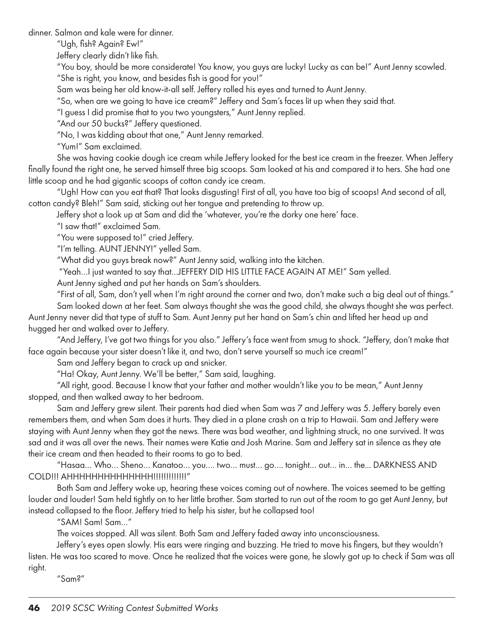dinner. Salmon and kale were for dinner.

"Ugh, fish? Again? Ew!"

Jeffery clearly didn't like fish.

"You boy, should be more considerate! You know, you guys are lucky! Lucky as can be!" Aunt Jenny scowled. "She is right, you know, and besides fish is good for you!"

Sam was being her old know-it-all self. Jeffery rolled his eyes and turned to Aunt Jenny.

"So, when are we going to have ice cream?" Jeffery and Sam's faces lit up when they said that.

"I guess I did promise that to you two youngsters," Aunt Jenny replied.

"And our 50 bucks?" Jeffery questioned.

"No, I was kidding about that one," Aunt Jenny remarked.

"Yum!" Sam exclaimed.

She was having cookie dough ice cream while Jeffery looked for the best ice cream in the freezer. When Jeffery finally found the right one, he served himself three big scoops. Sam looked at his and compared it to hers. She had one little scoop and he had gigantic scoops of cotton candy ice cream.

"Ugh! How can you eat that? That looks disgusting! First of all, you have too big of scoops! And second of all, cotton candy? Bleh!" Sam said, sticking out her tongue and pretending to throw up.

Jeffery shot a look up at Sam and did the 'whatever, you're the dorky one here' face.

"I saw that!" exclaimed Sam.

"You were supposed to!" cried Jeffery.

"I'm telling. AUNT JENNY!" yelled Sam.

"What did you guys break now?" Aunt Jenny said, walking into the kitchen.

"Yeah…I just wanted to say that…JEFFERY DID HIS LITTLE FACE AGAIN AT ME!" Sam yelled.

Aunt Jenny sighed and put her hands on Sam's shoulders.

"First of all, Sam, don't yell when I'm right around the corner and two, don't make such a big deal out of things." Sam looked down at her feet. Sam always thought she was the good child, she always thought she was perfect. Aunt Jenny never did that type of stuff to Sam. Aunt Jenny put her hand on Sam's chin and lifted her head up and

hugged her and walked over to Jeffery.

"And Jeffery, I've got two things for you also." Jeffery's face went from smug to shock. "Jeffery, don't make that face again because your sister doesn't like it, and two, don't serve yourself so much ice cream!"

Sam and Jeffery began to crack up and snicker.

"Ha! Okay, Aunt Jenny. We'll be better," Sam said, laughing.

"All right, good. Because I know that your father and mother wouldn't like you to be mean," Aunt Jenny stopped, and then walked away to her bedroom.

Sam and Jeffery grew silent. Their parents had died when Sam was 7 and Jeffery was 5. Jeffery barely even remembers them, and when Sam does it hurts. They died in a plane crash on a trip to Hawaii. Sam and Jeffery were staying with Aunt Jenny when they got the news. There was bad weather, and lightning struck, no one survived. It was sad and it was all over the news. Their names were Katie and Josh Marine. Sam and Jeffery sat in silence as they ate their ice cream and then headed to their rooms to go to bed.

"Hasaa… Who… Sheno… Kanatoo… you…. two… must… go…. tonight… out… in… the... DARKNESS AND COLD!!! AHHHHHHHHHHHHHH!!!!!!!!!!!!!!

Both Sam and Jeffery woke up, hearing these voices coming out of nowhere. The voices seemed to be getting louder and louder! Sam held tightly on to her little brother. Sam started to run out of the room to go get Aunt Jenny, but instead collapsed to the floor. Jeffery tried to help his sister, but he collapsed too!

"SAM! Sam! Sam..."

The voices stopped. All was silent. Both Sam and Jeffery faded away into unconsciousness.

Jeffery's eyes open slowly. His ears were ringing and buzzing. He tried to move his fingers, but they wouldn't listen. He was too scared to move. Once he realized that the voices were gone, he slowly got up to check if Sam was all right.

"Sam?"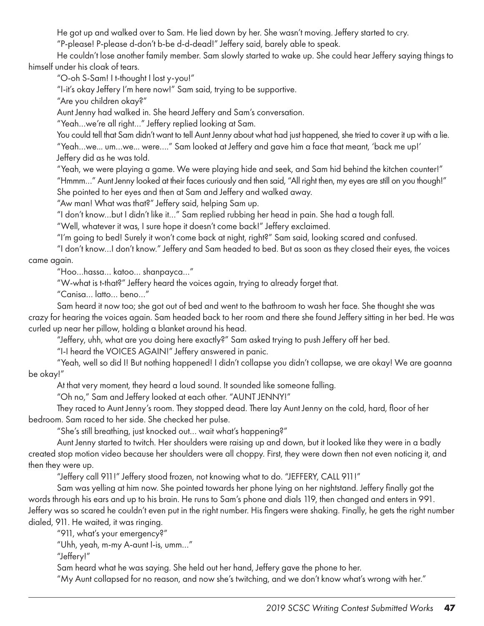He got up and walked over to Sam. He lied down by her. She wasn't moving. Jeffery started to cry.

"P-please! P-please d-don't b-be d-d-dead!" Jeffery said, barely able to speak.

He couldn't lose another family member. Sam slowly started to wake up. She could hear Jeffery saying things to himself under his cloak of tears.

"O-oh S-Sam! I t-thought I lost y-you!"

"I-it's okay Jeffery I'm here now!" Sam said, trying to be supportive.

"Are you children okay?"

Aunt Jenny had walked in. She heard Jeffery and Sam's conversation.

"Yeah…we're all right…" Jeffery replied looking at Sam.

You could tell that Sam didn't want to tell Aunt Jenny about what had just happened, she tried to cover it up with a lie. "Yeah…we... um…we... were…." Sam looked at Jeffery and gave him a face that meant, 'back me up!' Jeffery did as he was told.

"Yeah, we were playing a game. We were playing hide and seek, and Sam hid behind the kitchen counter!" "Hmmm…" Aunt Jenny looked at their faces curiously and then said, "All right then, my eyes are still on you though!" She pointed to her eyes and then at Sam and Jeffery and walked away.

"Aw man! What was that?" Jeffery said, helping Sam up.

"I don't know…but I didn't like it…" Sam replied rubbing her head in pain. She had a tough fall.

"Well, whatever it was, I sure hope it doesn't come back!" Jeffery exclaimed.

"I'm going to bed! Surely it won't come back at night, right?" Sam said, looking scared and confused.

"I don't know…I don't know." Jeffery and Sam headed to bed. But as soon as they closed their eyes, the voices came again.

"Hoo…hassa… katoo… shanpayca…"

"W-what is t-that?" Jeffery heard the voices again, trying to already forget that.

"Canisa… latto… beno…"

Sam heard it now too; she got out of bed and went to the bathroom to wash her face. She thought she was crazy for hearing the voices again. Sam headed back to her room and there she found Jeffery sitting in her bed. He was curled up near her pillow, holding a blanket around his head.

"Jeffery, uhh, what are you doing here exactly?" Sam asked trying to push Jeffery off her bed.

"I-I heard the VOICES AGAIN!" Jeffery answered in panic.

"Yeah, well so did I! But nothing happened! I didn't collapse you didn't collapse, we are okay! We are goanna be okay!"

At that very moment, they heard a loud sound. It sounded like someone falling.

"Oh no," Sam and Jeffery looked at each other. "AUNT JENNY!"

They raced to Aunt Jenny's room. They stopped dead. There lay Aunt Jenny on the cold, hard, floor of her bedroom. Sam raced to her side. She checked her pulse.

"She's still breathing, just knocked out… wait what's happening?"

Aunt Jenny started to twitch. Her shoulders were raising up and down, but it looked like they were in a badly created stop motion video because her shoulders were all choppy. First, they were down then not even noticing it, and then they were up.

"Jeffery call 911!" Jeffery stood frozen, not knowing what to do. "JEFFERY, CALL 911!"

Sam was yelling at him now. She pointed towards her phone lying on her nightstand. Jeffery finally got the words through his ears and up to his brain. He runs to Sam's phone and dials 119, then changed and enters in 991. Jeffery was so scared he couldn't even put in the right number. His fingers were shaking. Finally, he gets the right number dialed, 911. He waited, it was ringing.

"911, what's your emergency?"

"Uhh, yeah, m-my A-aunt I-is, umm…"

"Jeffery!"

Sam heard what he was saying. She held out her hand, Jeffery gave the phone to her.

"My Aunt collapsed for no reason, and now she's twitching, and we don't know what's wrong with her."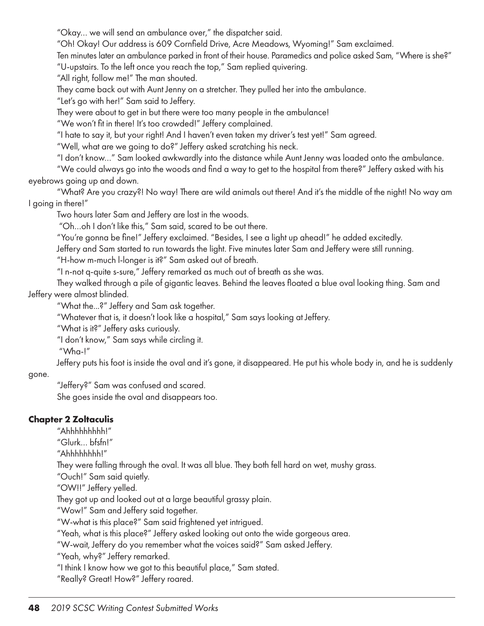"Okay… we will send an ambulance over," the dispatcher said.

"Oh! Okay! Our address is 609 Cornfield Drive, Acre Meadows, Wyoming!" Sam exclaimed.

Ten minutes later an ambulance parked in front of their house. Paramedics and police asked Sam, "Where is she?" "U-upstairs. To the left once you reach the top," Sam replied quivering.

"All right, follow me!" The man shouted.

They came back out with Aunt Jenny on a stretcher. They pulled her into the ambulance.

"Let's go with her!" Sam said to Jeffery.

They were about to get in but there were too many people in the ambulance!

"We won't fit in there! It's too crowded!" Jeffery complained.

"I hate to say it, but your right! And I haven't even taken my driver's test yet!" Sam agreed.

"Well, what are we going to do?" Jeffery asked scratching his neck.

"I don't know…" Sam looked awkwardly into the distance while Aunt Jenny was loaded onto the ambulance.

"We could always go into the woods and find a way to get to the hospital from there?" Jeffery asked with his eyebrows going up and down.

"What? Are you crazy?! No way! There are wild animals out there! And it's the middle of the night! No way am I going in there!"

Two hours later Sam and Jeffery are lost in the woods.

"Oh…oh I don't like this," Sam said, scared to be out there.

"You're gonna be fine!" Jeffery exclaimed. "Besides, I see a light up ahead!" he added excitedly.

Jeffery and Sam started to run towards the light. Five minutes later Sam and Jeffery were still running.

"H-how m-much l-longer is it?" Sam asked out of breath.

"I n-not q-quite s-sure," Jeffery remarked as much out of breath as she was.

They walked through a pile of gigantic leaves. Behind the leaves floated a blue oval looking thing. Sam and Jeffery were almost blinded.

"What the...?" Jeffery and Sam ask together.

"Whatever that is, it doesn't look like a hospital," Sam says looking at Jeffery.

"What is it?" Jeffery asks curiously.

"I don't know," Sam says while circling it.

"Wha-!"

Jeffery puts his foot is inside the oval and it's gone, it disappeared. He put his whole body in, and he is suddenly gone.

"Jeffery?" Sam was confused and scared.

She goes inside the oval and disappears too.

## **Chapter 2 Zoltaculis**

"Ahhhhhhhhh!"

"Glurk… bfsfn!"

"Ahhhhhhhh!"

They were falling through the oval. It was all blue. They both fell hard on wet, mushy grass.

"Ouch!" Sam said quietly.

"OW!!" Jeffery yelled.

They got up and looked out at a large beautiful grassy plain.

"Wow!" Sam and Jeffery said together.

"W-what is this place?" Sam said frightened yet intrigued.

"Yeah, what is this place?" Jeffery asked looking out onto the wide gorgeous area.

"W-wait, Jeffery do you remember what the voices said?" Sam asked Jeffery.

"Yeah, why?" Jeffery remarked.

"I think I know how we got to this beautiful place," Sam stated.

"Really? Great! How?" Jeffery roared.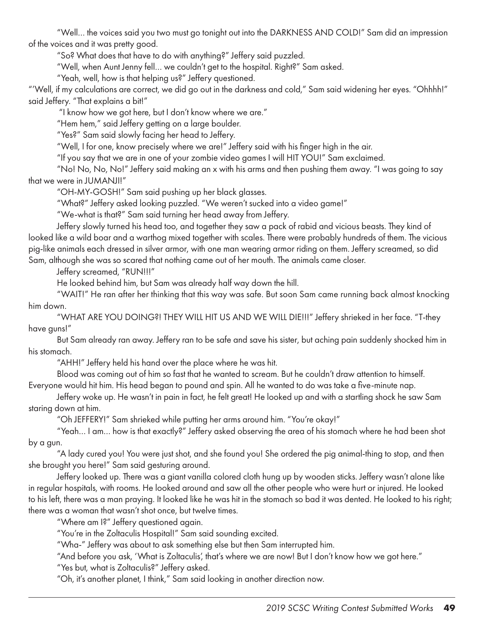"Well… the voices said you two must go tonight out into the DARKNESS AND COLD!" Sam did an impression of the voices and it was pretty good.

"So? What does that have to do with anything?" Jeffery said puzzled.

"Well, when Aunt Jenny fell… we couldn't get to the hospital. Right?" Sam asked.

"Yeah, well, how is that helping us?" Jeffery questioned.

"'Well, if my calculations are correct, we did go out in the darkness and cold," Sam said widening her eyes. "Ohhhh!" said Jeffery. "That explains a bit!"

"I know how we got here, but I don't know where we are."

"Hem hem," said Jeffery getting on a large boulder.

"Yes?" Sam said slowly facing her head to Jeffery.

"Well, I for one, know precisely where we are!" Jeffery said with his finger high in the air.

"If you say that we are in one of your zombie video games I will HIT YOU!" Sam exclaimed.

"No! No, No, No!" Jeffery said making an x with his arms and then pushing them away. "I was going to say that we were in JUMANJI!"

"OH-MY-GOSH!" Sam said pushing up her black glasses.

"What?" Jeffery asked looking puzzled. "We weren't sucked into a video game!"

"We-what is that?" Sam said turning her head away from Jeffery.

Jeffery slowly turned his head too, and together they saw a pack of rabid and vicious beasts. They kind of looked like a wild boar and a warthog mixed together with scales. There were probably hundreds of them. The vicious pig-like animals each dressed in silver armor, with one man wearing armor riding on them. Jeffery screamed, so did Sam, although she was so scared that nothing came out of her mouth. The animals came closer.

Jeffery screamed, "RUN!!!"

He looked behind him, but Sam was already half way down the hill.

"WAIT!" He ran after her thinking that this way was safe. But soon Sam came running back almost knocking him down.

"WHAT ARE YOU DOING?! THEY WILL HIT US AND WE WILL DIE!!!" Jeffery shrieked in her face. "T-they have guns!"

But Sam already ran away. Jeffery ran to be safe and save his sister, but aching pain suddenly shocked him in his stomach.

"AHH!" Jeffery held his hand over the place where he was hit.

Blood was coming out of him so fast that he wanted to scream. But he couldn't draw attention to himself.

Everyone would hit him. His head began to pound and spin. All he wanted to do was take a five-minute nap.

Jeffery woke up. He wasn't in pain in fact, he felt great! He looked up and with a startling shock he saw Sam staring down at him.

"Oh JEFFERY!" Sam shrieked while putting her arms around him. "You're okay!"

"Yeah… I am… how is that exactly?" Jeffery asked observing the area of his stomach where he had been shot by a gun.

"A lady cured you! You were just shot, and she found you! She ordered the pig animal-thing to stop, and then she brought you here!" Sam said gesturing around.

Jeffery looked up. There was a giant vanilla colored cloth hung up by wooden sticks. Jeffery wasn't alone like in regular hospitals, with rooms. He looked around and saw all the other people who were hurt or injured. He looked to his left, there was a man praying. It looked like he was hit in the stomach so bad it was dented. He looked to his right; there was a woman that wasn't shot once, but twelve times.

"Where am I?" Jeffery questioned again.

"You're in the Zoltaculis Hospital!" Sam said sounding excited.

"Wha-" Jeffery was about to ask something else but then Sam interrupted him.

"And before you ask, 'What is Zoltaculis', that's where we are now! But I don't know how we got here."

"Yes but, what is Zoltaculis?" Jeffery asked.

"Oh, it's another planet, I think," Sam said looking in another direction now.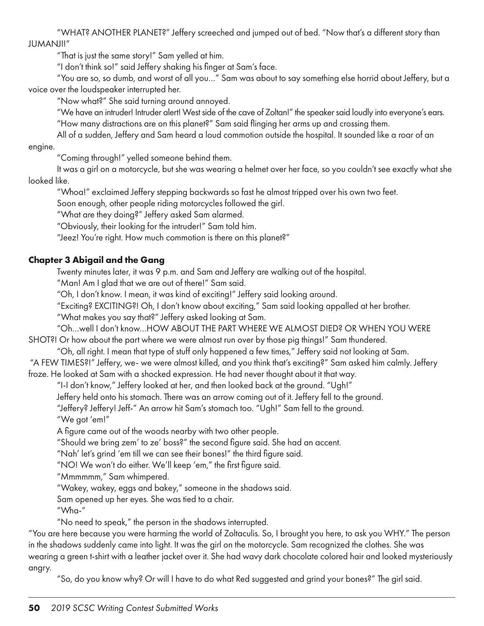"WHAT? ANOTHER PLANET?" Jeffery screeched and jumped out of bed. "Now that's a different story than JUMANJI!"

"That is just the same story!" Sam yelled at him.

"I don't think so!" said Jeffery shaking his finger at Sam's face.

"You are so, so dumb, and worst of all you…" Sam was about to say something else horrid about Jeffery, but a voice over the loudspeaker interrupted her.

"Now what?" She said turning around annoyed.

"We have an intruder! Intruder alert! West side of the cave of Zoltan!" the speaker said loudly into everyone's ears. "How many distractions are on this planet?" Sam said flinging her arms up and crossing them.

All of a sudden, Jeffery and Sam heard a loud commotion outside the hospital. It sounded like a roar of an

engine.

"Coming through!" yelled someone behind them.

It was a girl on a motorcycle, but she was wearing a helmet over her face, so you couldn't see exactly what she looked like.

"Whoa!" exclaimed Jeffery stepping backwards so fast he almost tripped over his own two feet.

Soon enough, other people riding motorcycles followed the girl.

"What are they doing?" Jeffery asked Sam alarmed.

"Obviously, their looking for the intruder!" Sam told him.

"Jeez! You're right. How much commotion is there on this planet?"

### **Chapter 3 Abigail and the Gang**

Twenty minutes later, it was 9 p.m. and Sam and Jeffery are walking out of the hospital.

"Man! Am I glad that we are out of there!" Sam said.

"Oh, I don't know. I mean, it was kind of exciting!" Jeffery said looking around.

"Exciting? EXCITING?! Oh, I don't know about exciting," Sam said looking appalled at her brother.

"What makes you say that?" Jeffery asked looking at Sam.

"Oh…well I don't know…HOW ABOUT THE PART WHERE WE ALMOST DIED? OR WHEN YOU WERE

SHOT?! Or how about the part where we were almost run over by those pig things!" Sam thundered.

"Oh, all right. I mean that type of stuff only happened a few times," Jeffery said not looking at Sam.

"A FEW TIMES?!" Jeffery, we- we were almost killed, and you think that's exciting?" Sam asked him calmly. Jeffery

froze. He looked at Sam with a shocked expression. He had never thought about it that way. "I-I don't know," Jeffery looked at her, and then looked back at the ground. "Ugh!"

Jeffery held onto his stomach. There was an arrow coming out of it. Jeffery fell to the ground.

"Jeffery? Jeffery! Jeff-" An arrow hit Sam's stomach too. "Ugh!" Sam fell to the ground.

"We got 'em!"

A figure came out of the woods nearby with two other people.

"Should we bring zem' to ze' boss?" the second figure said. She had an accent.

"Nah' let's grind 'em till we can see their bones!" the third figure said.

"NO! We won't do either. We'll keep 'em," the first figure said.

"Mmmmmm," Sam whimpered.

"Wakey, wakey, eggs and bakey," someone in the shadows said.

Sam opened up her eyes. She was tied to a chair.

"Wha-"

"No need to speak," the person in the shadows interrupted.

"You are here because you were harming the world of Zoltaculis. So, I brought you here, to ask you WHY." The person in the shadows suddenly came into light. It was the girl on the motorcycle. Sam recognized the clothes. She was wearing a green t-shirt with a leather jacket over it. She had wavy dark chocolate colored hair and looked mysteriously angry.

"So, do you know why? Or will I have to do what Red suggested and grind your bones?" The girl said.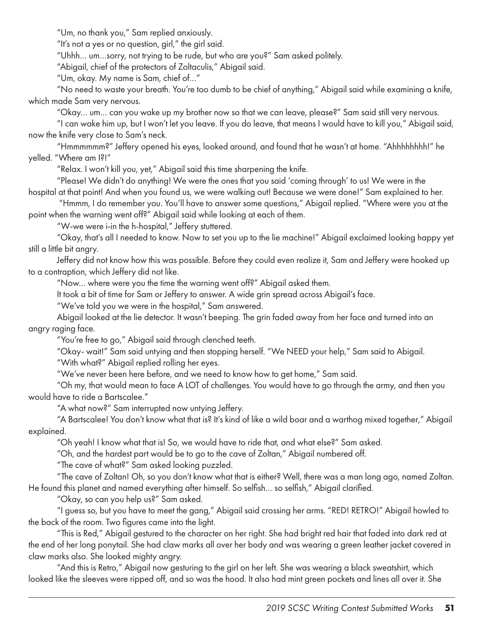"Um, no thank you," Sam replied anxiously.

"It's not a yes or no question, girl," the girl said.

"Uhhh… um…sorry, not trying to be rude, but who are you?" Sam asked politely.

"Abigail, chief of the protectors of Zoltaculis," Abigail said.

"Um, okay. My name is Sam, chief of…"

"No need to waste your breath. You're too dumb to be chief of anything," Abigail said while examining a knife, which made Sam very nervous.

"Okay… um… can you wake up my brother now so that we can leave, please?" Sam said still very nervous.

"I can wake him up, but I won't let you leave. If you do leave, that means I would have to kill you," Abigail said, now the knife very close to Sam's neck.

"Hmmmmmm?" Jeffery opened his eyes, looked around, and found that he wasn't at home. "Ahhhhhhhh!" he yelled. "Where am I?!"

"Relax. I won't kill you, yet," Abigail said this time sharpening the knife.

"Please! We didn't do anything! We were the ones that you said 'coming through' to us! We were in the hospital at that point! And when you found us, we were walking out! Because we were done!" Sam explained to her.

 "Hmmm, I do remember you. You'll have to answer some questions," Abigail replied. "Where were you at the point when the warning went off?" Abigail said while looking at each of them.

"W-we were i-in the h-hospital," Jeffery stuttered.

"Okay, that's all I needed to know. Now to set you up to the lie machine!" Abigail exclaimed looking happy yet still a little bit angry.

Jeffery did not know how this was possible. Before they could even realize it, Sam and Jeffery were hooked up to a contraption, which Jeffery did not like.

"Now… where were you the time the warning went off?" Abigail asked them.

It took a bit of time for Sam or Jeffery to answer. A wide grin spread across Abigail's face.

"We've told you we were in the hospital," Sam answered.

Abigail looked at the lie detector. It wasn't beeping. The grin faded away from her face and turned into an angry raging face.

"You're free to go," Abigail said through clenched teeth.

"Okay- wait!" Sam said untying and then stopping herself. "We NEED your help," Sam said to Abigail.

"With what?" Abigail replied rolling her eyes.

"We've never been here before, and we need to know how to get home," Sam said.

"Oh my, that would mean to face A LOT of challenges. You would have to go through the army, and then you would have to ride a Bartscalee."

"A what now?" Sam interrupted now untying Jeffery.

"A Bartscalee! You don't know what that is? It's kind of like a wild boar and a warthog mixed together," Abigail explained.

"Oh yeah! I know what that is! So, we would have to ride that, and what else?" Sam asked.

"Oh, and the hardest part would be to go to the cave of Zoltan," Abigail numbered off.

"The cave of what?" Sam asked looking puzzled.

"The cave of Zoltan! Oh, so you don't know what that is either? Well, there was a man long ago, named Zoltan. He found this planet and named everything after himself. So selfish… so selfish," Abigail clarified.

"Okay, so can you help us?" Sam asked.

"I guess so, but you have to meet the gang," Abigail said crossing her arms. "RED! RETRO!" Abigail howled to the back of the room. Two figures came into the light.

"This is Red," Abigail gestured to the character on her right. She had bright red hair that faded into dark red at the end of her long ponytail. She had claw marks all over her body and was wearing a green leather jacket covered in claw marks also. She looked mighty angry.

"And this is Retro," Abigail now gesturing to the girl on her left. She was wearing a black sweatshirt, which looked like the sleeves were ripped off, and so was the hood. It also had mint green pockets and lines all over it. She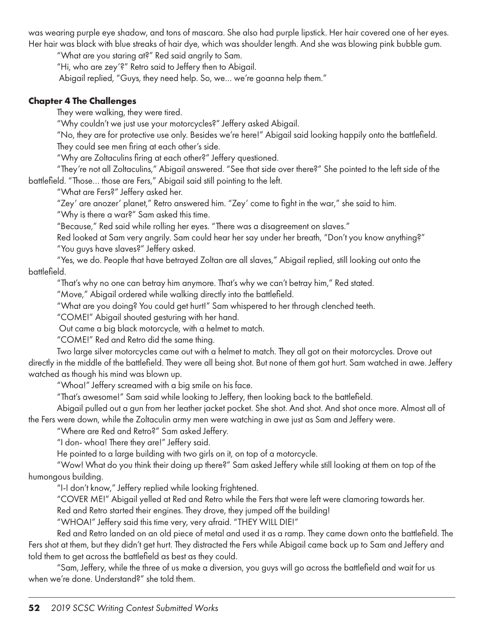was wearing purple eye shadow, and tons of mascara. She also had purple lipstick. Her hair covered one of her eyes. Her hair was black with blue streaks of hair dye, which was shoulder length. And she was blowing pink bubble gum.

"What are you staring at?" Red said angrily to Sam.

"Hi, who are zey'?" Retro said to Jeffery then to Abigail.

Abigail replied, "Guys, they need help. So, we… we're goanna help them."

#### **Chapter 4 The Challenges**

They were walking, they were tired.

"Why couldn't we just use your motorcycles?" Jeffery asked Abigail.

"No, they are for protective use only. Besides we're here!" Abigail said looking happily onto the battlefield. They could see men firing at each other's side.

"Why are Zoltaculins firing at each other?" Jeffery questioned.

"They're not all Zoltaculins," Abigail answered. "See that side over there?" She pointed to the left side of the battlefield. "Those… those are Fers," Abigail said still pointing to the left.

"What are Fers?" Jeffery asked her.

"Zey' are anozer' planet," Retro answered him. "Zey' come to fight in the war," she said to him.

"Why is there a war?" Sam asked this time.

"Because," Red said while rolling her eyes. "There was a disagreement on slaves."

Red looked at Sam very angrily. Sam could hear her say under her breath, "Don't you know anything?" "You guys have slaves?" Jeffery asked.

"Yes, we do. People that have betrayed Zoltan are all slaves," Abigail replied, still looking out onto the battlefield.

"That's why no one can betray him anymore. That's why we can't betray him," Red stated.

"Move," Abigail ordered while walking directly into the battlefield.

"What are you doing? You could get hurt!" Sam whispered to her through clenched teeth.

"COME!" Abigail shouted gesturing with her hand.

Out came a big black motorcycle, with a helmet to match.

"COME!" Red and Retro did the same thing.

Two large silver motorcycles came out with a helmet to match. They all got on their motorcycles. Drove out directly in the middle of the battlefield. They were all being shot. But none of them got hurt. Sam watched in awe. Jeffery watched as though his mind was blown up.

"Whoa!" Jeffery screamed with a big smile on his face.

"That's awesome!" Sam said while looking to Jeffery, then looking back to the battlefield.

Abigail pulled out a gun from her leather jacket pocket. She shot. And shot. And shot once more. Almost all of the Fers were down, while the Zoltaculin army men were watching in awe just as Sam and Jeffery were.

"Where are Red and Retro?" Sam asked Jeffery.

"I don- whoa! There they are!" Jeffery said.

He pointed to a large building with two girls on it, on top of a motorcycle.

"Wow! What do you think their doing up there?" Sam asked Jeffery while still looking at them on top of the humongous building.

"I-I don't know," Jeffery replied while looking frightened.

"COVER ME!" Abigail yelled at Red and Retro while the Fers that were left were clamoring towards her.

Red and Retro started their engines. They drove, they jumped off the building!

"WHOA!" Jeffery said this time very, very afraid. "THEY WILL DIE!"

Red and Retro landed on an old piece of metal and used it as a ramp. They came down onto the battlefield. The Fers shot at them, but they didn't get hurt. They distracted the Fers while Abigail came back up to Sam and Jeffery and told them to get across the battlefield as best as they could.

"Sam, Jeffery, while the three of us make a diversion, you guys will go across the battlefield and wait for us when we're done. Understand?" she told them.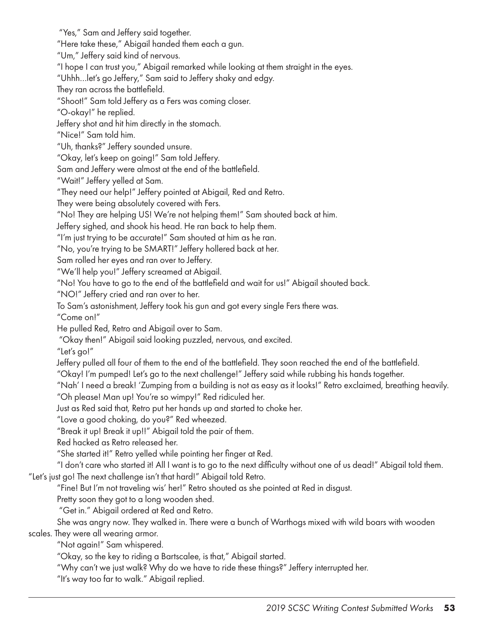"Yes," Sam and Jeffery said together.

"Here take these," Abigail handed them each a gun.

"Um," Jeffery said kind of nervous.

"I hope I can trust you," Abigail remarked while looking at them straight in the eyes.

"Uhhh…let's go Jeffery," Sam said to Jeffery shaky and edgy.

They ran across the battlefield.

"Shoot!" Sam told Jeffery as a Fers was coming closer.

"O-okay!" he replied.

Jeffery shot and hit him directly in the stomach.

"Nice!" Sam told him.

"Uh, thanks?" Jeffery sounded unsure.

"Okay, let's keep on going!" Sam told Jeffery.

Sam and Jeffery were almost at the end of the battlefield.

"Wait!" Jeffery yelled at Sam.

"They need our help!" Jeffery pointed at Abigail, Red and Retro.

They were being absolutely covered with Fers.

"No! They are helping US! We're not helping them!" Sam shouted back at him.

Jeffery sighed, and shook his head. He ran back to help them.

"I'm just trying to be accurate!" Sam shouted at him as he ran.

"No, you're trying to be SMART!" Jeffery hollered back at her.

Sam rolled her eyes and ran over to Jeffery.

"We'll help you!" Jeffery screamed at Abigail.

"No! You have to go to the end of the battlefield and wait for us!" Abigail shouted back.

"NO!" Jeffery cried and ran over to her.

To Sam's astonishment, Jeffery took his gun and got every single Fers there was.

"Come on!"

He pulled Red, Retro and Abigail over to Sam.

"Okay then!" Abigail said looking puzzled, nervous, and excited.

"Let's go!"

Jeffery pulled all four of them to the end of the battlefield. They soon reached the end of the battlefield.

"Okay! I'm pumped! Let's go to the next challenge!" Jeffery said while rubbing his hands together.

"Nah' I need a break! 'Zumping from a building is not as easy as it looks!" Retro exclaimed, breathing heavily. "Oh please! Man up! You're so wimpy!" Red ridiculed her.

Just as Red said that, Retro put her hands up and started to choke her.

"Love a good choking, do you?" Red wheezed.

"Break it up! Break it up!!" Abigail told the pair of them.

Red hacked as Retro released her.

"She started it!" Retro yelled while pointing her finger at Red.

"I don't care who started it! All I want is to go to the next difficulty without one of us dead!" Abigail told them. "Let's just go! The next challenge isn't that hard!" Abigail told Retro.

"Fine! But I'm not traveling wis' her!" Retro shouted as she pointed at Red in disgust.

Pretty soon they got to a long wooden shed.

"Get in." Abigail ordered at Red and Retro.

She was angry now. They walked in. There were a bunch of Warthogs mixed with wild boars with wooden scales. They were all wearing armor.

"Not again!" Sam whispered.

"Okay, so the key to riding a Bartscalee, is that," Abigail started.

"Why can't we just walk? Why do we have to ride these things?" Jeffery interrupted her.

"It's way too far to walk." Abigail replied.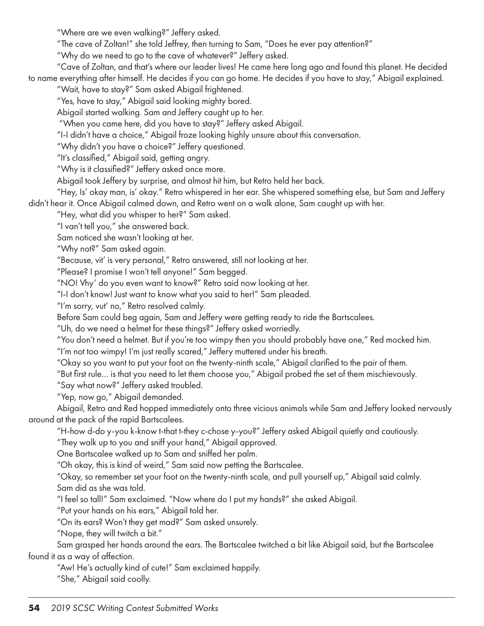"Where are we even walking?" Jeffery asked.

"The cave of Zoltan!" she told Jeffrey, then turning to Sam, "Does he ever pay attention?"

"Why do we need to go to the cave of whatever?" Jeffery asked.

"Cave of Zoltan, and that's where our leader lives! He came here long ago and found this planet. He decided to name everything after himself. He decides if you can go home. He decides if you have to stay," Abigail explained.

"Wait, have to stay?" Sam asked Abigail frightened.

"Yes, have to stay," Abigail said looking mighty bored.

Abigail started walking. Sam and Jeffery caught up to her.

"When you came here, did you have to stay?" Jeffery asked Abigail.

"I-I didn't have a choice," Abigail froze looking highly unsure about this conversation.

"Why didn't you have a choice?" Jeffery questioned.

"It's classified," Abigail said, getting angry.

"Why is it classified?" Jeffery asked once more.

Abigail took Jeffery by surprise, and almost hit him, but Retro held her back.

"Hey, Is' okay man, is' okay." Retro whispered in her ear. She whispered something else, but Sam and Jeffery didn't hear it. Once Abigail calmed down, and Retro went on a walk alone, Sam caught up with her.

"Hey, what did you whisper to her?" Sam asked.

"I van't tell you," she answered back.

Sam noticed she wasn't looking at her.

"Why not?" Sam asked again.

"Because, vit' is very personal," Retro answered, still not looking at her.

"Please? I promise I won't tell anyone!" Sam begged.

"NO! Vhy' do you even want to know?" Retro said now looking at her.

"I-I don't know! Just want to know what you said to her!" Sam pleaded.

"I'm sorry, vut' no," Retro resolved calmly.

Before Sam could beg again, Sam and Jeffery were getting ready to ride the Bartscalees.

"Uh, do we need a helmet for these things?" Jeffery asked worriedly.

"You don't need a helmet. But if you're too wimpy then you should probably have one," Red mocked him.

"I'm not too wimpy! I'm just really scared," Jeffery muttered under his breath.

"Okay so you want to put your foot on the twenty-ninth scale," Abigail clarified to the pair of them.

"But first rule… is that you need to let them choose you," Abigail probed the set of them mischievously.

"Say what now?" Jeffery asked troubled.

"Yep, now go," Abigail demanded.

Abigail, Retro and Red hopped immediately onto three vicious animals while Sam and Jeffery looked nervously around at the pack of the rapid Bartscalees.

"H-how d-do y-you k-know t-that t-they c-chose y-you?" Jeffery asked Abigail quietly and cautiously.

"They walk up to you and sniff your hand," Abigail approved.

One Bartscalee walked up to Sam and sniffed her palm.

"Oh okay, this is kind of weird," Sam said now petting the Bartscalee.

"Okay, so remember set your foot on the twenty-ninth scale, and pull yourself up," Abigail said calmly. Sam did as she was told.

"I feel so tall!" Sam exclaimed. "Now where do I put my hands?" she asked Abigail.

"Put your hands on his ears," Abigail told her.

"On its ears? Won't they get mad?" Sam asked unsurely.

"Nope, they will twitch a bit."

Sam grasped her hands around the ears. The Bartscalee twitched a bit like Abigail said, but the Bartscalee found it as a way of affection.

"Aw! He's actually kind of cute!" Sam exclaimed happily.

"She," Abigail said coolly.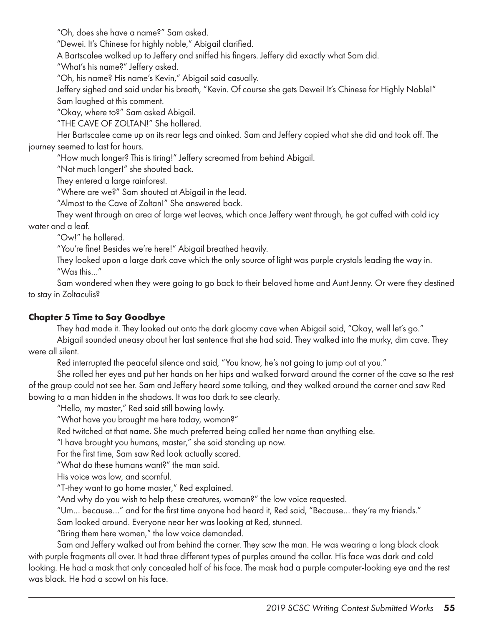"Oh, does she have a name?" Sam asked.

"Dewei. It's Chinese for highly noble," Abigail clarified.

A Bartscalee walked up to Jeffery and sniffed his fingers. Jeffery did exactly what Sam did.

"What's his name?" Jeffery asked.

"Oh, his name? His name's Kevin," Abigail said casually.

Jeffery sighed and said under his breath, "Kevin. Of course she gets Dewei! It's Chinese for Highly Noble!" Sam laughed at this comment.

"Okay, where to?" Sam asked Abigail.

"THE CAVE OF ZOLTAN!" She hollered.

Her Bartscalee came up on its rear legs and oinked. Sam and Jeffery copied what she did and took off. The journey seemed to last for hours.

"How much longer? This is tiring!" Jeffery screamed from behind Abigail.

"Not much longer!" she shouted back.

They entered a large rainforest.

"Where are we?" Sam shouted at Abigail in the lead.

"Almost to the Cave of Zoltan!" She answered back.

They went through an area of large wet leaves, which once Jeffery went through, he got cuffed with cold icy water and a leaf.

"Ow!" he hollered.

"You're fine! Besides we're here!" Abigail breathed heavily.

They looked upon a large dark cave which the only source of light was purple crystals leading the way in. "Was this…"

Sam wondered when they were going to go back to their beloved home and Aunt Jenny. Or were they destined to stay in Zoltaculis?

#### **Chapter 5 Time to Say Goodbye**

They had made it. They looked out onto the dark gloomy cave when Abigail said, "Okay, well let's go."

Abigail sounded uneasy about her last sentence that she had said. They walked into the murky, dim cave. They were all silent.

Red interrupted the peaceful silence and said, "You know, he's not going to jump out at you."

She rolled her eyes and put her hands on her hips and walked forward around the corner of the cave so the rest of the group could not see her. Sam and Jeffery heard some talking, and they walked around the corner and saw Red bowing to a man hidden in the shadows. It was too dark to see clearly.

"Hello, my master," Red said still bowing lowly.

"What have you brought me here today, woman?"

Red twitched at that name. She much preferred being called her name than anything else.

"I have brought you humans, master," she said standing up now.

For the first time, Sam saw Red look actually scared.

"What do these humans want?" the man said.

His voice was low, and scornful.

"T-they want to go home master," Red explained.

"And why do you wish to help these creatures, woman?" the low voice requested.

"Um… because…" and for the first time anyone had heard it, Red said, "Because… they're my friends."

Sam looked around. Everyone near her was looking at Red, stunned.

"Bring them here women," the low voice demanded.

Sam and Jeffery walked out from behind the corner. They saw the man. He was wearing a long black cloak with purple fragments all over. It had three different types of purples around the collar. His face was dark and cold looking. He had a mask that only concealed half of his face. The mask had a purple computer-looking eye and the rest was black. He had a scowl on his face.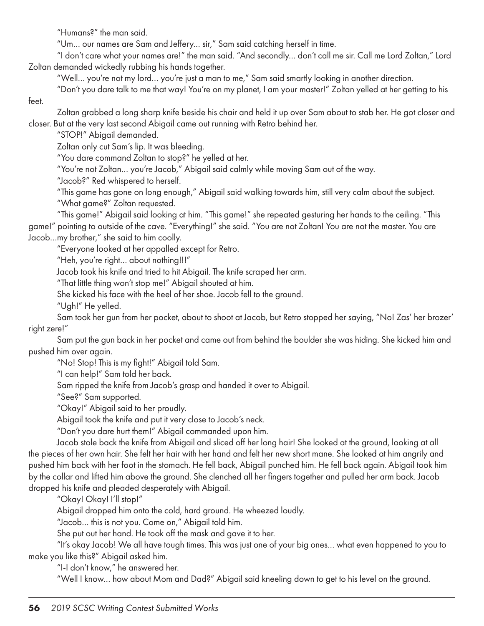"Humans?" the man said.

"Um… our names are Sam and Jeffery… sir," Sam said catching herself in time.

"I don't care what your names are!" the man said. "And secondly… don't call me sir. Call me Lord Zoltan," Lord Zoltan demanded wickedly rubbing his hands together.

"Well… you're not my lord… you're just a man to me," Sam said smartly looking in another direction.

"Don't you dare talk to me that way! You're on my planet, I am your master!" Zoltan yelled at her getting to his feet.

Zoltan grabbed a long sharp knife beside his chair and held it up over Sam about to stab her. He got closer and closer. But at the very last second Abigail came out running with Retro behind her.

"STOP!" Abigail demanded.

Zoltan only cut Sam's lip. It was bleeding.

"You dare command Zoltan to stop?" he yelled at her.

"You're not Zoltan… you're Jacob," Abigail said calmly while moving Sam out of the way.

"Jacob?" Red whispered to herself.

"This game has gone on long enough," Abigail said walking towards him, still very calm about the subject. "What game?" Zoltan requested.

"This game!" Abigail said looking at him. "This game!" she repeated gesturing her hands to the ceiling. "This game!" pointing to outside of the cave. "Everything!" she said. "You are not Zoltan! You are not the master. You are Jacob…my brother," she said to him coolly.

"Everyone looked at her appalled except for Retro.

"Heh, you're right… about nothing!!!"

Jacob took his knife and tried to hit Abigail. The knife scraped her arm.

"That little thing won't stop me!" Abigail shouted at him.

She kicked his face with the heel of her shoe. Jacob fell to the ground.

"Ugh!" He yelled.

Sam took her gun from her pocket, about to shoot at Jacob, but Retro stopped her saying, "No! Zas' her brozer' right zere!"

Sam put the gun back in her pocket and came out from behind the boulder she was hiding. She kicked him and pushed him over again.

"No! Stop! This is my fight!" Abigail told Sam.

"I can help!" Sam told her back.

Sam ripped the knife from Jacob's grasp and handed it over to Abigail.

"See?" Sam supported.

"Okay!" Abigail said to her proudly.

Abigail took the knife and put it very close to Jacob's neck.

"Don't you dare hurt them!" Abigail commanded upon him.

Jacob stole back the knife from Abigail and sliced off her long hair! She looked at the ground, looking at all the pieces of her own hair. She felt her hair with her hand and felt her new short mane. She looked at him angrily and pushed him back with her foot in the stomach. He fell back, Abigail punched him. He fell back again. Abigail took him by the collar and lifted him above the ground. She clenched all her fingers together and pulled her arm back. Jacob dropped his knife and pleaded desperately with Abigail.

"Okay! Okay! I'll stop!"

Abigail dropped him onto the cold, hard ground. He wheezed loudly.

"Jacob… this is not you. Come on," Abigail told him.

She put out her hand. He took off the mask and gave it to her.

"It's okay Jacob! We all have tough times. This was just one of your big ones… what even happened to you to make you like this?" Abigail asked him.

"I-I don't know," he answered her.

"Well I know… how about Mom and Dad?" Abigail said kneeling down to get to his level on the ground.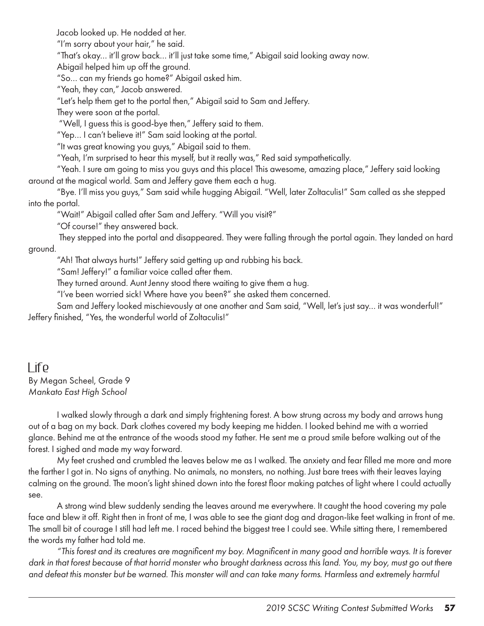Jacob looked up. He nodded at her.

"I'm sorry about your hair," he said.

"That's okay… it'll grow back… it'll just take some time," Abigail said looking away now.

Abigail helped him up off the ground.

"So… can my friends go home?" Abigail asked him.

"Yeah, they can," Jacob answered.

"Let's help them get to the portal then," Abigail said to Sam and Jeffery.

They were soon at the portal.

"Well, I guess this is good-bye then," Jeffery said to them.

"Yep… I can't believe it!" Sam said looking at the portal.

"It was great knowing you guys," Abigail said to them.

"Yeah, I'm surprised to hear this myself, but it really was," Red said sympathetically.

"Yeah. I sure am going to miss you guys and this place! This awesome, amazing place," Jeffery said looking around at the magical world. Sam and Jeffery gave them each a hug.

"Bye. I'll miss you guys," Sam said while hugging Abigail. "Well, later Zoltaculis!" Sam called as she stepped into the portal.

"Wait!" Abigail called after Sam and Jeffery. "Will you visit?"

"Of course!" they answered back.

 They stepped into the portal and disappeared. They were falling through the portal again. They landed on hard ground.

"Ah! That always hurts!" Jeffery said getting up and rubbing his back.

"Sam! Jeffery!" a familiar voice called after them.

They turned around. Aunt Jenny stood there waiting to give them a hug.

"I've been worried sick! Where have you been?" she asked them concerned.

Sam and Jeffery looked mischievously at one another and Sam said, "Well, let's just say… it was wonderful!" Jeffery finished, "Yes, the wonderful world of Zoltaculis!"

## **Life**

By Megan Scheel, Grade 9 *Mankato East High School*

I walked slowly through a dark and simply frightening forest. A bow strung across my body and arrows hung out of a bag on my back. Dark clothes covered my body keeping me hidden. I looked behind me with a worried glance. Behind me at the entrance of the woods stood my father. He sent me a proud smile before walking out of the forest. I sighed and made my way forward.

My feet crushed and crumbled the leaves below me as I walked. The anxiety and fear filled me more and more the farther I got in. No signs of anything. No animals, no monsters, no nothing. Just bare trees with their leaves laying calming on the ground. The moon's light shined down into the forest floor making patches of light where I could actually see.

A strong wind blew suddenly sending the leaves around me everywhere. It caught the hood covering my pale face and blew it off. Right then in front of me, I was able to see the giant dog and dragon-like feet walking in front of me. The small bit of courage I still had left me. I raced behind the biggest tree I could see. While sitting there, I remembered the words my father had told me.

*"This forest and its creatures are magnificent my boy. Magnificent in many good and horrible ways. It is forever dark in that forest because of that horrid monster who brought darkness across this land. You, my boy, must go out there and defeat this monster but be warned. This monster will and can take many forms. Harmless and extremely harmful*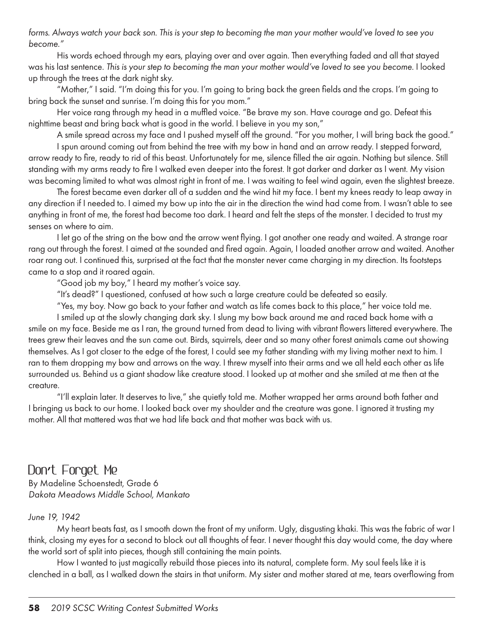*forms. Always watch your back son. This is your step to becoming the man your mother would've loved to see you become."* 

His words echoed through my ears, playing over and over again. Then everything faded and all that stayed was his last sentence. *This is your step to becoming the man your mother would've loved to see you become.* I looked up through the trees at the dark night sky.

"Mother," I said. "I'm doing this for you. I'm going to bring back the green fields and the crops. I'm going to bring back the sunset and sunrise. I'm doing this for you mom."

Her voice rang through my head in a muffled voice. "Be brave my son. Have courage and go. Defeat this nighttime beast and bring back what is good in the world. I believe in you my son,"

A smile spread across my face and I pushed myself off the ground. "For you mother, I will bring back the good."

I spun around coming out from behind the tree with my bow in hand and an arrow ready. I stepped forward, arrow ready to fire, ready to rid of this beast. Unfortunately for me, silence filled the air again. Nothing but silence. Still standing with my arms ready to fire I walked even deeper into the forest. It got darker and darker as I went. My vision was becoming limited to what was almost right in front of me. I was waiting to feel wind again, even the slightest breeze.

The forest became even darker all of a sudden and the wind hit my face. I bent my knees ready to leap away in any direction if I needed to. I aimed my bow up into the air in the direction the wind had come from. I wasn't able to see anything in front of me, the forest had become too dark. I heard and felt the steps of the monster. I decided to trust my senses on where to aim.

I let go of the string on the bow and the arrow went flying. I got another one ready and waited. A strange roar rang out through the forest. I aimed at the sounded and fired again. Again, I loaded another arrow and waited. Another roar rang out. I continued this, surprised at the fact that the monster never came charging in my direction. Its footsteps came to a stop and it roared again.

"Good job my boy," I heard my mother's voice say.

"It's dead?" I questioned, confused at how such a large creature could be defeated so easily.

"Yes, my boy. Now go back to your father and watch as life comes back to this place," her voice told me.

I smiled up at the slowly changing dark sky. I slung my bow back around me and raced back home with a smile on my face. Beside me as I ran, the ground turned from dead to living with vibrant flowers littered everywhere. The trees grew their leaves and the sun came out. Birds, squirrels, deer and so many other forest animals came out showing themselves. As I got closer to the edge of the forest, I could see my father standing with my living mother next to him. I ran to them dropping my bow and arrows on the way. I threw myself into their arms and we all held each other as life surrounded us. Behind us a giant shadow like creature stood. I looked up at mother and she smiled at me then at the creature.

"I'll explain later. It deserves to live," she quietly told me. Mother wrapped her arms around both father and I bringing us back to our home. I looked back over my shoulder and the creature was gone. I ignored it trusting my mother. All that mattered was that we had life back and that mother was back with us.

## **Don't Forget Me**

By Madeline Schoenstedt, Grade 6 *Dakota Meadows Middle School, Mankato*

#### *June 19, 1942*

My heart beats fast, as I smooth down the front of my uniform. Ugly, disgusting khaki. This was the fabric of war I think, closing my eyes for a second to block out all thoughts of fear. I never thought this day would come, the day where the world sort of split into pieces, though still containing the main points.

How I wanted to just magically rebuild those pieces into its natural, complete form. My soul feels like it is clenched in a ball, as I walked down the stairs in that uniform. My sister and mother stared at me, tears overflowing from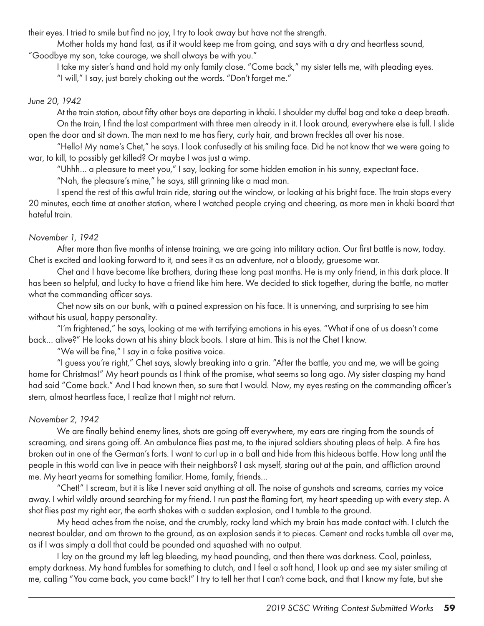their eyes. I tried to smile but find no joy, I try to look away but have not the strength.

Mother holds my hand fast, as if it would keep me from going, and says with a dry and heartless sound, "Goodbye my son, take courage, we shall always be with you."

I take my sister's hand and hold my only family close. "Come back," my sister tells me, with pleading eyes.

"I will," I say, just barely choking out the words. "Don't forget me."

#### *June 20, 1942*

At the train station, about fifty other boys are departing in khaki. I shoulder my duffel bag and take a deep breath. On the train, I find the last compartment with three men already in it. I look around, everywhere else is full. I slide open the door and sit down. The man next to me has fiery, curly hair, and brown freckles all over his nose.

"Hello! My name's Chet," he says. I look confusedly at his smiling face. Did he not know that we were going to war, to kill, to possibly get killed? Or maybe I was just a wimp.

"Uhhh… a pleasure to meet you," I say, looking for some hidden emotion in his sunny, expectant face.

"Nah, the pleasure's mine," he says, still grinning like a mad man.

I spend the rest of this awful train ride, staring out the window, or looking at his bright face. The train stops every 20 minutes, each time at another station, where I watched people crying and cheering, as more men in khaki board that hateful train.

#### *November 1, 1942*

After more than five months of intense training, we are going into military action. Our first battle is now, today. Chet is excited and looking forward to it, and sees it as an adventure, not a bloody, gruesome war.

Chet and I have become like brothers, during these long past months. He is my only friend, in this dark place. It has been so helpful, and lucky to have a friend like him here. We decided to stick together, during the battle, no matter what the commanding officer says.

Chet now sits on our bunk, with a pained expression on his face. It is unnerving, and surprising to see him without his usual, happy personality.

"I'm frightened," he says, looking at me with terrifying emotions in his eyes. "What if one of us doesn't come back… alive?" He looks down at his shiny black boots. I stare at him. This is not the Chet I know.

"We will be fine," I say in a fake positive voice.

"I guess you're right," Chet says, slowly breaking into a grin. "After the battle, you and me, we will be going home for Christmas!" My heart pounds as I think of the promise, what seems so long ago. My sister clasping my hand had said "Come back." And I had known then, so sure that I would. Now, my eyes resting on the commanding officer's stern, almost heartless face, I realize that I might not return.

#### *November 2, 1942*

We are finally behind enemy lines, shots are going off everywhere, my ears are ringing from the sounds of screaming, and sirens going off. An ambulance flies past me, to the injured soldiers shouting pleas of help. A fire has broken out in one of the German's forts. I want to curl up in a ball and hide from this hideous battle. How long until the people in this world can live in peace with their neighbors? I ask myself, staring out at the pain, and affliction around me. My heart yearns for something familiar. Home, family, friends…

"Chet!" I scream, but it is like I never said anything at all. The noise of gunshots and screams, carries my voice away. I whirl wildly around searching for my friend. I run past the flaming fort, my heart speeding up with every step. A shot flies past my right ear, the earth shakes with a sudden explosion, and I tumble to the ground.

My head aches from the noise, and the crumbly, rocky land which my brain has made contact with. I clutch the nearest boulder, and am thrown to the ground, as an explosion sends it to pieces. Cement and rocks tumble all over me, as if I was simply a doll that could be pounded and squashed with no output.

I lay on the ground my left leg bleeding, my head pounding, and then there was darkness. Cool, painless, empty darkness. My hand fumbles for something to clutch, and I feel a soft hand, I look up and see my sister smiling at me, calling "You came back, you came back!" I try to tell her that I can't come back, and that I know my fate, but she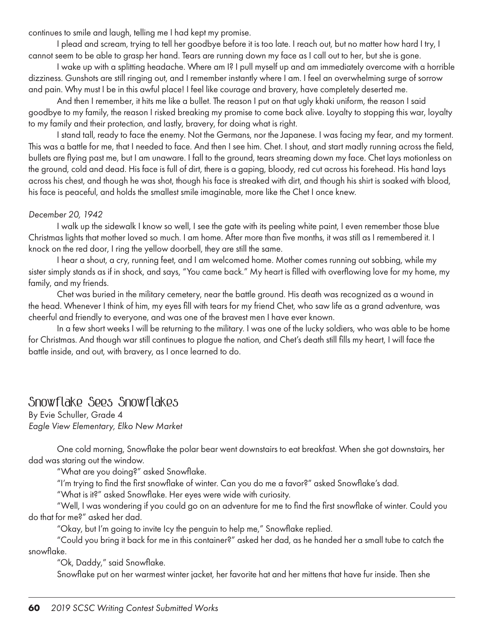continues to smile and laugh, telling me I had kept my promise.

I plead and scream, trying to tell her goodbye before it is too late. I reach out, but no matter how hard I try, I cannot seem to be able to grasp her hand. Tears are running down my face as I call out to her, but she is gone.

I wake up with a splitting headache. Where am I? I pull myself up and am immediately overcome with a horrible dizziness. Gunshots are still ringing out, and I remember instantly where I am. I feel an overwhelming surge of sorrow and pain. Why must I be in this awful place! I feel like courage and bravery, have completely deserted me.

And then I remember, it hits me like a bullet. The reason I put on that ugly khaki uniform, the reason I said goodbye to my family, the reason I risked breaking my promise to come back alive. Loyalty to stopping this war, loyalty to my family and their protection, and lastly, bravery, for doing what is right.

I stand tall, ready to face the enemy. Not the Germans, nor the Japanese. I was facing my fear, and my torment. This was a battle for me, that I needed to face. And then I see him. Chet. I shout, and start madly running across the field, bullets are flying past me, but I am unaware. I fall to the ground, tears streaming down my face. Chet lays motionless on the ground, cold and dead. His face is full of dirt, there is a gaping, bloody, red cut across his forehead. His hand lays across his chest, and though he was shot, though his face is streaked with dirt, and though his shirt is soaked with blood, his face is peaceful, and holds the smallest smile imaginable, more like the Chet I once knew.

#### *December 20, 1942*

I walk up the sidewalk I know so well, I see the gate with its peeling white paint, I even remember those blue Christmas lights that mother loved so much. I am home. After more than five months, it was still as I remembered it. I knock on the red door, I ring the yellow doorbell, they are still the same.

I hear a shout, a cry, running feet, and I am welcomed home. Mother comes running out sobbing, while my sister simply stands as if in shock, and says, "You came back." My heart is filled with overflowing love for my home, my family, and my friends.

Chet was buried in the military cemetery, near the battle ground. His death was recognized as a wound in the head. Whenever I think of him, my eyes fill with tears for my friend Chet, who saw life as a grand adventure, was cheerful and friendly to everyone, and was one of the bravest men I have ever known.

In a few short weeks I will be returning to the military. I was one of the lucky soldiers, who was able to be home for Christmas. And though war still continues to plague the nation, and Chet's death still fills my heart, I will face the battle inside, and out, with bravery, as I once learned to do.

## **Snowflake Sees Snowflakes**

By Evie Schuller, Grade 4 *Eagle View Elementary, Elko New Market*

One cold morning, Snowflake the polar bear went downstairs to eat breakfast. When she got downstairs, her dad was staring out the window.

"What are you doing?" asked Snowflake.

"I'm trying to find the first snowflake of winter. Can you do me a favor?" asked Snowflake's dad.

"What is it?" asked Snowflake. Her eyes were wide with curiosity.

"Well, I was wondering if you could go on an adventure for me to find the first snowflake of winter. Could you do that for me?" asked her dad.

"Okay, but I'm going to invite Icy the penguin to help me," Snowflake replied.

"Could you bring it back for me in this container?" asked her dad, as he handed her a small tube to catch the snowflake.

"Ok, Daddy," said Snowflake.

Snowflake put on her warmest winter jacket, her favorite hat and her mittens that have fur inside. Then she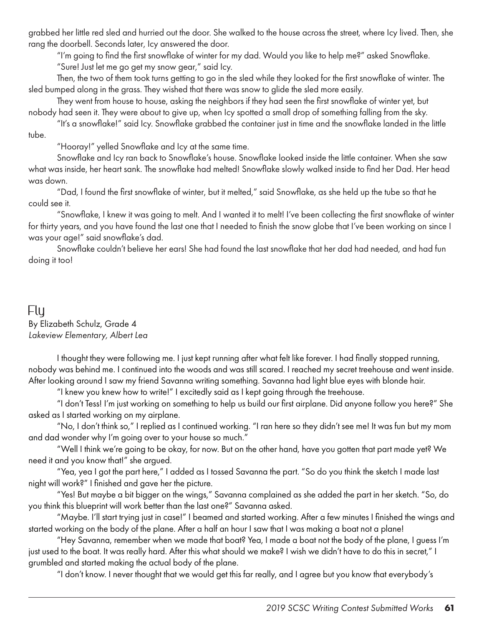grabbed her little red sled and hurried out the door. She walked to the house across the street, where Icy lived. Then, she rang the doorbell. Seconds later, Icy answered the door.

"I'm going to find the first snowflake of winter for my dad. Would you like to help me?" asked Snowflake.

"Sure! Just let me go get my snow gear," said Icy.

Then, the two of them took turns getting to go in the sled while they looked for the first snowflake of winter. The sled bumped along in the grass. They wished that there was snow to glide the sled more easily.

They went from house to house, asking the neighbors if they had seen the first snowflake of winter yet, but nobody had seen it. They were about to give up, when Icy spotted a small drop of something falling from the sky.

"It's a snowflake!" said Icy. Snowflake grabbed the container just in time and the snowflake landed in the little tube.

"Hooray!" yelled Snowflake and Icy at the same time.

Snowflake and Icy ran back to Snowflake's house. Snowflake looked inside the little container. When she saw what was inside, her heart sank. The snowflake had melted! Snowflake slowly walked inside to find her Dad. Her head was down.

"Dad, I found the first snowflake of winter, but it melted," said Snowflake, as she held up the tube so that he could see it.

"Snowflake, I knew it was going to melt. And I wanted it to melt! I've been collecting the first snowflake of winter for thirty years, and you have found the last one that I needed to finish the snow globe that I've been working on since I was your age!" said snowflake's dad.

Snowflake couldn't believe her ears! She had found the last snowflake that her dad had needed, and had fun doing it too!

## **Fly**

By Elizabeth Schulz, Grade 4 *Lakeview Elementary, Albert Lea*

I thought they were following me. I just kept running after what felt like forever. I had finally stopped running, nobody was behind me. I continued into the woods and was still scared. I reached my secret treehouse and went inside. After looking around I saw my friend Savanna writing something. Savanna had light blue eyes with blonde hair.

"I knew you knew how to write!" I excitedly said as I kept going through the treehouse.

"I don't Tess! I'm just working on something to help us build our first airplane. Did anyone follow you here?" She asked as I started working on my airplane.

"No, I don't think so," I replied as I continued working. "I ran here so they didn't see me! It was fun but my mom and dad wonder why I'm going over to your house so much."

"Well I think we're going to be okay, for now. But on the other hand, have you gotten that part made yet? We need it and you know that!" she argued.

"Yea, yea I got the part here," I added as I tossed Savanna the part. "So do you think the sketch I made last night will work?" I finished and gave her the picture.

"Yes! But maybe a bit bigger on the wings," Savanna complained as she added the part in her sketch. "So, do you think this blueprint will work better than the last one?" Savanna asked.

"Maybe. I'll start trying just in case!" I beamed and started working. After a few minutes I finished the wings and started working on the body of the plane. After a half an hour I saw that I was making a boat not a plane!

"Hey Savanna, remember when we made that boat? Yea, I made a boat not the body of the plane, I guess I'm just used to the boat. It was really hard. After this what should we make? I wish we didn't have to do this in secret," I grumbled and started making the actual body of the plane.

"I don't know. I never thought that we would get this far really, and I agree but you know that everybody's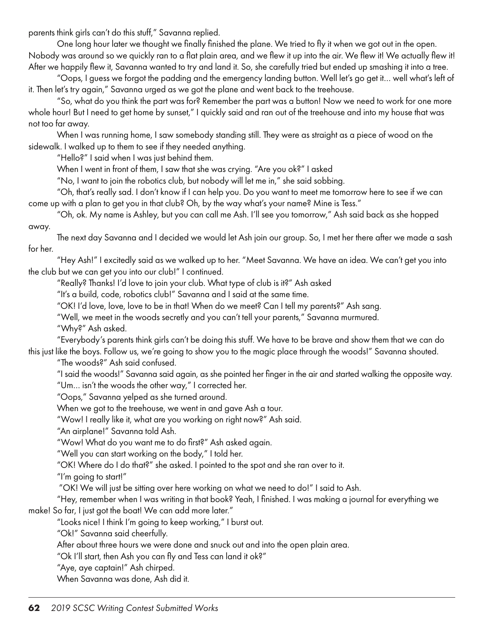parents think girls can't do this stuff," Savanna replied.

One long hour later we thought we finally finished the plane. We tried to fly it when we got out in the open. Nobody was around so we quickly ran to a flat plain area, and we flew it up into the air. We flew it! We actually flew it! After we happily flew it, Savanna wanted to try and land it. So, she carefully tried but ended up smashing it into a tree.

"Oops, I guess we forgot the padding and the emergency landing button. Well let's go get it… well what's left of it. Then let's try again," Savanna urged as we got the plane and went back to the treehouse.

"So, what do you think the part was for? Remember the part was a button! Now we need to work for one more whole hour! But I need to get home by sunset," I quickly said and ran out of the treehouse and into my house that was not too far away.

When I was running home, I saw somebody standing still. They were as straight as a piece of wood on the sidewalk. I walked up to them to see if they needed anything.

"Hello?" I said when I was just behind them.

When I went in front of them, I saw that she was crying. "Are you ok?" I asked

"No, I want to join the robotics club, but nobody will let me in," she said sobbing.

"Oh, that's really sad. I don't know if I can help you. Do you want to meet me tomorrow here to see if we can come up with a plan to get you in that club? Oh, by the way what's your name? Mine is Tess."

"Oh, ok. My name is Ashley, but you can call me Ash. I'll see you tomorrow," Ash said back as she hopped away.

The next day Savanna and I decided we would let Ash join our group. So, I met her there after we made a sash for her.

"Hey Ash!" I excitedly said as we walked up to her. "Meet Savanna. We have an idea. We can't get you into the club but we can get you into our club!" I continued.

"Really? Thanks! I'd love to join your club. What type of club is it?" Ash asked

"It's a build, code, robotics club!" Savanna and I said at the same time.

"OK! I'd love, love, love to be in that! When do we meet? Can I tell my parents?" Ash sang.

"Well, we meet in the woods secretly and you can't tell your parents," Savanna murmured.

"Why?" Ash asked.

"Everybody's parents think girls can't be doing this stuff. We have to be brave and show them that we can do this just like the boys. Follow us, we're going to show you to the magic place through the woods!" Savanna shouted.

"The woods?" Ash said confused.

"I said the woods!" Savanna said again, as she pointed her finger in the air and started walking the opposite way. "Um… isn't the woods the other way," I corrected her.

"Oops," Savanna yelped as she turned around.

When we got to the treehouse, we went in and gave Ash a tour.

"Wow! I really like it, what are you working on right now?" Ash said.

"An airplane!" Savanna told Ash.

"Wow! What do you want me to do first?" Ash asked again.

"Well you can start working on the body," I told her.

"OK! Where do I do that?" she asked. I pointed to the spot and she ran over to it.

"I'm going to start!"

"OK! We will just be sitting over here working on what we need to do!" I said to Ash.

"Hey, remember when I was writing in that book? Yeah, I finished. I was making a journal for everything we make! So far, I just got the boat! We can add more later."

"Looks nice! I think I'm going to keep working," I burst out.

"Ok!" Savanna said cheerfully.

After about three hours we were done and snuck out and into the open plain area.

"Ok I'll start, then Ash you can fly and Tess can land it ok?"

"Aye, aye captain!" Ash chirped.

When Savanna was done, Ash did it.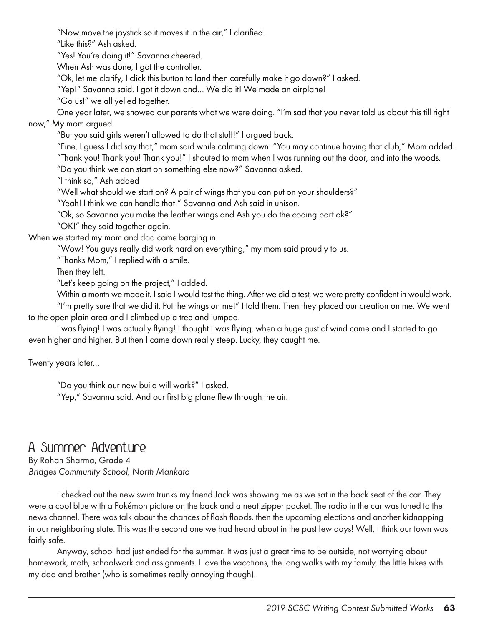"Now move the joystick so it moves it in the air," I clarified.

"Like this?" Ash asked.

"Yes! You're doing it!" Savanna cheered.

When Ash was done, I got the controller.

"Ok, let me clarify, I click this button to land then carefully make it go down?" I asked.

"Yep!" Savanna said. I got it down and… We did it! We made an airplane!

"Go us!" we all yelled together.

One year later, we showed our parents what we were doing. "I'm sad that you never told us about this till right now," My mom argued.

"But you said girls weren't allowed to do that stuff!" I argued back.

"Fine, I guess I did say that," mom said while calming down. "You may continue having that club," Mom added. "Thank you! Thank you! Thank you!" I shouted to mom when I was running out the door, and into the woods.

"Do you think we can start on something else now?" Savanna asked.

"I think so," Ash added

"Well what should we start on? A pair of wings that you can put on your shoulders?"

"Yeah! I think we can handle that!" Savanna and Ash said in unison.

"Ok, so Savanna you make the leather wings and Ash you do the coding part ok?"

"OK!" they said together again.

When we started my mom and dad came barging in.

"Wow! You guys really did work hard on everything," my mom said proudly to us.

"Thanks Mom," I replied with a smile.

Then they left.

"Let's keep going on the project," I added.

Within a month we made it. I said I would test the thing. After we did a test, we were pretty confident in would work. "I'm pretty sure that we did it. Put the wings on me!" I told them. Then they placed our creation on me. We went

to the open plain area and I climbed up a tree and jumped.

I was flying! I was actually flying! I thought I was flying, when a huge gust of wind came and I started to go even higher and higher. But then I came down really steep. Lucky, they caught me.

Twenty years later…

"Do you think our new build will work?" I asked.

"Yep," Savanna said. And our first big plane flew through the air.

## **A Summer Adventure**

By Rohan Sharma, Grade 4 *Bridges Community School, North Mankato*

I checked out the new swim trunks my friend Jack was showing me as we sat in the back seat of the car. They were a cool blue with a Pokémon picture on the back and a neat zipper pocket. The radio in the car was tuned to the news channel. There was talk about the chances of flash floods, then the upcoming elections and another kidnapping in our neighboring state. This was the second one we had heard about in the past few days! Well, I think our town was fairly safe.

Anyway, school had just ended for the summer. It was just a great time to be outside, not worrying about homework, math, schoolwork and assignments. I love the vacations, the long walks with my family, the little hikes with my dad and brother (who is sometimes really annoying though).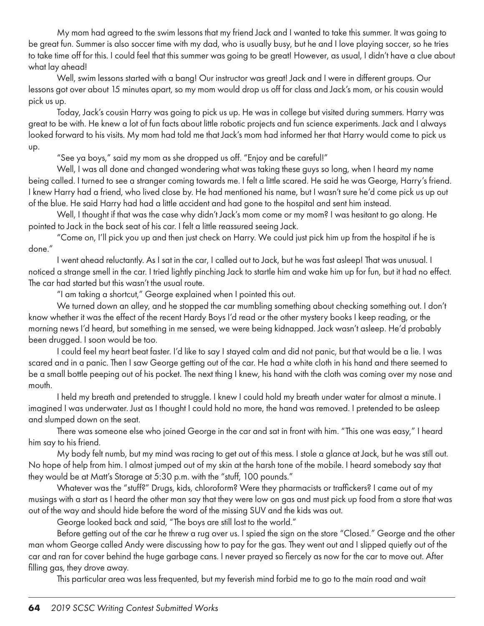My mom had agreed to the swim lessons that my friend Jack and I wanted to take this summer. It was going to be great fun. Summer is also soccer time with my dad, who is usually busy, but he and I love playing soccer, so he tries to take time off for this. I could feel that this summer was going to be great! However, as usual, I didn't have a clue about what lay ahead!

Well, swim lessons started with a bang! Our instructor was great! Jack and I were in different groups. Our lessons got over about 15 minutes apart, so my mom would drop us off for class and Jack's mom, or his cousin would pick us up.

Today, Jack's cousin Harry was going to pick us up. He was in college but visited during summers. Harry was great to be with. He knew a lot of fun facts about little robotic projects and fun science experiments. Jack and I always looked forward to his visits. My mom had told me that Jack's mom had informed her that Harry would come to pick us up.

"See ya boys," said my mom as she dropped us off. "Enjoy and be careful!"

Well, I was all done and changed wondering what was taking these guys so long, when I heard my name being called. I turned to see a stranger coming towards me. I felt a little scared. He said he was George, Harry's friend. I knew Harry had a friend, who lived close by. He had mentioned his name, but I wasn't sure he'd come pick us up out of the blue. He said Harry had had a little accident and had gone to the hospital and sent him instead.

Well, I thought if that was the case why didn't Jack's mom come or my mom? I was hesitant to go along. He pointed to Jack in the back seat of his car. I felt a little reassured seeing Jack.

"Come on, I'll pick you up and then just check on Harry. We could just pick him up from the hospital if he is done."

I went ahead reluctantly. As I sat in the car, I called out to Jack, but he was fast asleep! That was unusual. I noticed a strange smell in the car. I tried lightly pinching Jack to startle him and wake him up for fun, but it had no effect. The car had started but this wasn't the usual route.

"I am taking a shortcut," George explained when I pointed this out.

We turned down an alley, and he stopped the car mumbling something about checking something out. I don't know whether it was the effect of the recent Hardy Boys I'd read or the other mystery books I keep reading, or the morning news I'd heard, but something in me sensed, we were being kidnapped. Jack wasn't asleep. He'd probably been drugged. I soon would be too.

I could feel my heart beat faster. I'd like to say I stayed calm and did not panic, but that would be a lie. I was scared and in a panic. Then I saw George getting out of the car. He had a white cloth in his hand and there seemed to be a small bottle peeping out of his pocket. The next thing I knew, his hand with the cloth was coming over my nose and mouth.

I held my breath and pretended to struggle. I knew I could hold my breath under water for almost a minute. I imagined I was underwater. Just as I thought I could hold no more, the hand was removed. I pretended to be asleep and slumped down on the seat.

There was someone else who joined George in the car and sat in front with him. "This one was easy," I heard him say to his friend.

My body felt numb, but my mind was racing to get out of this mess. I stole a glance at Jack, but he was still out. No hope of help from him. I almost jumped out of my skin at the harsh tone of the mobile. I heard somebody say that they would be at Matt's Storage at 5:30 p.m. with the "stuff, 100 pounds."

Whatever was the "stuff?" Drugs, kids, chloroform? Were they pharmacists or traffickers? I came out of my musings with a start as I heard the other man say that they were low on gas and must pick up food from a store that was out of the way and should hide before the word of the missing SUV and the kids was out.

George looked back and said, "The boys are still lost to the world."

Before getting out of the car he threw a rug over us. I spied the sign on the store "Closed." George and the other man whom George called Andy were discussing how to pay for the gas. They went out and I slipped quietly out of the car and ran for cover behind the huge garbage cans. I never prayed so fiercely as now for the car to move out. After filling gas, they drove away.

This particular area was less frequented, but my feverish mind forbid me to go to the main road and wait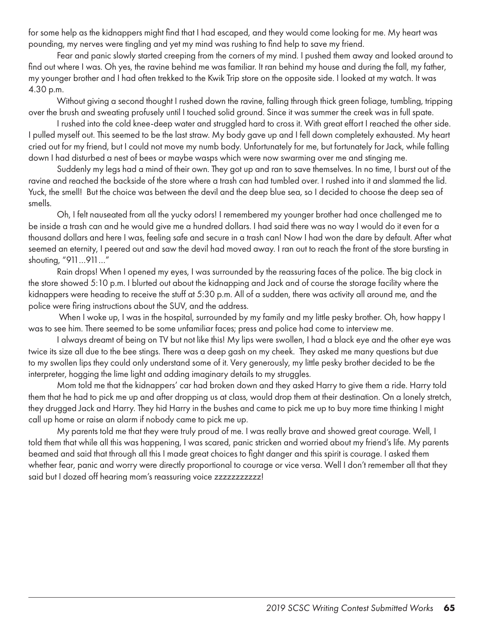for some help as the kidnappers might find that I had escaped, and they would come looking for me. My heart was pounding, my nerves were tingling and yet my mind was rushing to find help to save my friend.

Fear and panic slowly started creeping from the corners of my mind. I pushed them away and looked around to find out where I was. Oh yes, the ravine behind me was familiar. It ran behind my house and during the fall, my father, my younger brother and I had often trekked to the Kwik Trip store on the opposite side. I looked at my watch. It was 4.30 p.m.

Without giving a second thought I rushed down the ravine, falling through thick green foliage, tumbling, tripping over the brush and sweating profusely until I touched solid ground. Since it was summer the creek was in full spate.

I rushed into the cold knee-deep water and struggled hard to cross it. With great effort I reached the other side. I pulled myself out. This seemed to be the last straw. My body gave up and I fell down completely exhausted. My heart cried out for my friend, but I could not move my numb body. Unfortunately for me, but fortunately for Jack, while falling down I had disturbed a nest of bees or maybe wasps which were now swarming over me and stinging me.

Suddenly my legs had a mind of their own. They got up and ran to save themselves. In no time, I burst out of the ravine and reached the backside of the store where a trash can had tumbled over. I rushed into it and slammed the lid. Yuck, the smell! But the choice was between the devil and the deep blue sea, so I decided to choose the deep sea of smells.

Oh, I felt nauseated from all the yucky odors! I remembered my younger brother had once challenged me to be inside a trash can and he would give me a hundred dollars. I had said there was no way I would do it even for a thousand dollars and here I was, feeling safe and secure in a trash can! Now I had won the dare by default. After what seemed an eternity, I peered out and saw the devil had moved away. I ran out to reach the front of the store bursting in shouting, "911…911…"

Rain drops! When I opened my eyes, I was surrounded by the reassuring faces of the police. The big clock in the store showed 5:10 p.m. I blurted out about the kidnapping and Jack and of course the storage facility where the kidnappers were heading to receive the stuff at 5:30 p.m. All of a sudden, there was activity all around me, and the police were firing instructions about the SUV, and the address.

 When I woke up, I was in the hospital, surrounded by my family and my little pesky brother. Oh, how happy I was to see him. There seemed to be some unfamiliar faces; press and police had come to interview me.

 I always dreamt of being on TV but not like this! My lips were swollen, I had a black eye and the other eye was twice its size all due to the bee stings. There was a deep gash on my cheek. They asked me many questions but due to my swollen lips they could only understand some of it. Very generously, my little pesky brother decided to be the interpreter, hogging the lime light and adding imaginary details to my struggles.

Mom told me that the kidnappers' car had broken down and they asked Harry to give them a ride. Harry told them that he had to pick me up and after dropping us at class, would drop them at their destination. On a lonely stretch, they drugged Jack and Harry. They hid Harry in the bushes and came to pick me up to buy more time thinking I might call up home or raise an alarm if nobody came to pick me up.

My parents told me that they were truly proud of me. I was really brave and showed great courage. Well, I told them that while all this was happening, I was scared, panic stricken and worried about my friend's life. My parents beamed and said that through all this I made great choices to fight danger and this spirit is courage. I asked them whether fear, panic and worry were directly proportional to courage or vice versa. Well I don't remember all that they said but I dozed off hearing mom's reassuring voice zzzzzzzzzzzz!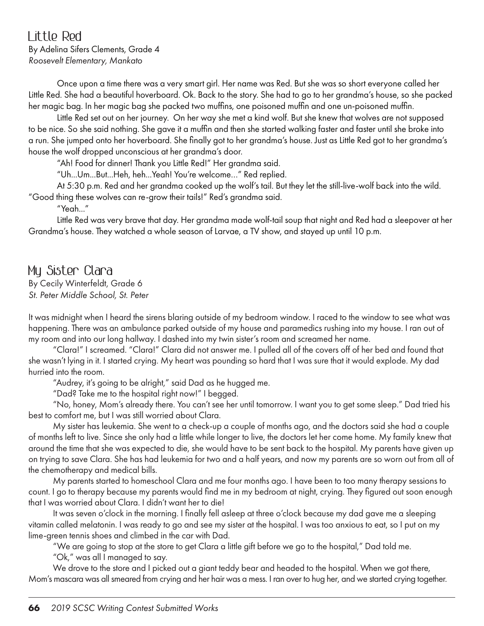## **Little Red**

By Adelina Sifers Clements, Grade 4 *Roosevelt Elementary, Mankato*

Once upon a time there was a very smart girl. Her name was Red. But she was so short everyone called her Little Red. She had a beautiful hoverboard. Ok. Back to the story. She had to go to her grandma's house, so she packed her magic bag. In her magic bag she packed two muffins, one poisoned muffin and one un-poisoned muffin.

Little Red set out on her journey. On her way she met a kind wolf. But she knew that wolves are not supposed to be nice. So she said nothing. She gave it a muffin and then she started walking faster and faster until she broke into a run. She jumped onto her hoverboard. She finally got to her grandma's house. Just as Little Red got to her grandma's house the wolf dropped unconscious at her grandma's door.

"Ah! Food for dinner! Thank you Little Red!" Her grandma said.

"Uh...Um...But...Heh, heh...Yeah! You're welcome…" Red replied.

At 5:30 p.m. Red and her grandma cooked up the wolf's tail. But they let the still-live-wolf back into the wild. "Good thing these wolves can re-grow their tails!" Red's grandma said.

"Yeah..."

Little Red was very brave that day. Her grandma made wolf-tail soup that night and Red had a sleepover at her Grandma's house. They watched a whole season of Larvae, a TV show, and stayed up until 10 p.m.

## **My Sister Clara**

By Cecily Winterfeldt, Grade 6 *St. Peter Middle School, St. Peter*

It was midnight when I heard the sirens blaring outside of my bedroom window. I raced to the window to see what was happening. There was an ambulance parked outside of my house and paramedics rushing into my house. I ran out of my room and into our long hallway. I dashed into my twin sister's room and screamed her name.

"Clara!" I screamed. "Clara!" Clara did not answer me. I pulled all of the covers off of her bed and found that she wasn't lying in it. I started crying. My heart was pounding so hard that I was sure that it would explode. My dad hurried into the room.

"Audrey, it's going to be alright," said Dad as he hugged me.

"Dad? Take me to the hospital right now!" I begged.

"No, honey, Mom's already there. You can't see her until tomorrow. I want you to get some sleep." Dad tried his best to comfort me, but I was still worried about Clara.

My sister has leukemia. She went to a check-up a couple of months ago, and the doctors said she had a couple of months left to live. Since she only had a little while longer to live, the doctors let her come home. My family knew that around the time that she was expected to die, she would have to be sent back to the hospital. My parents have given up on trying to save Clara. She has had leukemia for two and a half years, and now my parents are so worn out from all of the chemotherapy and medical bills.

My parents started to homeschool Clara and me four months ago. I have been to too many therapy sessions to count. I go to therapy because my parents would find me in my bedroom at night, crying. They figured out soon enough that I was worried about Clara. I didn't want her to die!

It was seven o'clock in the morning. I finally fell asleep at three o'clock because my dad gave me a sleeping vitamin called melatonin. I was ready to go and see my sister at the hospital. I was too anxious to eat, so I put on my lime-green tennis shoes and climbed in the car with Dad.

"We are going to stop at the store to get Clara a little gift before we go to the hospital," Dad told me.

"Ok," was all I managed to say.

We drove to the store and I picked out a giant teddy bear and headed to the hospital. When we got there, Mom's mascara was all smeared from crying and her hair was a mess. I ran over to hug her, and we started crying together.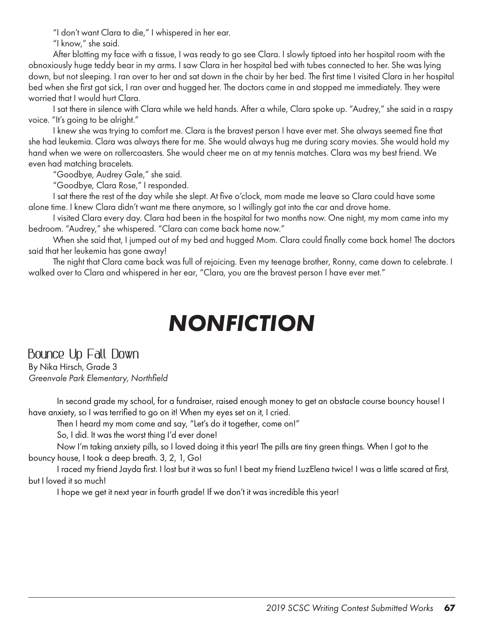"I don't want Clara to die," I whispered in her ear.

"I know," she said.

After blotting my face with a tissue, I was ready to go see Clara. I slowly tiptoed into her hospital room with the obnoxiously huge teddy bear in my arms. I saw Clara in her hospital bed with tubes connected to her. She was lying down, but not sleeping. I ran over to her and sat down in the chair by her bed. The first time I visited Clara in her hospital bed when she first got sick, I ran over and hugged her. The doctors came in and stopped me immediately. They were worried that I would hurt Clara.

I sat there in silence with Clara while we held hands. After a while, Clara spoke up. "Audrey," she said in a raspy voice. "It's going to be alright."

I knew she was trying to comfort me. Clara is the bravest person I have ever met. She always seemed fine that she had leukemia. Clara was always there for me. She would always hug me during scary movies. She would hold my hand when we were on rollercoasters. She would cheer me on at my tennis matches. Clara was my best friend. We even had matching bracelets.

"Goodbye, Audrey Gale," she said.

"Goodbye, Clara Rose," I responded.

I sat there the rest of the day while she slept. At five o'clock, mom made me leave so Clara could have some alone time. I knew Clara didn't want me there anymore, so I willingly got into the car and drove home.

I visited Clara every day. Clara had been in the hospital for two months now. One night, my mom came into my bedroom. "Audrey," she whispered. "Clara can come back home now."

When she said that, I jumped out of my bed and hugged Mom. Clara could finally come back home! The doctors said that her leukemia has gone away!

The night that Clara came back was full of rejoicing. Even my teenage brother, Ronny, came down to celebrate. I walked over to Clara and whispered in her ear, "Clara, you are the bravest person I have ever met."

# *NONFICTION*

**Bounce Up Fall Down**

By Nika Hirsch, Grade 3 *Greenvale Park Elementary, Northfield*

In second grade my school, for a fundraiser, raised enough money to get an obstacle course bouncy house! I have anxiety, so I was terrified to go on it! When my eyes set on it, I cried.

Then I heard my mom come and say, "Let's do it together, come on!"

So, I did. It was the worst thing I'd ever done!

Now I'm taking anxiety pills, so I loved doing it this year! The pills are tiny green things. When I got to the bouncy house, I took a deep breath. 3, 2, 1, Go!

I raced my friend Jayda first. I lost but it was so fun! I beat my friend LuzElena twice! I was a little scared at first, but I loved it so much!

I hope we get it next year in fourth grade! If we don't it was incredible this year!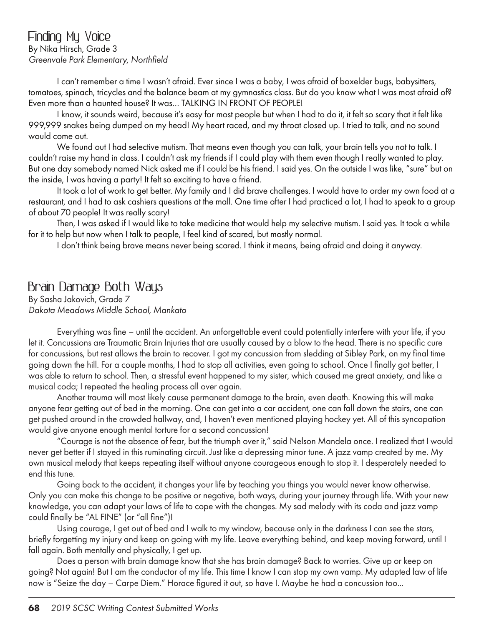#### **Finding My Voice** By Nika Hirsch, Grade 3 *Greenvale Park Elementary, Northfield*

I can't remember a time I wasn't afraid. Ever since I was a baby, I was afraid of boxelder bugs, babysitters, tomatoes, spinach, tricycles and the balance beam at my gymnastics class. But do you know what I was most afraid of? Even more than a haunted house? It was… TALKING IN FRONT OF PEOPLE!

I know, it sounds weird, because it's easy for most people but when I had to do it, it felt so scary that it felt like 999,999 snakes being dumped on my head! My heart raced, and my throat closed up. I tried to talk, and no sound would come out.

We found out I had selective mutism. That means even though you can talk, your brain tells you not to talk. I couldn't raise my hand in class. I couldn't ask my friends if I could play with them even though I really wanted to play. But one day somebody named Nick asked me if I could be his friend. I said yes. On the outside I was like, "sure" but on the inside, I was having a party! It felt so exciting to have a friend.

It took a lot of work to get better. My family and I did brave challenges. I would have to order my own food at a restaurant, and I had to ask cashiers questions at the mall. One time after I had practiced a lot, I had to speak to a group of about 70 people! It was really scary!

Then, I was asked if I would like to take medicine that would help my selective mutism. I said yes. It took a while for it to help but now when I talk to people, I feel kind of scared, but mostly normal.

I don't think being brave means never being scared. I think it means, being afraid and doing it anyway.

## **Brain Damage Both Ways**

By Sasha Jakovich, Grade 7 *Dakota Meadows Middle School, Mankato*

Everything was fine – until the accident. An unforgettable event could potentially interfere with your life, if you let it. Concussions are Traumatic Brain Injuries that are usually caused by a blow to the head. There is no specific cure for concussions, but rest allows the brain to recover. I got my concussion from sledding at Sibley Park, on my final time going down the hill. For a couple months, I had to stop all activities, even going to school. Once I finally got better, I was able to return to school. Then, a stressful event happened to my sister, which caused me great anxiety, and like a musical coda; I repeated the healing process all over again.

Another trauma will most likely cause permanent damage to the brain, even death. Knowing this will make anyone fear getting out of bed in the morning. One can get into a car accident, one can fall down the stairs, one can get pushed around in the crowded hallway, and, I haven't even mentioned playing hockey yet. All of this syncopation would give anyone enough mental torture for a second concussion!

"Courage is not the absence of fear, but the triumph over it," said Nelson Mandela once. I realized that I would never get better if I stayed in this ruminating circuit. Just like a depressing minor tune. A jazz vamp created by me. My own musical melody that keeps repeating itself without anyone courageous enough to stop it. I desperately needed to end this tune.

Going back to the accident, it changes your life by teaching you things you would never know otherwise. Only you can make this change to be positive or negative, both ways, during your journey through life. With your new knowledge, you can adapt your laws of life to cope with the changes. My sad melody with its coda and jazz vamp could finally be "AL FINE" (or "all fine")!

Using courage, I get out of bed and I walk to my window, because only in the darkness I can see the stars, briefly forgetting my injury and keep on going with my life. Leave everything behind, and keep moving forward, until I fall again. Both mentally and physically, I get up.

Does a person with brain damage know that she has brain damage? Back to worries. Give up or keep on going? Not again! But I am the conductor of my life. This time I know I can stop my own vamp. My adapted law of life now is "Seize the day – Carpe Diem." Horace figured it out, so have I. Maybe he had a concussion too...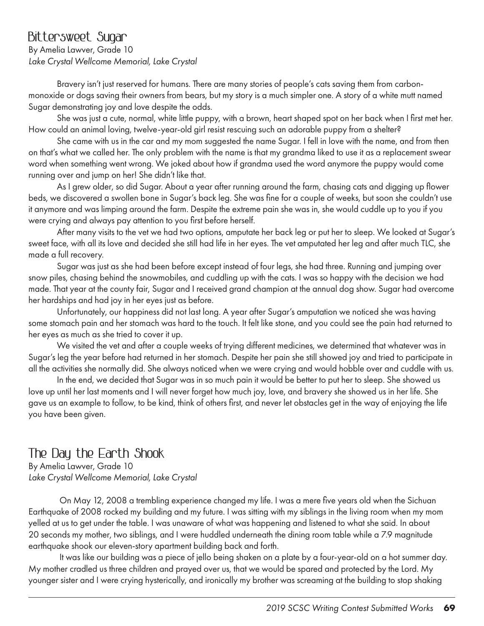## **Bittersweet Sugar**

By Amelia Lawver, Grade 10 *Lake Crystal Wellcome Memorial, Lake Crystal*

Bravery isn't just reserved for humans. There are many stories of people's cats saving them from carbonmonoxide or dogs saving their owners from bears, but my story is a much simpler one. A story of a white mutt named Sugar demonstrating joy and love despite the odds.

She was just a cute, normal, white little puppy, with a brown, heart shaped spot on her back when I first met her. How could an animal loving, twelve-year-old girl resist rescuing such an adorable puppy from a shelter?

She came with us in the car and my mom suggested the name Sugar. I fell in love with the name, and from then on that's what we called her. The only problem with the name is that my grandma liked to use it as a replacement swear word when something went wrong. We joked about how if grandma used the word anymore the puppy would come running over and jump on her! She didn't like that.

As I grew older, so did Sugar. About a year after running around the farm, chasing cats and digging up flower beds, we discovered a swollen bone in Sugar's back leg. She was fine for a couple of weeks, but soon she couldn't use it anymore and was limping around the farm. Despite the extreme pain she was in, she would cuddle up to you if you were crying and always pay attention to you first before herself.

After many visits to the vet we had two options, amputate her back leg or put her to sleep. We looked at Sugar's sweet face, with all its love and decided she still had life in her eyes. The vet amputated her leg and after much TLC, she made a full recovery.

Sugar was just as she had been before except instead of four legs, she had three. Running and jumping over snow piles, chasing behind the snowmobiles, and cuddling up with the cats. I was so happy with the decision we had made. That year at the county fair, Sugar and I received grand champion at the annual dog show. Sugar had overcome her hardships and had joy in her eyes just as before.

Unfortunately, our happiness did not last long. A year after Sugar's amputation we noticed she was having some stomach pain and her stomach was hard to the touch. It felt like stone, and you could see the pain had returned to her eyes as much as she tried to cover it up.

We visited the vet and after a couple weeks of trying different medicines, we determined that whatever was in Sugar's leg the year before had returned in her stomach. Despite her pain she still showed joy and tried to participate in all the activities she normally did. She always noticed when we were crying and would hobble over and cuddle with us.

In the end, we decided that Sugar was in so much pain it would be better to put her to sleep. She showed us love up until her last moments and I will never forget how much joy, love, and bravery she showed us in her life. She gave us an example to follow, to be kind, think of others first, and never let obstacles get in the way of enjoying the life you have been given.

## **The Day the Earth Shook**

By Amelia Lawver, Grade 10 *Lake Crystal Wellcome Memorial, Lake Crystal*

On May 12, 2008 a trembling experience changed my life. I was a mere five years old when the Sichuan Earthquake of 2008 rocked my building and my future. I was sitting with my siblings in the living room when my mom yelled at us to get under the table. I was unaware of what was happening and listened to what she said. In about 20 seconds my mother, two siblings, and I were huddled underneath the dining room table while a 7.9 magnitude earthquake shook our eleven-story apartment building back and forth.

It was like our building was a piece of jello being shaken on a plate by a four-year-old on a hot summer day. My mother cradled us three children and prayed over us, that we would be spared and protected by the Lord. My younger sister and I were crying hysterically, and ironically my brother was screaming at the building to stop shaking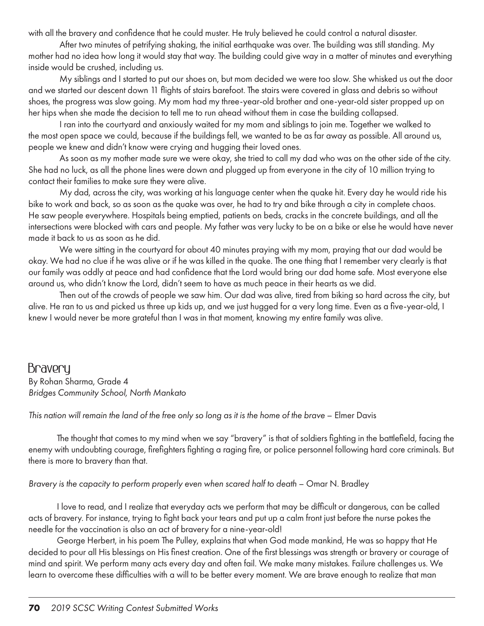with all the bravery and confidence that he could muster. He truly believed he could control a natural disaster.

After two minutes of petrifying shaking, the initial earthquake was over. The building was still standing. My mother had no idea how long it would stay that way. The building could give way in a matter of minutes and everything inside would be crushed, including us.

My siblings and I started to put our shoes on, but mom decided we were too slow. She whisked us out the door and we started our descent down 11 flights of stairs barefoot. The stairs were covered in glass and debris so without shoes, the progress was slow going. My mom had my three-year-old brother and one-year-old sister propped up on her hips when she made the decision to tell me to run ahead without them in case the building collapsed.

I ran into the courtyard and anxiously waited for my mom and siblings to join me. Together we walked to the most open space we could, because if the buildings fell, we wanted to be as far away as possible. All around us, people we knew and didn't know were crying and hugging their loved ones.

As soon as my mother made sure we were okay, she tried to call my dad who was on the other side of the city. She had no luck, as all the phone lines were down and plugged up from everyone in the city of 10 million trying to contact their families to make sure they were alive.

My dad, across the city, was working at his language center when the quake hit. Every day he would ride his bike to work and back, so as soon as the quake was over, he had to try and bike through a city in complete chaos. He saw people everywhere. Hospitals being emptied, patients on beds, cracks in the concrete buildings, and all the intersections were blocked with cars and people. My father was very lucky to be on a bike or else he would have never made it back to us as soon as he did.

We were sitting in the courtyard for about 40 minutes praying with my mom, praying that our dad would be okay. We had no clue if he was alive or if he was killed in the quake. The one thing that I remember very clearly is that our family was oddly at peace and had confidence that the Lord would bring our dad home safe. Most everyone else around us, who didn't know the Lord, didn't seem to have as much peace in their hearts as we did.

Then out of the crowds of people we saw him. Our dad was alive, tired from biking so hard across the city, but alive. He ran to us and picked us three up kids up, and we just hugged for a very long time. Even as a five-year-old, I knew I would never be more grateful than I was in that moment, knowing my entire family was alive.

**Bravery** By Rohan Sharma, Grade 4 *Bridges Community School, North Mankato*

*This nation will remain the land of the free only so long as it is the home of the brave* – Elmer Davis

The thought that comes to my mind when we say "bravery" is that of soldiers fighting in the battlefield, facing the enemy with undoubting courage, firefighters fighting a raging fire, or police personnel following hard core criminals. But there is more to bravery than that.

#### *Bravery is the capacity to perform properly even when scared half to death* – Omar N. Bradley

I love to read, and I realize that everyday acts we perform that may be difficult or dangerous, can be called acts of bravery. For instance, trying to fight back your tears and put up a calm front just before the nurse pokes the needle for the vaccination is also an act of bravery for a nine-year-old!

George Herbert, in his poem The Pulley, explains that when God made mankind, He was so happy that He decided to pour all His blessings on His finest creation. One of the first blessings was strength or bravery or courage of mind and spirit. We perform many acts every day and often fail. We make many mistakes. Failure challenges us. We learn to overcome these difficulties with a will to be better every moment. We are brave enough to realize that man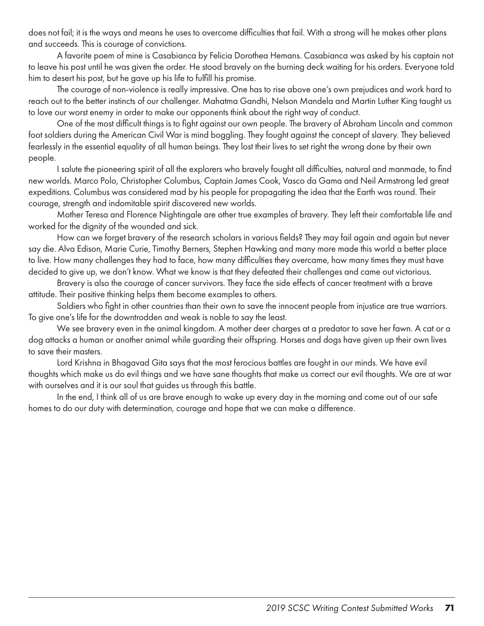does not fail; it is the ways and means he uses to overcome difficulties that fail. With a strong will he makes other plans and succeeds. This is courage of convictions.

A favorite poem of mine is Casabianca by Felicia Dorothea Hemans. Casabianca was asked by his captain not to leave his post until he was given the order. He stood bravely on the burning deck waiting for his orders. Everyone told him to desert his post, but he gave up his life to fulfill his promise.

The courage of non-violence is really impressive. One has to rise above one's own prejudices and work hard to reach out to the better instincts of our challenger. Mahatma Gandhi, Nelson Mandela and Martin Luther King taught us to love our worst enemy in order to make our opponents think about the right way of conduct.

One of the most difficult things is to fight against our own people. The bravery of Abraham Lincoln and common foot soldiers during the American Civil War is mind boggling. They fought against the concept of slavery. They believed fearlessly in the essential equality of all human beings. They lost their lives to set right the wrong done by their own people.

I salute the pioneering spirit of all the explorers who bravely fought all difficulties, natural and manmade, to find new worlds. Marco Polo, Christopher Columbus, Captain James Cook, Vasco da Gama and Neil Armstrong led great expeditions. Columbus was considered mad by his people for propagating the idea that the Earth was round. Their courage, strength and indomitable spirit discovered new worlds.

Mother Teresa and Florence Nightingale are other true examples of bravery. They left their comfortable life and worked for the dignity of the wounded and sick.

How can we forget bravery of the research scholars in various fields? They may fail again and again but never say die. Alva Edison, Marie Curie, Timothy Berners, Stephen Hawking and many more made this world a better place to live. How many challenges they had to face, how many difficulties they overcame, how many times they must have decided to give up, we don't know. What we know is that they defeated their challenges and came out victorious.

Bravery is also the courage of cancer survivors. They face the side effects of cancer treatment with a brave attitude. Their positive thinking helps them become examples to others.

Soldiers who fight in other countries than their own to save the innocent people from injustice are true warriors. To give one's life for the downtrodden and weak is noble to say the least.

We see bravery even in the animal kingdom. A mother deer charges at a predator to save her fawn. A cat or a dog attacks a human or another animal while guarding their offspring. Horses and dogs have given up their own lives to save their masters.

Lord Krishna in Bhagavad Gita says that the most ferocious battles are fought in our minds. We have evil thoughts which make us do evil things and we have sane thoughts that make us correct our evil thoughts. We are at war with ourselves and it is our soul that guides us through this battle.

In the end, I think all of us are brave enough to wake up every day in the morning and come out of our safe homes to do our duty with determination, courage and hope that we can make a difference.